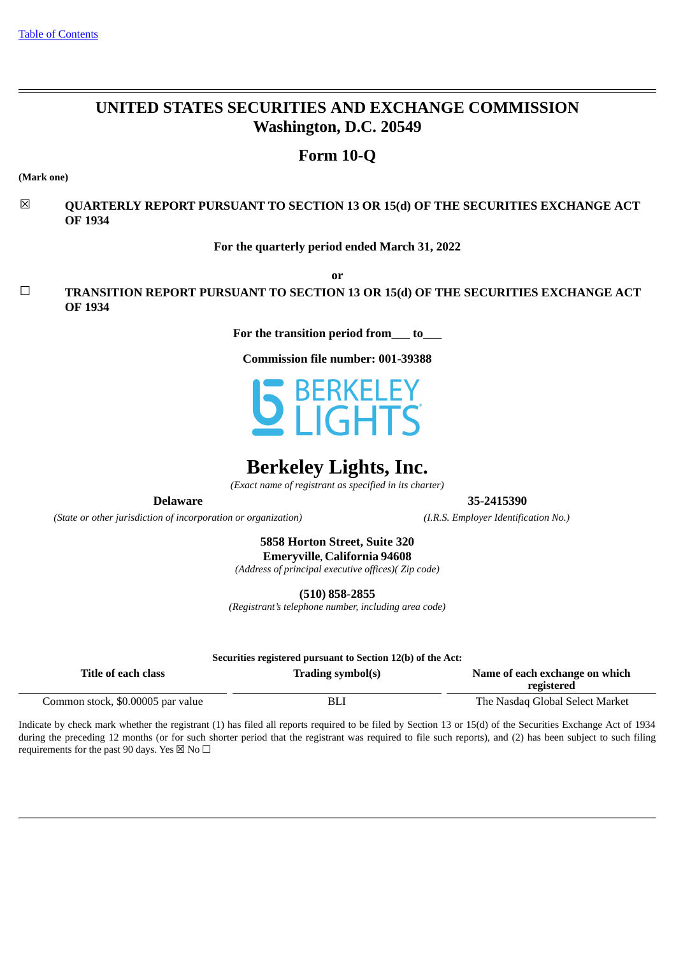# **UNITED STATES SECURITIES AND EXCHANGE COMMISSION Washington, D.C. 20549**

# **Form 10-Q**

**(Mark one)**

☒ **QUARTERLY REPORT PURSUANT TO SECTION 13 OR 15(d) OF THE SECURITIES EXCHANGE ACT OF 1934**

**For the quarterly period ended March 31, 2022**

**or**

☐ **TRANSITION REPORT PURSUANT TO SECTION 13 OR 15(d) OF THE SECURITIES EXCHANGE ACT OF 1934**

**For the transition period from\_\_\_ to\_\_\_**

**Commission file number: 001-39388**

# **BERKELEY**<br>LIGHTS

# **Berkeley Lights, Inc.**

*(Exact name of registrant as specified in its charter)*

**Delaware 35-2415390**

*(State or other jurisdiction of incorporation or organization) (I.R.S. Employer Identification No.)*

**5858 Horton Street, Suite 320 Emeryville, California 94608**

*(Address of principal executive offices)( Zip code)*

**(510) 858-2855**

*(Registrant's telephone number, including area code)*

# **Securities registered pursuant to Section 12(b) of the Act:**

| Title of each class               | Trading symbol(s) | Name of each exchange on which<br>registered |
|-----------------------------------|-------------------|----------------------------------------------|
| Common stock, \$0.00005 par value | <b>BLI</b>        | The Nasdaq Global Select Market              |

Indicate by check mark whether the registrant (1) has filed all reports required to be filed by Section 13 or 15(d) of the Securities Exchange Act of 1934 during the preceding 12 months (or for such shorter period that the registrant was required to file such reports), and (2) has been subject to such filing requirements for the past 90 days. Yes  $\boxtimes$  No  $\Box$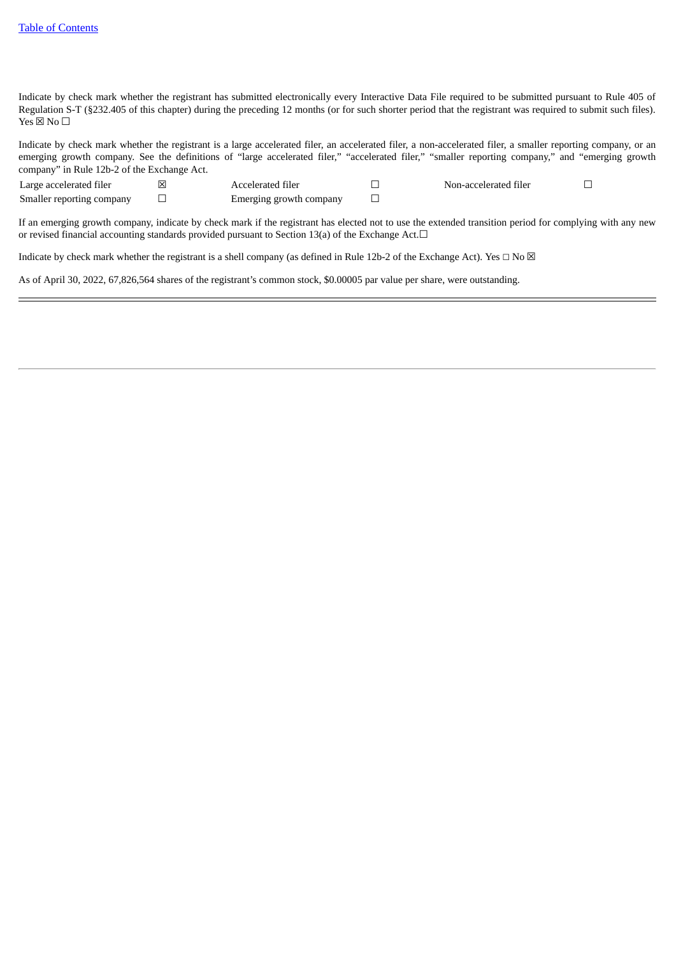Indicate by check mark whether the registrant has submitted electronically every Interactive Data File required to be submitted pursuant to Rule 405 of Regulation S-T (§232.405 of this chapter) during the preceding 12 months (or for such shorter period that the registrant was required to submit such files).  $Yes \boxtimes No \square$ 

Indicate by check mark whether the registrant is a large accelerated filer, an accelerated filer, a non-accelerated filer, a smaller reporting company, or an emerging growth company. See the definitions of "large accelerated filer," "accelerated filer," "smaller reporting company," and "emerging growth company" in Rule 12b-2 of the Exchange Act.

| Large accelerated filer   | Accelerated filer       | Non-accelerated filer |  |
|---------------------------|-------------------------|-----------------------|--|
| Smaller reporting company | Emerging growth company |                       |  |

If an emerging growth company, indicate by check mark if the registrant has elected not to use the extended transition period for complying with any new or revised financial accounting standards provided pursuant to Section 13(a) of the Exchange Act. $□$ 

Indicate by check mark whether the registrant is a shell company (as defined in Rule 12b-2 of the Exchange Act). Yes  $\Box$  No  $\boxtimes$ 

<span id="page-1-0"></span>As of April 30, 2022, 67,826,564 shares of the registrant's common stock, \$0.00005 par value per share, were outstanding.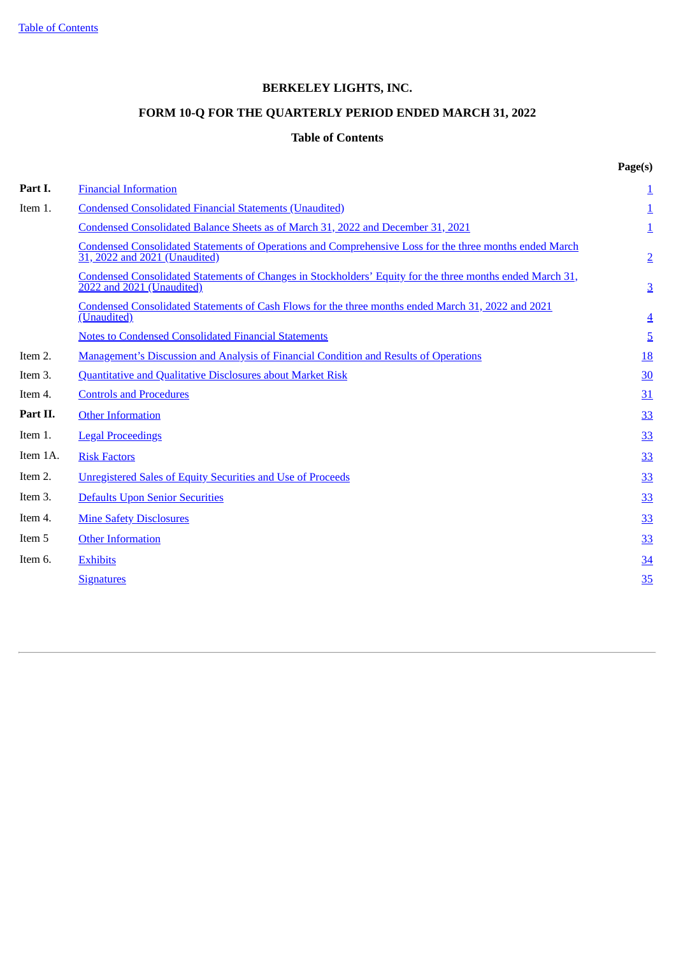# **BERKELEY LIGHTS, INC.**

# **FORM 10-Q FOR THE QUARTERLY PERIOD ENDED MARCH 31, 2022**

# **Table of Contents**

<span id="page-2-0"></span>

|          |                                                                                                                                          | Page(s)                 |
|----------|------------------------------------------------------------------------------------------------------------------------------------------|-------------------------|
| Part I.  | <b>Financial Information</b>                                                                                                             | <u>1</u>                |
| Item 1.  | <b>Condensed Consolidated Financial Statements (Unaudited)</b>                                                                           | $\overline{\mathbf{1}}$ |
|          | Condensed Consolidated Balance Sheets as of March 31, 2022 and December 31, 2021                                                         | $\overline{\mathbf{1}}$ |
|          | Condensed Consolidated Statements of Operations and Comprehensive Loss for the three months ended March<br>31, 2022 and 2021 (Unaudited) | $\overline{2}$          |
|          | Condensed Consolidated Statements of Changes in Stockholders' Equity for the three months ended March 31,<br>2022 and 2021 (Unaudited)   | $\overline{3}$          |
|          | Condensed Consolidated Statements of Cash Flows for the three months ended March 31, 2022 and 2021<br>(Unaudited)                        | $\overline{4}$          |
|          | <b>Notes to Condensed Consolidated Financial Statements</b>                                                                              | $\overline{5}$          |
| Item 2.  | Management's Discussion and Analysis of Financial Condition and Results of Operations                                                    | <u>18</u>               |
| Item 3.  | Quantitative and Qualitative Disclosures about Market Risk                                                                               | 30                      |
| Item 4.  | <b>Controls and Procedures</b>                                                                                                           | 31                      |
| Part II. | <b>Other Information</b>                                                                                                                 | 33                      |
| Item 1.  | <b>Legal Proceedings</b>                                                                                                                 | 33                      |
| Item 1A. | <b>Risk Factors</b>                                                                                                                      | 33                      |
| Item 2.  | <b>Unregistered Sales of Equity Securities and Use of Proceeds</b>                                                                       | 33                      |
| Item 3.  | <b>Defaults Upon Senior Securities</b>                                                                                                   | 33                      |
| Item 4.  | <b>Mine Safety Disclosures</b>                                                                                                           | 33                      |
| Item 5   | <b>Other Information</b>                                                                                                                 | 33                      |
| Item 6.  | <b>Exhibits</b>                                                                                                                          | <u>34</u>               |
|          | <b>Signatures</b>                                                                                                                        | 35                      |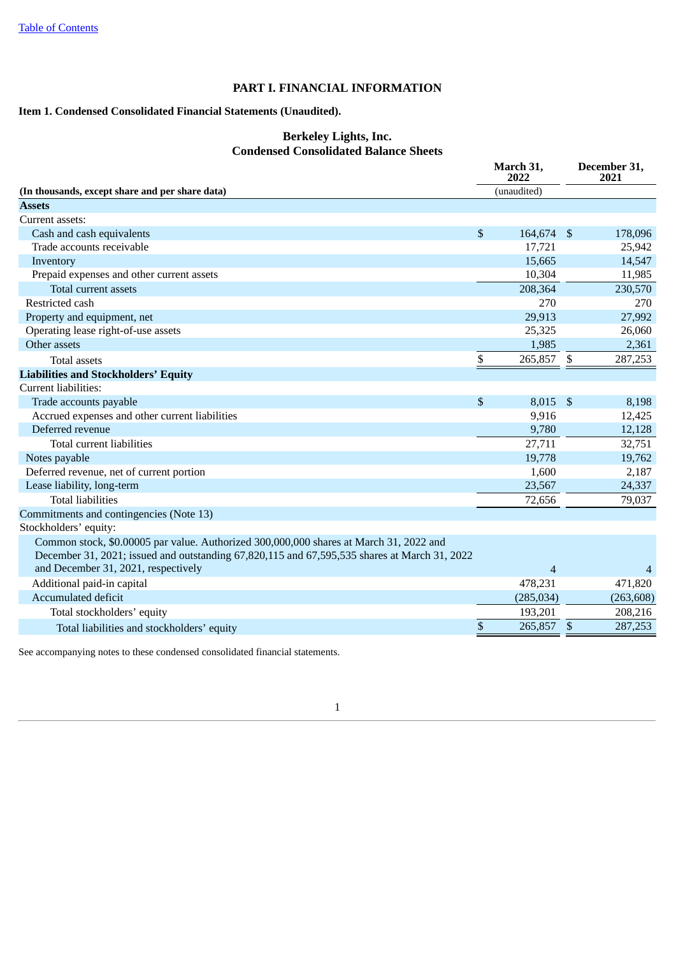# **PART I. FINANCIAL INFORMATION**

# <span id="page-3-1"></span><span id="page-3-0"></span>**Item 1. Condensed Consolidated Financial Statements (Unaudited).**

# **Berkeley Lights, Inc. Condensed Consolidated Balance Sheets**

|                                                                                                                                                                                        | March 31,<br>2022 |                           | December 31,<br>2021 |
|----------------------------------------------------------------------------------------------------------------------------------------------------------------------------------------|-------------------|---------------------------|----------------------|
| (In thousands, except share and per share data)                                                                                                                                        | (unaudited)       |                           |                      |
| <b>Assets</b>                                                                                                                                                                          |                   |                           |                      |
| Current assets:                                                                                                                                                                        |                   |                           |                      |
| Cash and cash equivalents                                                                                                                                                              | \$<br>164,674 \$  |                           | 178,096              |
| Trade accounts receivable                                                                                                                                                              | 17,721            |                           | 25,942               |
| Inventory                                                                                                                                                                              | 15,665            |                           | 14,547               |
| Prepaid expenses and other current assets                                                                                                                                              | 10,304            |                           | 11,985               |
| Total current assets                                                                                                                                                                   | 208,364           |                           | 230,570              |
| Restricted cash                                                                                                                                                                        | 270               |                           | 270                  |
| Property and equipment, net                                                                                                                                                            | 29,913            |                           | 27,992               |
| Operating lease right-of-use assets                                                                                                                                                    | 25,325            |                           | 26,060               |
| Other assets                                                                                                                                                                           | 1,985             |                           | 2,361                |
| <b>Total assets</b>                                                                                                                                                                    | \$<br>265,857 \$  |                           | 287,253              |
| <b>Liabilities and Stockholders' Equity</b>                                                                                                                                            |                   |                           |                      |
| Current liabilities:                                                                                                                                                                   |                   |                           |                      |
| Trade accounts payable                                                                                                                                                                 | \$<br>8,015       | - \$                      | 8,198                |
| Accrued expenses and other current liabilities                                                                                                                                         | 9,916             |                           | 12,425               |
| Deferred revenue                                                                                                                                                                       | 9,780             |                           | 12,128               |
| Total current liabilities                                                                                                                                                              | 27,711            |                           | 32,751               |
| Notes payable                                                                                                                                                                          | 19,778            |                           | 19,762               |
| Deferred revenue, net of current portion                                                                                                                                               | 1,600             |                           | 2,187                |
| Lease liability, long-term                                                                                                                                                             | 23,567            |                           | 24,337               |
| <b>Total liabilities</b>                                                                                                                                                               | 72,656            |                           | 79,037               |
| Commitments and contingencies (Note 13)                                                                                                                                                |                   |                           |                      |
| Stockholders' equity:                                                                                                                                                                  |                   |                           |                      |
| Common stock, \$0.00005 par value. Authorized 300,000,000 shares at March 31, 2022 and<br>December 31, 2021; issued and outstanding 67,820,115 and 67,595,535 shares at March 31, 2022 |                   |                           |                      |
| and December 31, 2021, respectively                                                                                                                                                    | $\overline{4}$    |                           | 4                    |
| Additional paid-in capital                                                                                                                                                             | 478,231           |                           | 471,820              |
| Accumulated deficit                                                                                                                                                                    | (285, 034)        |                           | (263, 608)           |
| Total stockholders' equity                                                                                                                                                             | 193,201           |                           | 208,216              |
| Total liabilities and stockholders' equity                                                                                                                                             | \$<br>265,857     | $\boldsymbol{\mathsf{S}}$ | 287,253              |

<span id="page-3-2"></span>See accompanying notes to these condensed consolidated financial statements.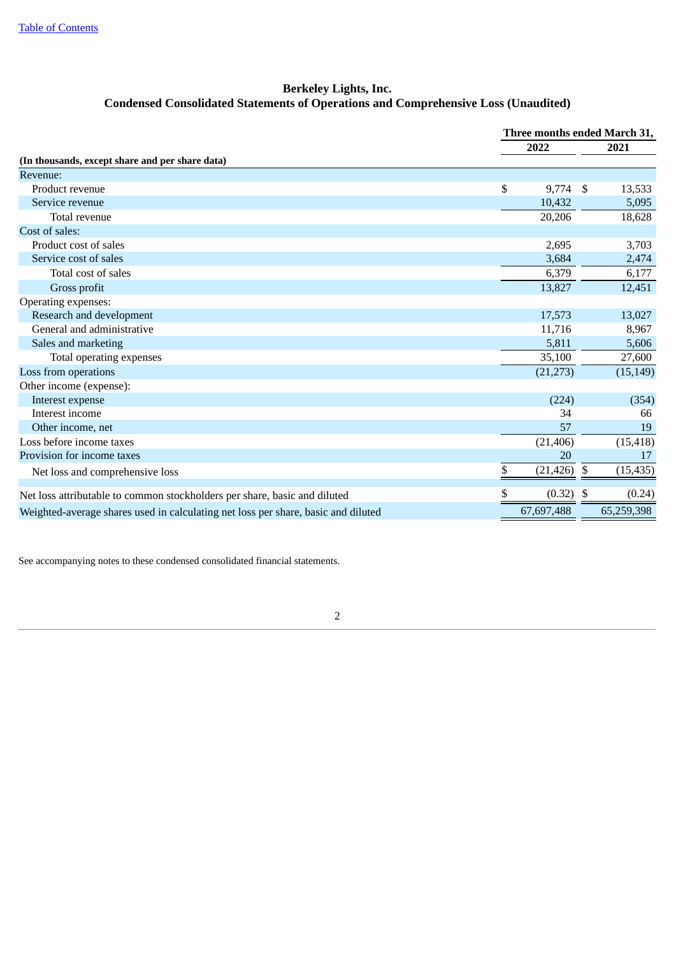# **Berkeley Lights, Inc. Condensed Consolidated Statements of Operations and Comprehensive Loss (Unaudited)**

|                                                                                   | Three months ended March 31, |                |      |            |
|-----------------------------------------------------------------------------------|------------------------------|----------------|------|------------|
|                                                                                   |                              | 2022           | 2021 |            |
| (In thousands, except share and per share data)                                   |                              |                |      |            |
| Revenue:                                                                          |                              |                |      |            |
| Product revenue                                                                   | \$                           | 9,774          | -\$  | 13,533     |
| Service revenue                                                                   |                              | 10,432         |      | 5,095      |
| Total revenue                                                                     |                              | 20,206         |      | 18,628     |
| Cost of sales:                                                                    |                              |                |      |            |
| Product cost of sales                                                             |                              | 2,695          |      | 3,703      |
| Service cost of sales                                                             |                              | 3,684          |      | 2,474      |
| Total cost of sales                                                               |                              | 6,379          |      | 6,177      |
| Gross profit                                                                      |                              | 13,827         |      | 12,451     |
| Operating expenses:                                                               |                              |                |      |            |
| Research and development                                                          |                              | 17,573         |      | 13,027     |
| General and administrative                                                        |                              | 11,716         |      | 8,967      |
| Sales and marketing                                                               |                              | 5,811          |      | 5,606      |
| Total operating expenses                                                          |                              | 35,100         |      | 27,600     |
| Loss from operations                                                              |                              | (21, 273)      |      | (15, 149)  |
| Other income (expense):                                                           |                              |                |      |            |
| Interest expense                                                                  |                              | (224)          |      | (354)      |
| Interest income                                                                   |                              | 34             |      | 66         |
| Other income, net                                                                 |                              | 57             |      | 19         |
| Loss before income taxes                                                          |                              | (21, 406)      |      | (15, 418)  |
| Provision for income taxes                                                        |                              | 20             |      | 17         |
| Net loss and comprehensive loss                                                   | \$                           | $(21, 426)$ \$ |      | (15, 435)  |
| Net loss attributable to common stockholders per share, basic and diluted         | S                            | (0.32)         | \$   | (0.24)     |
| Weighted-average shares used in calculating net loss per share, basic and diluted |                              | 67,697,488     |      | 65,259,398 |

<span id="page-4-0"></span>See accompanying notes to these condensed consolidated financial statements.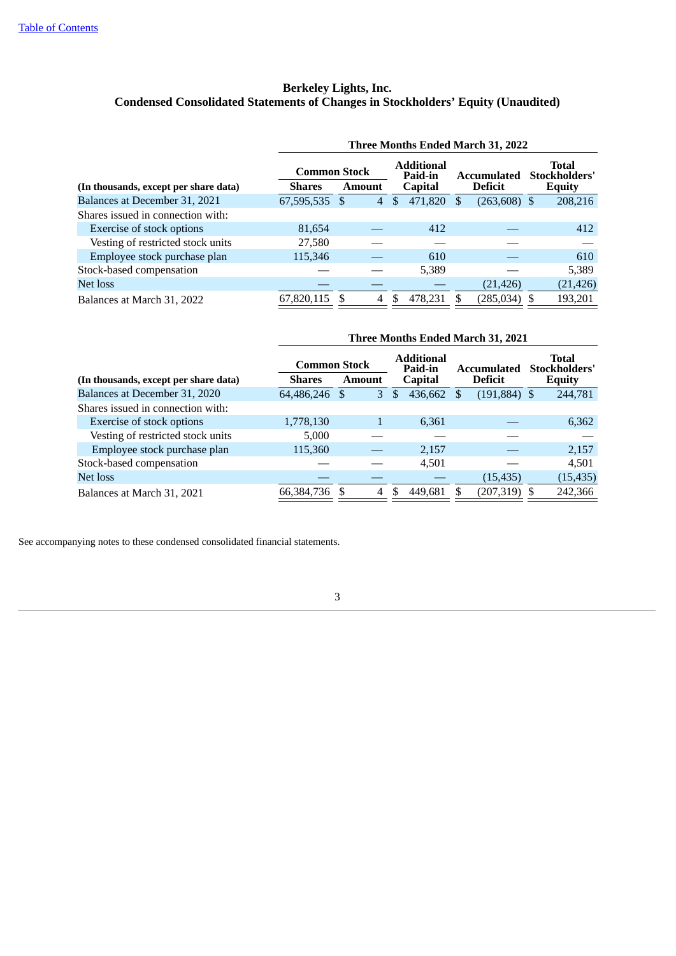# **Berkeley Lights, Inc. Condensed Consolidated Statements of Changes in Stockholders' Equity (Unaudited)**

|                                       | Three Months Ended March 31, 2022                     |  |                                                       |               |                               |    |              |  |                                                |
|---------------------------------------|-------------------------------------------------------|--|-------------------------------------------------------|---------------|-------------------------------|----|--------------|--|------------------------------------------------|
| (In thousands, except per share data) | <b>Common Stock</b><br><b>Shares</b><br><b>Amount</b> |  | <b>Additional</b><br><b>Paid-in</b><br><b>Capital</b> |               | Accumulated<br><b>Deficit</b> |    |              |  | <b>Total</b><br>Stockholders'<br><b>Equity</b> |
| Balances at December 31, 2021         | 67,595,535 \$                                         |  | $\overline{4}$                                        | <sup>\$</sup> | 471,820                       | -S | (263,608) \$ |  | 208,216                                        |
| Shares issued in connection with:     |                                                       |  |                                                       |               |                               |    |              |  |                                                |
| Exercise of stock options             | 81,654                                                |  |                                                       |               | 412                           |    |              |  | 412                                            |
| Vesting of restricted stock units     | 27,580                                                |  |                                                       |               |                               |    |              |  |                                                |
| Employee stock purchase plan          | 115,346                                               |  |                                                       |               | 610                           |    |              |  | 610                                            |
| Stock-based compensation              |                                                       |  |                                                       |               | 5,389                         |    |              |  | 5,389                                          |
| Net loss                              |                                                       |  |                                                       |               |                               |    | (21, 426)    |  | (21, 426)                                      |
| Balances at March 31, 2022            | 67,820,115                                            |  | 4                                                     |               | 478.231                       |    | (285,034)    |  | 193,201                                        |

|                                       | Three Months Ended March 31, 2021 |                                      |   |                                                |         |                                      |                 |  |                                         |
|---------------------------------------|-----------------------------------|--------------------------------------|---|------------------------------------------------|---------|--------------------------------------|-----------------|--|-----------------------------------------|
| (In thousands, except per share data) | <b>Shares</b>                     | <b>Common Stock</b><br><b>Amount</b> |   | <b>Additional</b><br>Paid-in<br><b>Capital</b> |         | <b>Accumulated</b><br><b>Deficit</b> |                 |  | Total<br>Stockholders'<br><b>Equity</b> |
| Balances at December 31, 2020         | 64,486,246 \$                     |                                      | 3 | <sup>\$</sup>                                  | 436,662 |                                      | $(191, 884)$ \$ |  | 244,781                                 |
| Shares issued in connection with:     |                                   |                                      |   |                                                |         |                                      |                 |  |                                         |
| Exercise of stock options             | 1,778,130                         |                                      | 1 |                                                | 6,361   |                                      |                 |  | 6,362                                   |
| Vesting of restricted stock units     | 5,000                             |                                      |   |                                                |         |                                      |                 |  |                                         |
| Employee stock purchase plan          | 115,360                           |                                      |   |                                                | 2,157   |                                      |                 |  | 2,157                                   |
| Stock-based compensation              |                                   |                                      |   |                                                | 4,501   |                                      |                 |  | 4,501                                   |
| Net loss                              |                                   |                                      |   |                                                |         |                                      | (15, 435)       |  | (15, 435)                               |
| Balances at March 31, 2021            | 66,384,736                        |                                      | 4 | £.                                             | 449.681 |                                      | (207, 319)      |  | 242,366                                 |

<span id="page-5-0"></span>See accompanying notes to these condensed consolidated financial statements.

3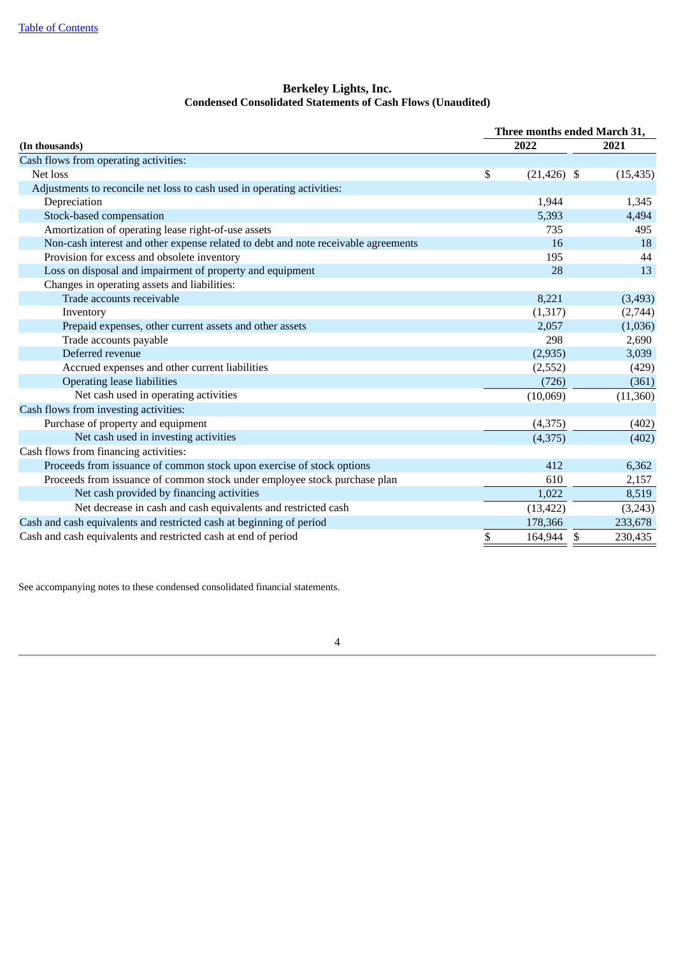# **Berkeley Lights, Inc. Condensed Consolidated Statements of Cash Flows (Unaudited)**

|                                                                                    | Three months ended March 31, |                |    |           |  |
|------------------------------------------------------------------------------------|------------------------------|----------------|----|-----------|--|
| (In thousands)                                                                     |                              | 2022           |    | 2021      |  |
| Cash flows from operating activities:                                              |                              |                |    |           |  |
| Net loss                                                                           | \$                           | $(21, 426)$ \$ |    | (15, 435) |  |
| Adjustments to reconcile net loss to cash used in operating activities:            |                              |                |    |           |  |
| Depreciation                                                                       |                              | 1,944          |    | 1,345     |  |
| Stock-based compensation                                                           |                              | 5,393          |    | 4,494     |  |
| Amortization of operating lease right-of-use assets                                |                              | 735            |    | 495       |  |
| Non-cash interest and other expense related to debt and note receivable agreements |                              | 16             |    | 18        |  |
| Provision for excess and obsolete inventory                                        |                              | 195            |    | 44        |  |
| Loss on disposal and impairment of property and equipment                          |                              | 28             |    | 13        |  |
| Changes in operating assets and liabilities:                                       |                              |                |    |           |  |
| Trade accounts receivable                                                          |                              | 8,221          |    | (3,493)   |  |
| Inventory                                                                          |                              | (1, 317)       |    | (2,744)   |  |
| Prepaid expenses, other current assets and other assets                            |                              | 2,057          |    | (1,036)   |  |
| Trade accounts payable                                                             |                              | 298            |    | 2,690     |  |
| Deferred revenue                                                                   |                              | (2,935)        |    | 3,039     |  |
| Accrued expenses and other current liabilities                                     |                              | (2,552)        |    | (429)     |  |
| <b>Operating lease liabilities</b>                                                 |                              | (726)          |    | (361)     |  |
| Net cash used in operating activities                                              |                              | (10,069)       |    | (11, 360) |  |
| Cash flows from investing activities:                                              |                              |                |    |           |  |
| Purchase of property and equipment                                                 |                              | (4, 375)       |    | (402)     |  |
| Net cash used in investing activities                                              |                              | (4,375)        |    | (402)     |  |
| Cash flows from financing activities:                                              |                              |                |    |           |  |
| Proceeds from issuance of common stock upon exercise of stock options              |                              | 412            |    | 6,362     |  |
| Proceeds from issuance of common stock under employee stock purchase plan          |                              | 610            |    | 2,157     |  |
| Net cash provided by financing activities                                          |                              | 1,022          |    | 8,519     |  |
| Net decrease in cash and cash equivalents and restricted cash                      |                              | (13, 422)      |    | (3,243)   |  |
| Cash and cash equivalents and restricted cash at beginning of period               |                              | 178,366        |    | 233,678   |  |
| Cash and cash equivalents and restricted cash at end of period                     | \$                           | 164,944        | \$ | 230,435   |  |

4

<span id="page-6-0"></span>See accompanying notes to these condensed consolidated financial statements.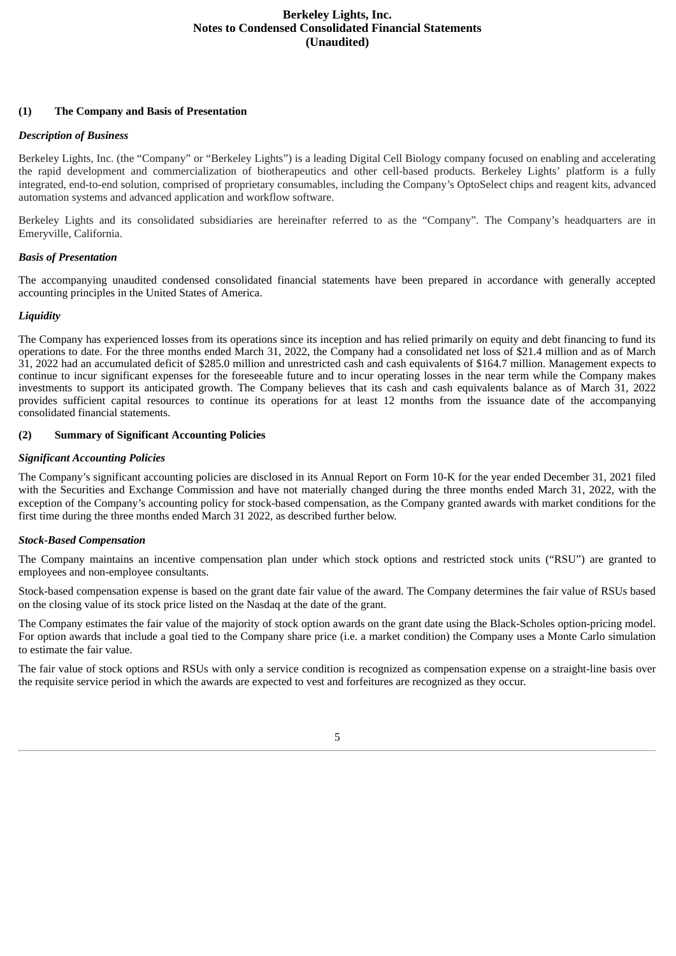# **(1) The Company and Basis of Presentation**

# *Description of Business*

Berkeley Lights, Inc. (the "Company" or "Berkeley Lights") is a leading Digital Cell Biology company focused on enabling and accelerating the rapid development and commercialization of biotherapeutics and other cell-based products. Berkeley Lights' platform is a fully integrated, end-to-end solution, comprised of proprietary consumables, including the Company's OptoSelect chips and reagent kits, advanced automation systems and advanced application and workflow software.

Berkeley Lights and its consolidated subsidiaries are hereinafter referred to as the "Company". The Company's headquarters are in Emeryville, California.

# *Basis of Presentation*

The accompanying unaudited condensed consolidated financial statements have been prepared in accordance with generally accepted accounting principles in the United States of America.

# *Liquidity*

The Company has experienced losses from its operations since its inception and has relied primarily on equity and debt financing to fund its operations to date. For the three months ended March 31, 2022, the Company had a consolidated net loss of \$21.4 million and as of March 31, 2022 had an accumulated deficit of \$285.0 million and unrestricted cash and cash equivalents of \$164.7 million. Management expects to continue to incur significant expenses for the foreseeable future and to incur operating losses in the near term while the Company makes investments to support its anticipated growth. The Company believes that its cash and cash equivalents balance as of March 31, 2022 provides sufficient capital resources to continue its operations for at least 12 months from the issuance date of the accompanying consolidated financial statements.

# **(2) Summary of Significant Accounting Policies**

# *Significant Accounting Policies*

The Company's significant accounting policies are disclosed in its Annual Report on Form 10-K for the year ended December 31, 2021 filed with the Securities and Exchange Commission and have not materially changed during the three months ended March 31, 2022, with the exception of the Company's accounting policy for stock-based compensation, as the Company granted awards with market conditions for the first time during the three months ended March 31 2022, as described further below.

# *Stock-Based Compensation*

The Company maintains an incentive compensation plan under which stock options and restricted stock units ("RSU") are granted to employees and non-employee consultants.

Stock-based compensation expense is based on the grant date fair value of the award. The Company determines the fair value of RSUs based on the closing value of its stock price listed on the Nasdaq at the date of the grant.

The Company estimates the fair value of the majority of stock option awards on the grant date using the Black-Scholes option-pricing model. For option awards that include a goal tied to the Company share price (i.e. a market condition) the Company uses a Monte Carlo simulation to estimate the fair value.

The fair value of stock options and RSUs with only a service condition is recognized as compensation expense on a straight-line basis over the requisite service period in which the awards are expected to vest and forfeitures are recognized as they occur.

5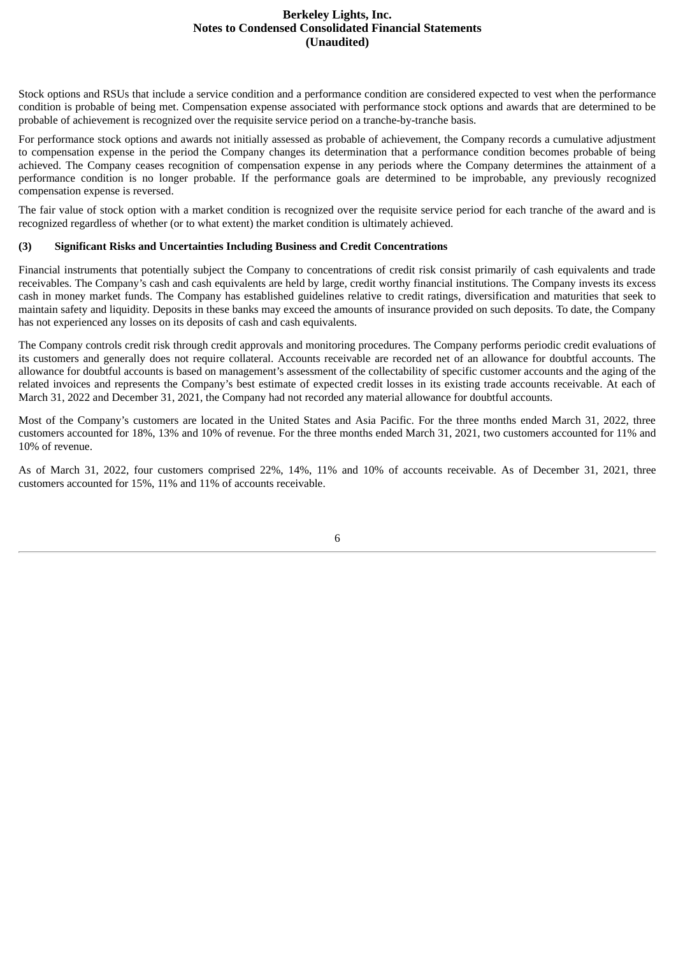Stock options and RSUs that include a service condition and a performance condition are considered expected to vest when the performance condition is probable of being met. Compensation expense associated with performance stock options and awards that are determined to be probable of achievement is recognized over the requisite service period on a tranche-by-tranche basis.

For performance stock options and awards not initially assessed as probable of achievement, the Company records a cumulative adjustment to compensation expense in the period the Company changes its determination that a performance condition becomes probable of being achieved. The Company ceases recognition of compensation expense in any periods where the Company determines the attainment of a performance condition is no longer probable. If the performance goals are determined to be improbable, any previously recognized compensation expense is reversed.

The fair value of stock option with a market condition is recognized over the requisite service period for each tranche of the award and is recognized regardless of whether (or to what extent) the market condition is ultimately achieved.

# **(3) Significant Risks and Uncertainties Including Business and Credit Concentrations**

Financial instruments that potentially subject the Company to concentrations of credit risk consist primarily of cash equivalents and trade receivables. The Company's cash and cash equivalents are held by large, credit worthy financial institutions. The Company invests its excess cash in money market funds. The Company has established guidelines relative to credit ratings, diversification and maturities that seek to maintain safety and liquidity. Deposits in these banks may exceed the amounts of insurance provided on such deposits. To date, the Company has not experienced any losses on its deposits of cash and cash equivalents.

The Company controls credit risk through credit approvals and monitoring procedures. The Company performs periodic credit evaluations of its customers and generally does not require collateral. Accounts receivable are recorded net of an allowance for doubtful accounts. The allowance for doubtful accounts is based on management's assessment of the collectability of specific customer accounts and the aging of the related invoices and represents the Company's best estimate of expected credit losses in its existing trade accounts receivable. At each of March 31, 2022 and December 31, 2021, the Company had not recorded any material allowance for doubtful accounts.

Most of the Company's customers are located in the United States and Asia Pacific. For the three months ended March 31, 2022, three customers accounted for 18%, 13% and 10% of revenue. For the three months ended March 31, 2021, two customers accounted for 11% and 10% of revenue.

As of March 31, 2022, four customers comprised 22%, 14%, 11% and 10% of accounts receivable. As of December 31, 2021, three customers accounted for 15%, 11% and 11% of accounts receivable.

6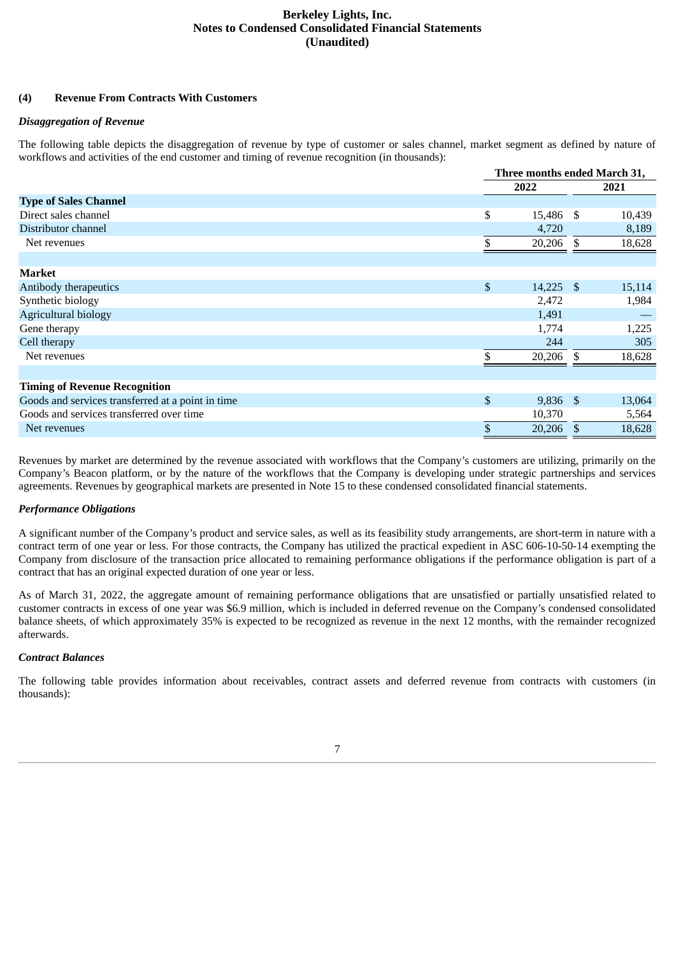# **(4) Revenue From Contracts With Customers**

#### *Disaggregation of Revenue*

The following table depicts the disaggregation of revenue by type of customer or sales channel, market segment as defined by nature of workflows and activities of the end customer and timing of revenue recognition (in thousands):

|                                                   |              | Three months ended March 31, |               |        |
|---------------------------------------------------|--------------|------------------------------|---------------|--------|
|                                                   |              | 2022                         |               | 2021   |
| <b>Type of Sales Channel</b>                      |              |                              |               |        |
| Direct sales channel                              | \$           | 15,486                       | -S            | 10,439 |
| Distributor channel                               |              | 4,720                        |               | 8,189  |
| Net revenues                                      | \$           | 20,206                       | -S            | 18,628 |
|                                                   |              |                              |               |        |
| <b>Market</b>                                     |              |                              |               |        |
| Antibody therapeutics                             | $\mathbb{S}$ | $14,225$ \$                  |               | 15,114 |
| Synthetic biology                                 |              | 2,472                        |               | 1,984  |
| Agricultural biology                              |              | 1,491                        |               |        |
| Gene therapy                                      |              | 1,774                        |               | 1,225  |
| Cell therapy                                      |              | 244                          |               | 305    |
| Net revenues                                      |              | 20,206                       | -S            | 18,628 |
|                                                   |              |                              |               |        |
| <b>Timing of Revenue Recognition</b>              |              |                              |               |        |
| Goods and services transferred at a point in time | \$           | 9,836                        | - \$          | 13,064 |
| Goods and services transferred over time          |              | 10,370                       |               | 5,564  |
| Net revenues                                      | \$           | 20,206                       | <sup>\$</sup> | 18,628 |

Revenues by market are determined by the revenue associated with workflows that the Company's customers are utilizing, primarily on the Company's Beacon platform, or by the nature of the workflows that the Company is developing under strategic partnerships and services agreements. Revenues by geographical markets are presented in Note 15 to these condensed consolidated financial statements.

# *Performance Obligations*

A significant number of the Company's product and service sales, as well as its feasibility study arrangements, are short-term in nature with a contract term of one year or less. For those contracts, the Company has utilized the practical expedient in ASC 606-10-50-14 exempting the Company from disclosure of the transaction price allocated to remaining performance obligations if the performance obligation is part of a contract that has an original expected duration of one year or less.

As of March 31, 2022, the aggregate amount of remaining performance obligations that are unsatisfied or partially unsatisfied related to customer contracts in excess of one year was \$6.9 million, which is included in deferred revenue on the Company's condensed consolidated balance sheets, of which approximately 35% is expected to be recognized as revenue in the next 12 months, with the remainder recognized afterwards.

# *Contract Balances*

The following table provides information about receivables, contract assets and deferred revenue from contracts with customers (in thousands):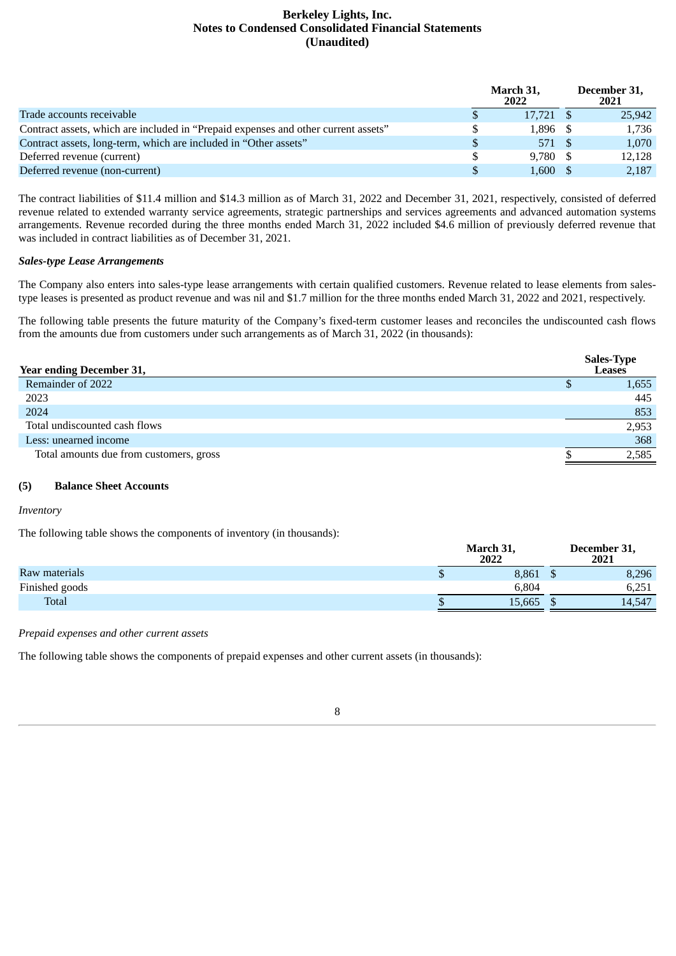|                                                                                    | March 31,<br>2022 | December 31,<br>2021 |
|------------------------------------------------------------------------------------|-------------------|----------------------|
| Trade accounts receivable                                                          | 17.721 \$         | 25,942               |
| Contract assets, which are included in "Prepaid expenses and other current assets" | 1,896 \$          | 1,736                |
| Contract assets, long-term, which are included in "Other assets"                   | 571 \$            | 1.070                |
| Deferred revenue (current)                                                         | 9.780 S           | 12.128               |
| Deferred revenue (non-current)                                                     | 1,600             | 2.187                |

The contract liabilities of \$11.4 million and \$14.3 million as of March 31, 2022 and December 31, 2021, respectively, consisted of deferred revenue related to extended warranty service agreements, strategic partnerships and services agreements and advanced automation systems arrangements. Revenue recorded during the three months ended March 31, 2022 included \$4.6 million of previously deferred revenue that was included in contract liabilities as of December 31, 2021.

#### *Sales-type Lease Arrangements*

The Company also enters into sales-type lease arrangements with certain qualified customers. Revenue related to lease elements from salestype leases is presented as product revenue and was nil and \$1.7 million for the three months ended March 31, 2022 and 2021, respectively.

The following table presents the future maturity of the Company's fixed-term customer leases and reconciles the undiscounted cash flows from the amounts due from customers under such arrangements as of March 31, 2022 (in thousands):

| <b>Year ending December 31,</b>         |   | Sales-Type<br><b>Leases</b> |
|-----------------------------------------|---|-----------------------------|
| Remainder of 2022                       | D | 1,655                       |
| 2023                                    |   | 445                         |
| 2024                                    |   | 853                         |
| Total undiscounted cash flows           |   | 2,953                       |
| Less: unearned income                   |   | 368                         |
| Total amounts due from customers, gross |   | 2,585                       |

# **(5) Balance Sheet Accounts**

#### *Inventory*

The following table shows the components of inventory (in thousands):

|                | March 31,<br>2022 | December 31,<br>2021 |  |  |
|----------------|-------------------|----------------------|--|--|
| Raw materials  | 8,861             | 8,296                |  |  |
| Finished goods | 6.804             | 6,251                |  |  |
| <b>Total</b>   | 15,665            | 14,547               |  |  |

# *Prepaid expenses and other current assets*

The following table shows the components of prepaid expenses and other current assets (in thousands):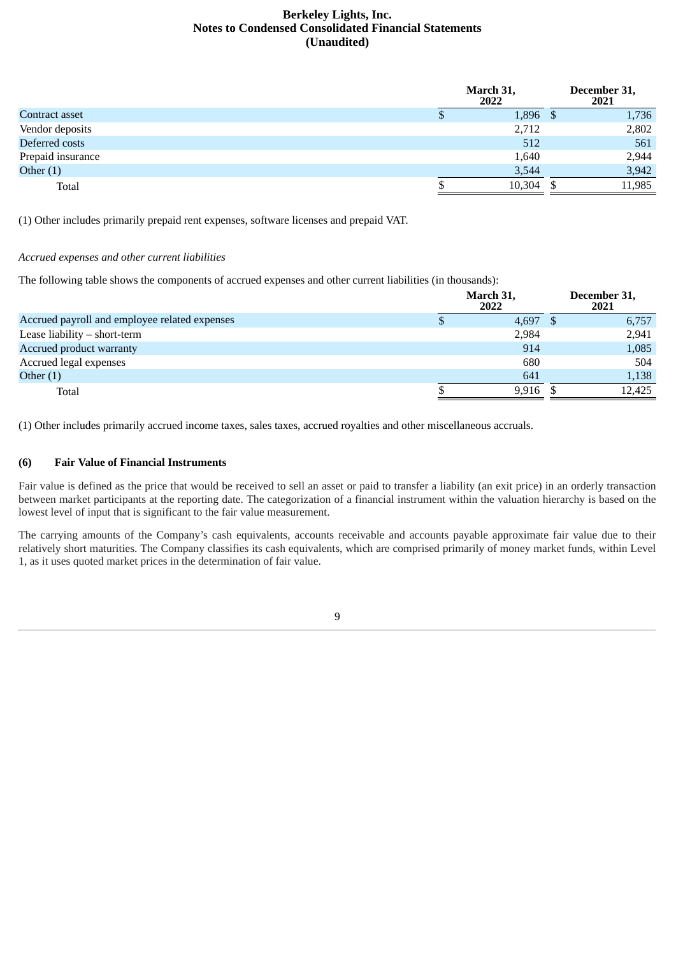|                   | March 31,<br>2022 | December 31,<br>2021 |
|-------------------|-------------------|----------------------|
| Contract asset    | 1,896 \$          | 1,736                |
| Vendor deposits   | 2,712             | 2,802                |
| Deferred costs    | 512               | 561                  |
| Prepaid insurance | 1,640             | 2,944                |
| Other $(1)$       | 3,544             | 3,942                |
| Total             | 10,304            | 11,985               |

(1) Other includes primarily prepaid rent expenses, software licenses and prepaid VAT.

# *Accrued expenses and other current liabilities*

The following table shows the components of accrued expenses and other current liabilities (in thousands):

|                                               | March 31,<br>2022 | December 31,<br>2021 |
|-----------------------------------------------|-------------------|----------------------|
| Accrued payroll and employee related expenses | 4,697             | 6,757                |
| Lease liability – short-term                  | 2,984             | 2,941                |
| Accrued product warranty                      | 914               | 1,085                |
| Accrued legal expenses                        | 680               | 504                  |
| Other $(1)$                                   | 641               | 1,138                |
| Total                                         | 9,916             | 12,425               |

(1) Other includes primarily accrued income taxes, sales taxes, accrued royalties and other miscellaneous accruals.

# **(6) Fair Value of Financial Instruments**

Fair value is defined as the price that would be received to sell an asset or paid to transfer a liability (an exit price) in an orderly transaction between market participants at the reporting date. The categorization of a financial instrument within the valuation hierarchy is based on the lowest level of input that is significant to the fair value measurement.

The carrying amounts of the Company's cash equivalents, accounts receivable and accounts payable approximate fair value due to their relatively short maturities. The Company classifies its cash equivalents, which are comprised primarily of money market funds, within Level 1, as it uses quoted market prices in the determination of fair value.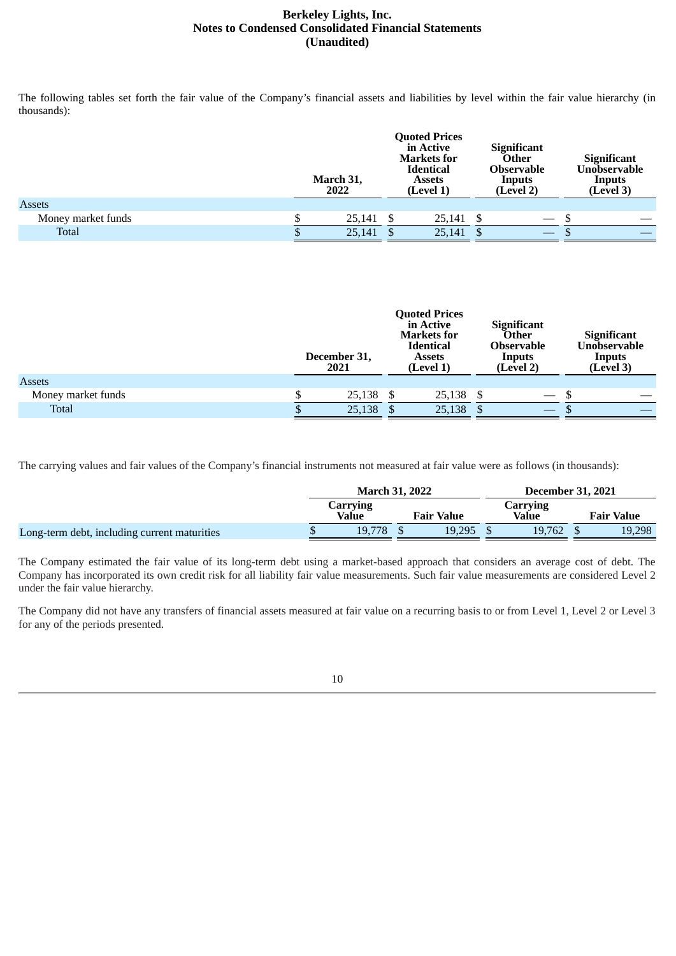The following tables set forth the fair value of the Company's financial assets and liabilities by level within the fair value hierarchy (in thousands):

|                    | March 31,<br>2022 | <b>Quoted Prices</b><br>in Active<br><b>Markets</b> for<br>Identical<br><b>Assets</b><br>(Level 1) |             | <b>Significant</b><br>Other<br><b>Observable</b><br>Inputs<br>(Level 2) |  | <b>Significant</b><br>Unobservable<br>Inputs<br>(Level 3) |
|--------------------|-------------------|----------------------------------------------------------------------------------------------------|-------------|-------------------------------------------------------------------------|--|-----------------------------------------------------------|
| <b>Assets</b>      |                   |                                                                                                    |             |                                                                         |  |                                                           |
| Money market funds | 25,141            |                                                                                                    | $25,141$ \$ | $\overline{\phantom{m}}$                                                |  |                                                           |
| Total              | 25,141            |                                                                                                    | 25,141      | $\overline{\phantom{a}}$                                                |  |                                                           |

|                    | <b>Quoted Prices</b><br>in Active<br><b>Markets</b> for<br><b>Identical</b><br>December 31,<br><b>Assets</b><br>(Level 1)<br>2021 |        | <b>Significant</b><br>Other<br><b>Observable</b><br>Inputs |        |  | (Level 2)                      | <b>Significant</b><br>Unobservable<br>Inputs<br>(Level 3) |
|--------------------|-----------------------------------------------------------------------------------------------------------------------------------|--------|------------------------------------------------------------|--------|--|--------------------------------|-----------------------------------------------------------|
| <b>Assets</b>      |                                                                                                                                   |        |                                                            |        |  |                                |                                                           |
| Money market funds |                                                                                                                                   | 25,138 | - \$                                                       | 25,138 |  | $\overline{\phantom{a}}$       |                                                           |
| Total              |                                                                                                                                   | 25,138 |                                                            | 25,138 |  | $\qquad \qquad \longleftarrow$ |                                                           |

The carrying values and fair values of the Company's financial instruments not measured at fair value were as follows (in thousands):

|                                              | <b>March 31, 2022</b> |                   | <b>December 31, 2021</b> |  |                   |  |                   |
|----------------------------------------------|-----------------------|-------------------|--------------------------|--|-------------------|--|-------------------|
|                                              |                       | Carrying<br>Value | Fair Value               |  | Carrying<br>Value |  | <b>Fair Value</b> |
| Long-term debt, including current maturities |                       | 19.778            | 19.295                   |  | 19.762            |  | 19,298            |

The Company estimated the fair value of its long-term debt using a market-based approach that considers an average cost of debt. The Company has incorporated its own credit risk for all liability fair value measurements. Such fair value measurements are considered Level 2 under the fair value hierarchy.

The Company did not have any transfers of financial assets measured at fair value on a recurring basis to or from Level 1, Level 2 or Level 3 for any of the periods presented.

10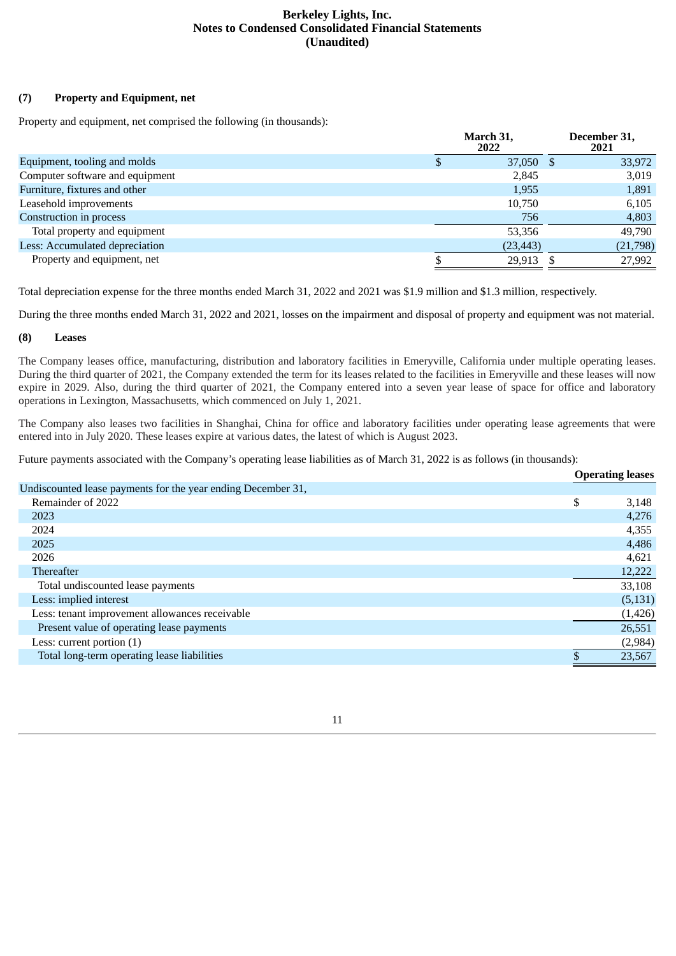# **(7) Property and Equipment, net**

Property and equipment, net comprised the following (in thousands):

|                                 | March 31,<br>2022 | December 31,<br>2021 |
|---------------------------------|-------------------|----------------------|
| Equipment, tooling and molds    | 37,050 \$         | 33,972               |
| Computer software and equipment | 2,845             | 3,019                |
| Furniture, fixtures and other   | 1,955             | 1,891                |
| Leasehold improvements          | 10,750            | 6,105                |
| Construction in process         | 756               | 4,803                |
| Total property and equipment    | 53,356            | 49,790               |
| Less: Accumulated depreciation  | (23, 443)         | (21,798)             |
| Property and equipment, net     | 29,913            | 27,992               |
|                                 |                   |                      |

Total depreciation expense for the three months ended March 31, 2022 and 2021 was \$1.9 million and \$1.3 million, respectively.

During the three months ended March 31, 2022 and 2021, losses on the impairment and disposal of property and equipment was not material.

# **(8) Leases**

The Company leases office, manufacturing, distribution and laboratory facilities in Emeryville, California under multiple operating leases. During the third quarter of 2021, the Company extended the term for its leases related to the facilities in Emeryville and these leases will now expire in 2029. Also, during the third quarter of 2021, the Company entered into a seven year lease of space for office and laboratory operations in Lexington, Massachusetts, which commenced on July 1, 2021.

The Company also leases two facilities in Shanghai, China for office and laboratory facilities under operating lease agreements that were entered into in July 2020. These leases expire at various dates, the latest of which is August 2023.

Future payments associated with the Company's operating lease liabilities as of March 31, 2022 is as follows (in thousands):

|                                                              | <b>Operating leases</b> |
|--------------------------------------------------------------|-------------------------|
| Undiscounted lease payments for the year ending December 31, |                         |
| Remainder of 2022                                            | \$<br>3,148             |
| 2023                                                         | 4,276                   |
| 2024                                                         | 4,355                   |
| 2025                                                         | 4,486                   |
| 2026                                                         | 4,621                   |
| Thereafter                                                   | 12,222                  |
| Total undiscounted lease payments                            | 33,108                  |
| Less: implied interest                                       | (5, 131)                |
| Less: tenant improvement allowances receivable               | (1,426)                 |
| Present value of operating lease payments                    | 26,551                  |
| Less: current portion $(1)$                                  | (2,984)                 |
| Total long-term operating lease liabilities                  | 23,567                  |
|                                                              |                         |

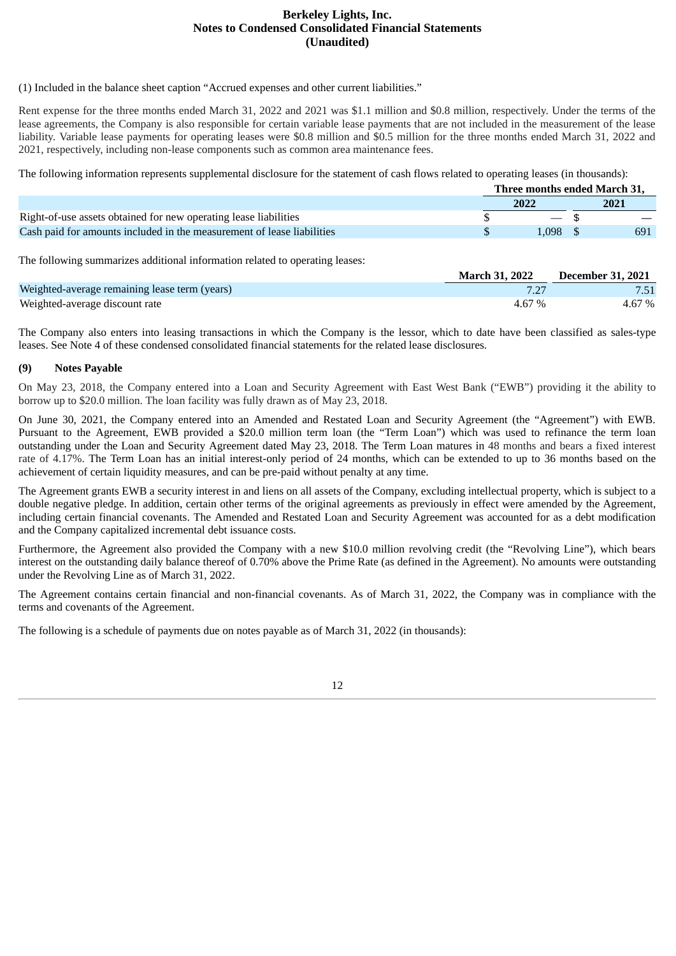#### (1) Included in the balance sheet caption "Accrued expenses and other current liabilities."

Rent expense for the three months ended March 31, 2022 and 2021 was \$1.1 million and \$0.8 million, respectively. Under the terms of the lease agreements, the Company is also responsible for certain variable lease payments that are not included in the measurement of the lease liability. Variable lease payments for operating leases were \$0.8 million and \$0.5 million for the three months ended March 31, 2022 and 2021, respectively, including non-lease components such as common area maintenance fees.

The following information represents supplemental disclosure for the statement of cash flows related to operating leases (in thousands):

|                                                                        | Three months ended March 31, |      |     |  |  |  |
|------------------------------------------------------------------------|------------------------------|------|-----|--|--|--|
|                                                                        | 2022                         | 2021 |     |  |  |  |
| Right-of-use assets obtained for new operating lease liabilities       |                              |      |     |  |  |  |
| Cash paid for amounts included in the measurement of lease liabilities | 1.098 S                      |      | 691 |  |  |  |

The following summarizes additional information related to operating leases:

|                                               | <b>March 31, 2022</b> | December 31, 2021 |
|-----------------------------------------------|-----------------------|-------------------|
| Weighted-average remaining lease term (years) |                       | 7.51              |
| Weighted-average discount rate                | 4.67 %                | 4.67 %            |

The Company also enters into leasing transactions in which the Company is the lessor, which to date have been classified as sales-type leases. See Note 4 of these condensed consolidated financial statements for the related lease disclosures.

# **(9) Notes Payable**

On May 23, 2018, the Company entered into a Loan and Security Agreement with East West Bank ("EWB") providing it the ability to borrow up to \$20.0 million. The loan facility was fully drawn as of May 23, 2018.

On June 30, 2021, the Company entered into an Amended and Restated Loan and Security Agreement (the "Agreement") with EWB. Pursuant to the Agreement, EWB provided a \$20.0 million term loan (the "Term Loan") which was used to refinance the term loan outstanding under the Loan and Security Agreement dated May 23, 2018. The Term Loan matures in 48 months and bears a fixed interest rate of 4.17%. The Term Loan has an initial interest-only period of 24 months, which can be extended to up to 36 months based on the achievement of certain liquidity measures, and can be pre-paid without penalty at any time.

The Agreement grants EWB a security interest in and liens on all assets of the Company, excluding intellectual property, which is subject to a double negative pledge. In addition, certain other terms of the original agreements as previously in effect were amended by the Agreement, including certain financial covenants. The Amended and Restated Loan and Security Agreement was accounted for as a debt modification and the Company capitalized incremental debt issuance costs.

Furthermore, the Agreement also provided the Company with a new \$10.0 million revolving credit (the "Revolving Line"), which bears interest on the outstanding daily balance thereof of 0.70% above the Prime Rate (as defined in the Agreement). No amounts were outstanding under the Revolving Line as of March 31, 2022.

The Agreement contains certain financial and non-financial covenants. As of March 31, 2022, the Company was in compliance with the terms and covenants of the Agreement.

The following is a schedule of payments due on notes payable as of March 31, 2022 (in thousands):

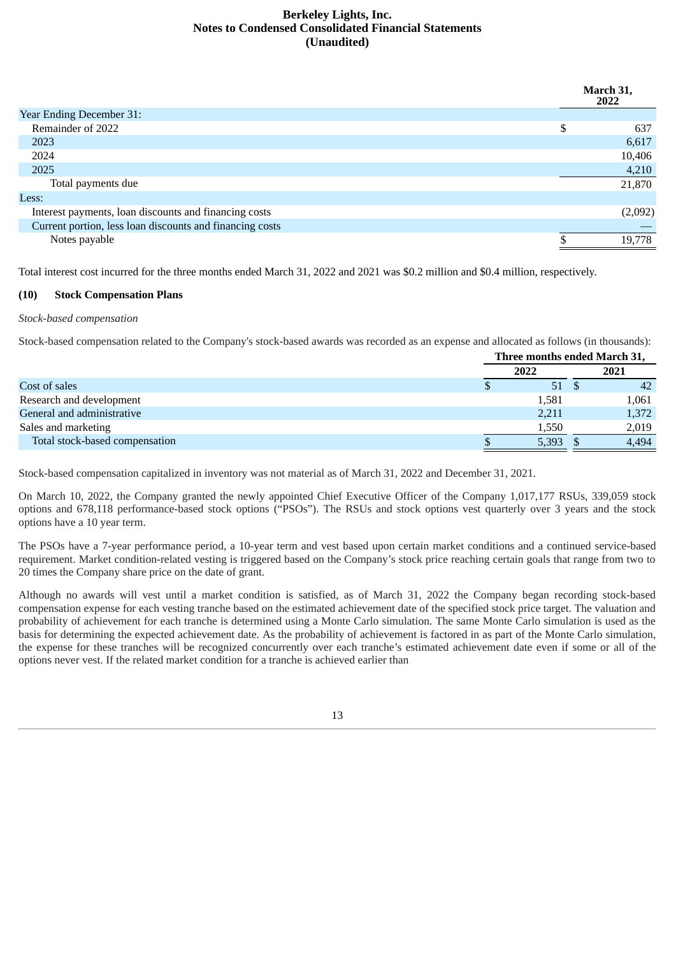|                                                          | March 31,<br>2022 |
|----------------------------------------------------------|-------------------|
| Year Ending December 31:                                 |                   |
| Remainder of 2022                                        | \$<br>637         |
| 2023                                                     | 6,617             |
| 2024                                                     | 10,406            |
| 2025                                                     | 4,210             |
| Total payments due                                       | 21,870            |
| Less:                                                    |                   |
| Interest payments, loan discounts and financing costs    | (2,092)           |
| Current portion, less loan discounts and financing costs |                   |
| Notes payable                                            | 19,778            |
|                                                          |                   |

Total interest cost incurred for the three months ended March 31, 2022 and 2021 was \$0.2 million and \$0.4 million, respectively.

#### **(10) Stock Compensation Plans**

*Stock-based compensation*

Stock-based compensation related to the Company's stock-based awards was recorded as an expense and allocated as follows (in thousands):

|                                | Three months ended March 31, |  |       |  |
|--------------------------------|------------------------------|--|-------|--|
|                                | 2022                         |  | 2021  |  |
| Cost of sales                  | 51                           |  | 42    |  |
| Research and development       | 1,581                        |  | 1,061 |  |
| General and administrative     | 2,211                        |  | 1,372 |  |
| Sales and marketing            | 1.550                        |  | 2,019 |  |
| Total stock-based compensation | 5,393                        |  | 4,494 |  |

Stock-based compensation capitalized in inventory was not material as of March 31, 2022 and December 31, 2021.

On March 10, 2022, the Company granted the newly appointed Chief Executive Officer of the Company 1,017,177 RSUs, 339,059 stock options and 678,118 performance-based stock options ("PSOs"). The RSUs and stock options vest quarterly over 3 years and the stock options have a 10 year term.

The PSOs have a 7-year performance period, a 10-year term and vest based upon certain market conditions and a continued service-based requirement. Market condition-related vesting is triggered based on the Company's stock price reaching certain goals that range from two to 20 times the Company share price on the date of grant.

Although no awards will vest until a market condition is satisfied, as of March 31, 2022 the Company began recording stock-based compensation expense for each vesting tranche based on the estimated achievement date of the specified stock price target. The valuation and probability of achievement for each tranche is determined using a Monte Carlo simulation. The same Monte Carlo simulation is used as the basis for determining the expected achievement date. As the probability of achievement is factored in as part of the Monte Carlo simulation, the expense for these tranches will be recognized concurrently over each tranche's estimated achievement date even if some or all of the options never vest. If the related market condition for a tranche is achieved earlier than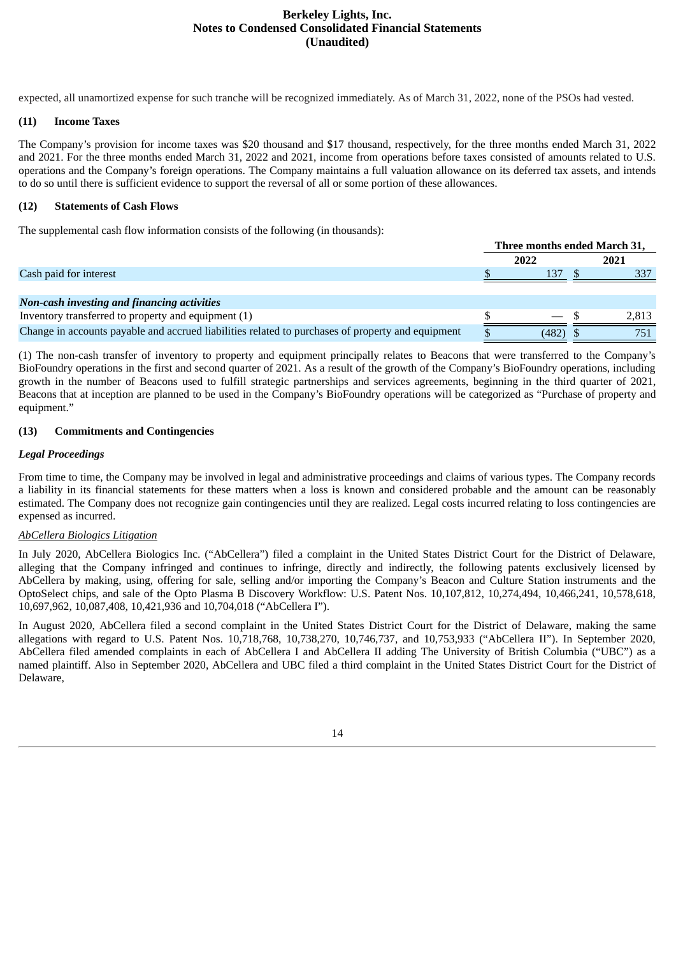expected, all unamortized expense for such tranche will be recognized immediately. As of March 31, 2022, none of the PSOs had vested.

## **(11) Income Taxes**

The Company's provision for income taxes was \$20 thousand and \$17 thousand, respectively, for the three months ended March 31, 2022 and 2021. For the three months ended March 31, 2022 and 2021, income from operations before taxes consisted of amounts related to U.S. operations and the Company's foreign operations. The Company maintains a full valuation allowance on its deferred tax assets, and intends to do so until there is sufficient evidence to support the reversal of all or some portion of these allowances.

#### **(12) Statements of Cash Flows**

The supplemental cash flow information consists of the following (in thousands):

|                                                                                                   | Three months ended March 31, |       |  |       |
|---------------------------------------------------------------------------------------------------|------------------------------|-------|--|-------|
|                                                                                                   |                              | 2022  |  | 2021  |
| Cash paid for interest                                                                            |                              | 137   |  |       |
|                                                                                                   |                              |       |  |       |
| <b>Non-cash investing and financing activities</b>                                                |                              |       |  |       |
| Inventory transferred to property and equipment (1)                                               |                              |       |  | 2.813 |
| Change in accounts payable and accrued liabilities related to purchases of property and equipment |                              | (482) |  |       |

(1) The non-cash transfer of inventory to property and equipment principally relates to Beacons that were transferred to the Company's BioFoundry operations in the first and second quarter of 2021. As a result of the growth of the Company's BioFoundry operations, including growth in the number of Beacons used to fulfill strategic partnerships and services agreements, beginning in the third quarter of 2021, Beacons that at inception are planned to be used in the Company's BioFoundry operations will be categorized as "Purchase of property and equipment."

# **(13) Commitments and Contingencies**

# *Legal Proceedings*

From time to time, the Company may be involved in legal and administrative proceedings and claims of various types. The Company records a liability in its financial statements for these matters when a loss is known and considered probable and the amount can be reasonably estimated. The Company does not recognize gain contingencies until they are realized. Legal costs incurred relating to loss contingencies are expensed as incurred.

# *AbCellera Biologics Litigation*

In July 2020, AbCellera Biologics Inc. ("AbCellera") filed a complaint in the United States District Court for the District of Delaware, alleging that the Company infringed and continues to infringe, directly and indirectly, the following patents exclusively licensed by AbCellera by making, using, offering for sale, selling and/or importing the Company's Beacon and Culture Station instruments and the OptoSelect chips, and sale of the Opto Plasma B Discovery Workflow: U.S. Patent Nos. 10,107,812, 10,274,494, 10,466,241, 10,578,618, 10,697,962, 10,087,408, 10,421,936 and 10,704,018 ("AbCellera I").

In August 2020, AbCellera filed a second complaint in the United States District Court for the District of Delaware, making the same allegations with regard to U.S. Patent Nos. 10,718,768, 10,738,270, 10,746,737, and 10,753,933 ("AbCellera II"). In September 2020, AbCellera filed amended complaints in each of AbCellera I and AbCellera II adding The University of British Columbia ("UBC") as a named plaintiff. Also in September 2020, AbCellera and UBC filed a third complaint in the United States District Court for the District of Delaware,

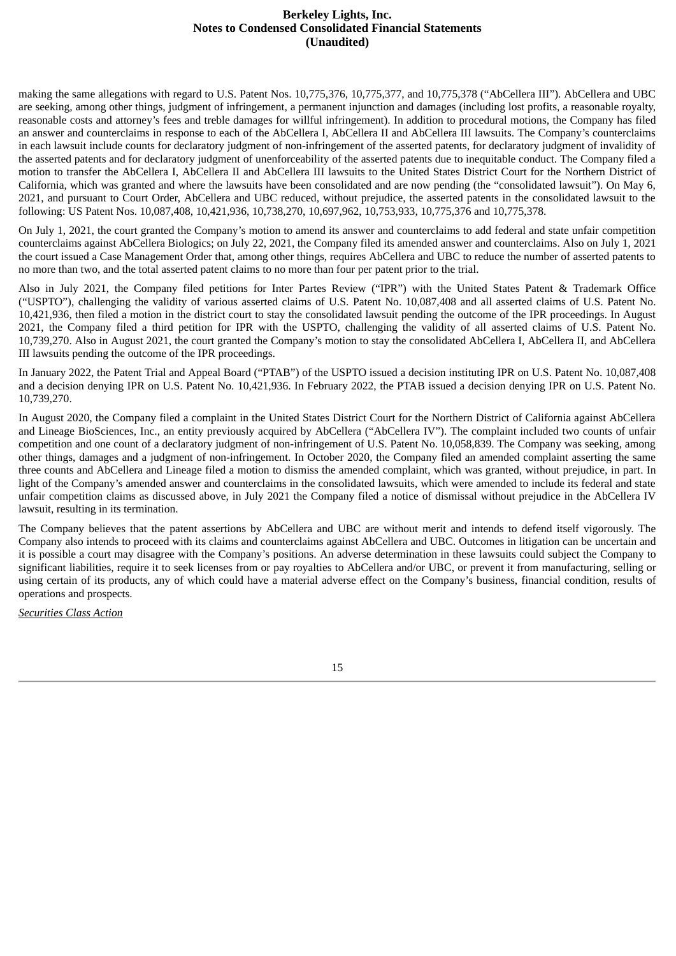making the same allegations with regard to U.S. Patent Nos. 10,775,376, 10,775,377, and 10,775,378 ("AbCellera III"). AbCellera and UBC are seeking, among other things, judgment of infringement, a permanent injunction and damages (including lost profits, a reasonable royalty, reasonable costs and attorney's fees and treble damages for willful infringement). In addition to procedural motions, the Company has filed an answer and counterclaims in response to each of the AbCellera I, AbCellera II and AbCellera III lawsuits. The Company's counterclaims in each lawsuit include counts for declaratory judgment of non-infringement of the asserted patents, for declaratory judgment of invalidity of the asserted patents and for declaratory judgment of unenforceability of the asserted patents due to inequitable conduct. The Company filed a motion to transfer the AbCellera I, AbCellera II and AbCellera III lawsuits to the United States District Court for the Northern District of California, which was granted and where the lawsuits have been consolidated and are now pending (the "consolidated lawsuit"). On May 6, 2021, and pursuant to Court Order, AbCellera and UBC reduced, without prejudice, the asserted patents in the consolidated lawsuit to the following: US Patent Nos. 10,087,408, 10,421,936, 10,738,270, 10,697,962, 10,753,933, 10,775,376 and 10,775,378.

On July 1, 2021, the court granted the Company's motion to amend its answer and counterclaims to add federal and state unfair competition counterclaims against AbCellera Biologics; on July 22, 2021, the Company filed its amended answer and counterclaims. Also on July 1, 2021 the court issued a Case Management Order that, among other things, requires AbCellera and UBC to reduce the number of asserted patents to no more than two, and the total asserted patent claims to no more than four per patent prior to the trial.

Also in July 2021, the Company filed petitions for Inter Partes Review ("IPR") with the United States Patent & Trademark Office ("USPTO"), challenging the validity of various asserted claims of U.S. Patent No. 10,087,408 and all asserted claims of U.S. Patent No. 10,421,936, then filed a motion in the district court to stay the consolidated lawsuit pending the outcome of the IPR proceedings. In August 2021, the Company filed a third petition for IPR with the USPTO, challenging the validity of all asserted claims of U.S. Patent No. 10,739,270. Also in August 2021, the court granted the Company's motion to stay the consolidated AbCellera I, AbCellera II, and AbCellera III lawsuits pending the outcome of the IPR proceedings.

In January 2022, the Patent Trial and Appeal Board ("PTAB") of the USPTO issued a decision instituting IPR on U.S. Patent No. 10,087,408 and a decision denying IPR on U.S. Patent No. 10,421,936. In February 2022, the PTAB issued a decision denying IPR on U.S. Patent No. 10,739,270.

In August 2020, the Company filed a complaint in the United States District Court for the Northern District of California against AbCellera and Lineage BioSciences, Inc., an entity previously acquired by AbCellera ("AbCellera IV"). The complaint included two counts of unfair competition and one count of a declaratory judgment of non-infringement of U.S. Patent No. 10,058,839. The Company was seeking, among other things, damages and a judgment of non-infringement. In October 2020, the Company filed an amended complaint asserting the same three counts and AbCellera and Lineage filed a motion to dismiss the amended complaint, which was granted, without prejudice, in part. In light of the Company's amended answer and counterclaims in the consolidated lawsuits, which were amended to include its federal and state unfair competition claims as discussed above, in July 2021 the Company filed a notice of dismissal without prejudice in the AbCellera IV lawsuit, resulting in its termination.

The Company believes that the patent assertions by AbCellera and UBC are without merit and intends to defend itself vigorously. The Company also intends to proceed with its claims and counterclaims against AbCellera and UBC. Outcomes in litigation can be uncertain and it is possible a court may disagree with the Company's positions. An adverse determination in these lawsuits could subject the Company to significant liabilities, require it to seek licenses from or pay royalties to AbCellera and/or UBC, or prevent it from manufacturing, selling or using certain of its products, any of which could have a material adverse effect on the Company's business, financial condition, results of operations and prospects.

*Securities Class Action*

15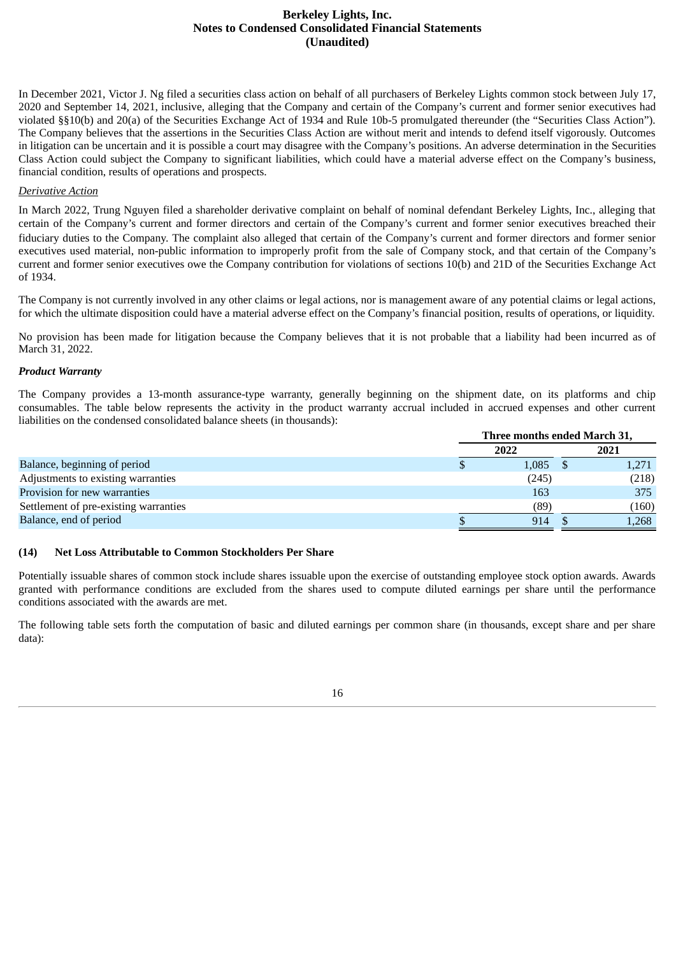In December 2021, Victor J. Ng filed a securities class action on behalf of all purchasers of Berkeley Lights common stock between July 17, 2020 and September 14, 2021, inclusive, alleging that the Company and certain of the Company's current and former senior executives had violated §§10(b) and 20(a) of the Securities Exchange Act of 1934 and Rule 10b-5 promulgated thereunder (the "Securities Class Action"). The Company believes that the assertions in the Securities Class Action are without merit and intends to defend itself vigorously. Outcomes in litigation can be uncertain and it is possible a court may disagree with the Company's positions. An adverse determination in the Securities Class Action could subject the Company to significant liabilities, which could have a material adverse effect on the Company's business, financial condition, results of operations and prospects.

#### *Derivative Action*

In March 2022, Trung Nguyen filed a shareholder derivative complaint on behalf of nominal defendant Berkeley Lights, Inc., alleging that certain of the Company's current and former directors and certain of the Company's current and former senior executives breached their fiduciary duties to the Company. The complaint also alleged that certain of the Company's current and former directors and former senior executives used material, non-public information to improperly profit from the sale of Company stock, and that certain of the Company's current and former senior executives owe the Company contribution for violations of sections 10(b) and 21D of the Securities Exchange Act of 1934.

The Company is not currently involved in any other claims or legal actions, nor is management aware of any potential claims or legal actions, for which the ultimate disposition could have a material adverse effect on the Company's financial position, results of operations, or liquidity.

No provision has been made for litigation because the Company believes that it is not probable that a liability had been incurred as of March 31, 2022.

#### *Product Warranty*

The Company provides a 13-month assurance-type warranty, generally beginning on the shipment date, on its platforms and chip consumables. The table below represents the activity in the product warranty accrual included in accrued expenses and other current liabilities on the condensed consolidated balance sheets (in thousands):

|                                       | Three months ended March 31, |  |       |  |  |  |
|---------------------------------------|------------------------------|--|-------|--|--|--|
|                                       | 2022                         |  | 2021  |  |  |  |
| Balance, beginning of period          | 1,085                        |  | 1,271 |  |  |  |
| Adjustments to existing warranties    | (245)                        |  | (218) |  |  |  |
| Provision for new warranties          | 163                          |  | 375   |  |  |  |
| Settlement of pre-existing warranties | (89)                         |  | (160) |  |  |  |
| Balance, end of period                | 914                          |  | 1,268 |  |  |  |

# **(14) Net Loss Attributable to Common Stockholders Per Share**

Potentially issuable shares of common stock include shares issuable upon the exercise of outstanding employee stock option awards. Awards granted with performance conditions are excluded from the shares used to compute diluted earnings per share until the performance conditions associated with the awards are met.

The following table sets forth the computation of basic and diluted earnings per common share (in thousands, except share and per share data):

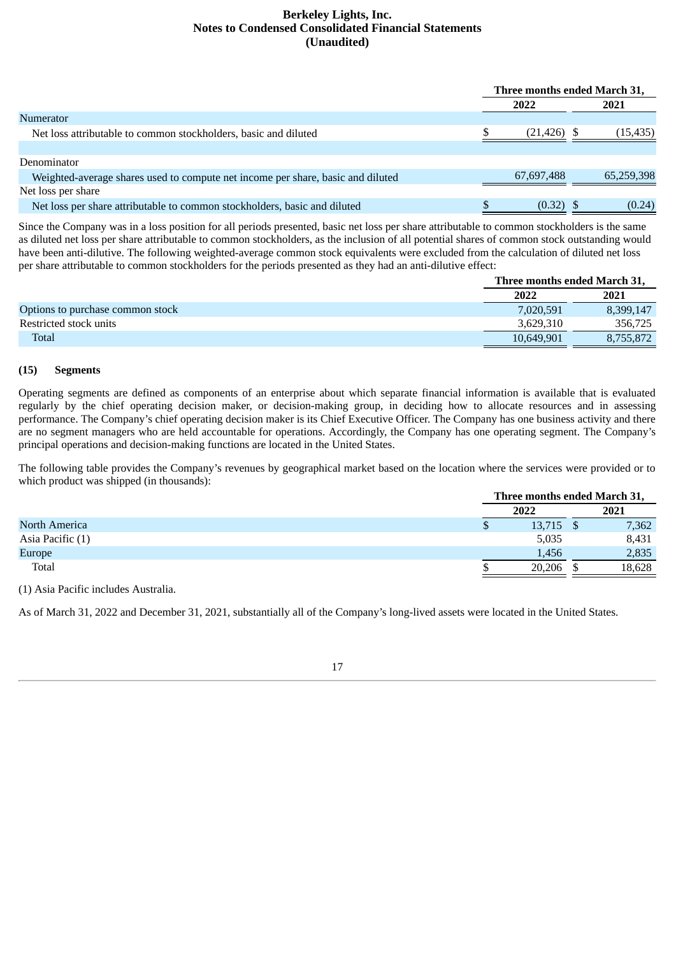|                                                                                 | Three months ended March 31, |                |  |            |  |
|---------------------------------------------------------------------------------|------------------------------|----------------|--|------------|--|
|                                                                                 |                              | 2022           |  | 2021       |  |
| Numerator                                                                       |                              |                |  |            |  |
| Net loss attributable to common stockholders, basic and diluted                 |                              | $(21, 426)$ \$ |  | (15, 435)  |  |
|                                                                                 |                              |                |  |            |  |
| Denominator                                                                     |                              |                |  |            |  |
| Weighted-average shares used to compute net income per share, basic and diluted |                              | 67,697,488     |  | 65,259,398 |  |
| Net loss per share                                                              |                              |                |  |            |  |
| Net loss per share attributable to common stockholders, basic and diluted       |                              | $(0.32)$ \$    |  | (0.24)     |  |

Since the Company was in a loss position for all periods presented, basic net loss per share attributable to common stockholders is the same as diluted net loss per share attributable to common stockholders, as the inclusion of all potential shares of common stock outstanding would have been anti-dilutive. The following weighted-average common stock equivalents were excluded from the calculation of diluted net loss per share attributable to common stockholders for the periods presented as they had an anti-dilutive effect:

|                                  | Three months ended March 31, |           |
|----------------------------------|------------------------------|-----------|
|                                  | 2022                         | 2021      |
| Options to purchase common stock | 7.020.591                    | 8.399.147 |
| Restricted stock units           | 3,629,310                    | 356.725   |
| Total                            | 10,649,901                   | 8,755,872 |

# **(15) Segments**

Operating segments are defined as components of an enterprise about which separate financial information is available that is evaluated regularly by the chief operating decision maker, or decision-making group, in deciding how to allocate resources and in assessing performance. The Company's chief operating decision maker is its Chief Executive Officer. The Company has one business activity and there are no segment managers who are held accountable for operations. Accordingly, the Company has one operating segment. The Company's principal operations and decision-making functions are located in the United States.

The following table provides the Company's revenues by geographical market based on the location where the services were provided or to which product was shipped (in thousands):

|                  | Three months ended March 31, |  |        |  |  |
|------------------|------------------------------|--|--------|--|--|
|                  | 2022                         |  | 2021   |  |  |
| North America    | 13,715                       |  | 7,362  |  |  |
| Asia Pacific (1) | 5,035                        |  | 8,431  |  |  |
| <b>Europe</b>    | 1.456                        |  | 2,835  |  |  |
| <b>Total</b>     | 20,206                       |  | 18,628 |  |  |

(1) Asia Pacific includes Australia.

<span id="page-19-0"></span>As of March 31, 2022 and December 31, 2021, substantially all of the Company's long-lived assets were located in the United States.

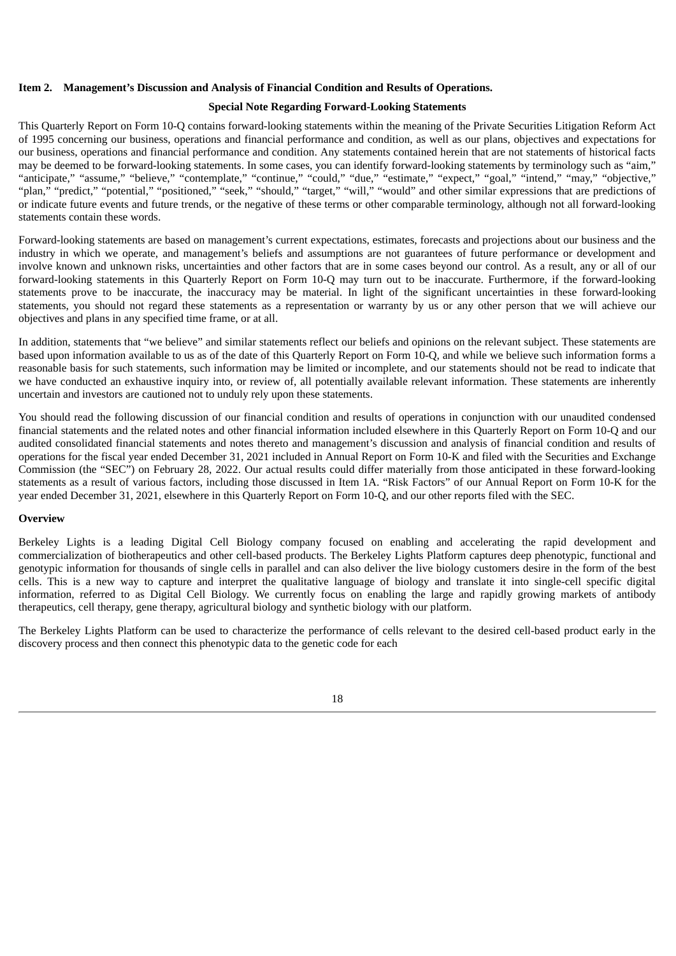#### **Item 2. Management's Discussion and Analysis of Financial Condition and Results of Operations.**

#### **Special Note Regarding Forward-Looking Statements**

This Quarterly Report on Form 10-Q contains forward-looking statements within the meaning of the Private Securities Litigation Reform Act of 1995 concerning our business, operations and financial performance and condition, as well as our plans, objectives and expectations for our business, operations and financial performance and condition. Any statements contained herein that are not statements of historical facts may be deemed to be forward-looking statements. In some cases, you can identify forward-looking statements by terminology such as "aim," "anticipate," "assume," "believe," "contemplate," "continue," "could," "due," "estimate," "expect," "goal," "intend," "may," "objective," "plan," "predict," "potential," "positioned," "seek," "should," "target," "will," "would" and other similar expressions that are predictions of or indicate future events and future trends, or the negative of these terms or other comparable terminology, although not all forward-looking statements contain these words.

Forward-looking statements are based on management's current expectations, estimates, forecasts and projections about our business and the industry in which we operate, and management's beliefs and assumptions are not guarantees of future performance or development and involve known and unknown risks, uncertainties and other factors that are in some cases beyond our control. As a result, any or all of our forward-looking statements in this Quarterly Report on Form 10-Q may turn out to be inaccurate. Furthermore, if the forward-looking statements prove to be inaccurate, the inaccuracy may be material. In light of the significant uncertainties in these forward-looking statements, you should not regard these statements as a representation or warranty by us or any other person that we will achieve our objectives and plans in any specified time frame, or at all.

In addition, statements that "we believe" and similar statements reflect our beliefs and opinions on the relevant subject. These statements are based upon information available to us as of the date of this Quarterly Report on Form 10-Q, and while we believe such information forms a reasonable basis for such statements, such information may be limited or incomplete, and our statements should not be read to indicate that we have conducted an exhaustive inquiry into, or review of, all potentially available relevant information. These statements are inherently uncertain and investors are cautioned not to unduly rely upon these statements.

You should read the following discussion of our financial condition and results of operations in conjunction with our unaudited condensed financial statements and the related notes and other financial information included elsewhere in this Quarterly Report on Form 10-Q and our audited consolidated financial statements and notes thereto and management's discussion and analysis of financial condition and results of operations for the fiscal year ended December 31, 2021 included in Annual Report on Form 10-K and filed with the Securities and Exchange Commission (the "SEC") on February 28, 2022. Our actual results could differ materially from those anticipated in these forward-looking statements as a result of various factors, including those discussed in Item 1A. "Risk Factors" of our Annual Report on Form 10-K for the year ended December 31, 2021, elsewhere in this Quarterly Report on Form 10-Q, and our other reports filed with the SEC.

#### **Overview**

Berkeley Lights is a leading Digital Cell Biology company focused on enabling and accelerating the rapid development and commercialization of biotherapeutics and other cell-based products. The Berkeley Lights Platform captures deep phenotypic, functional and genotypic information for thousands of single cells in parallel and can also deliver the live biology customers desire in the form of the best cells. This is a new way to capture and interpret the qualitative language of biology and translate it into single-cell specific digital information, referred to as Digital Cell Biology. We currently focus on enabling the large and rapidly growing markets of antibody therapeutics, cell therapy, gene therapy, agricultural biology and synthetic biology with our platform.

The Berkeley Lights Platform can be used to characterize the performance of cells relevant to the desired cell-based product early in the discovery process and then connect this phenotypic data to the genetic code for each

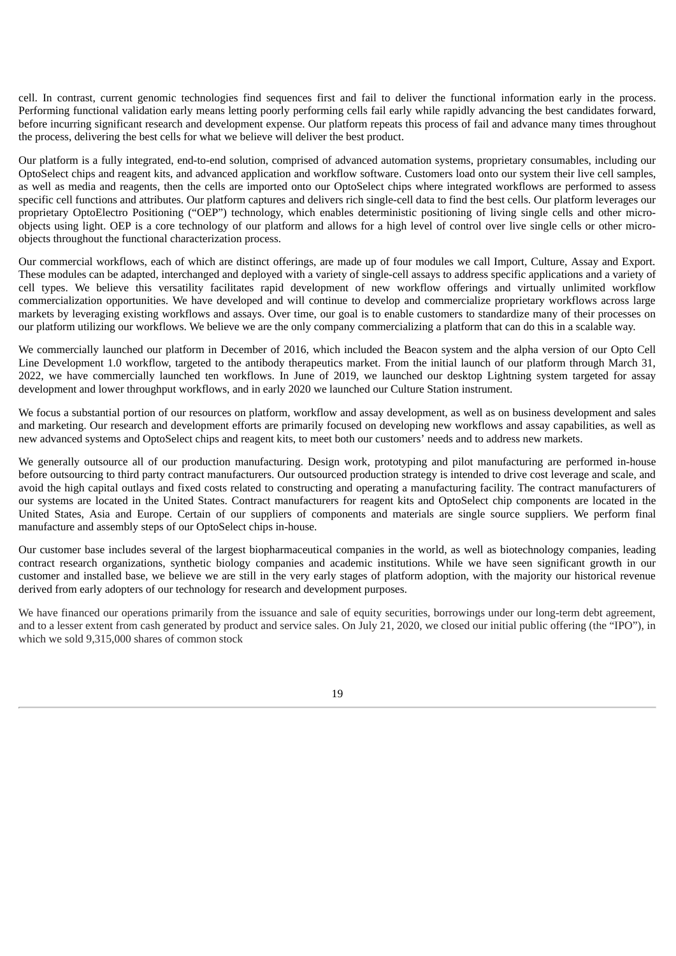cell. In contrast, current genomic technologies find sequences first and fail to deliver the functional information early in the process. Performing functional validation early means letting poorly performing cells fail early while rapidly advancing the best candidates forward, before incurring significant research and development expense. Our platform repeats this process of fail and advance many times throughout the process, delivering the best cells for what we believe will deliver the best product.

Our platform is a fully integrated, end-to-end solution, comprised of advanced automation systems, proprietary consumables, including our OptoSelect chips and reagent kits, and advanced application and workflow software. Customers load onto our system their live cell samples, as well as media and reagents, then the cells are imported onto our OptoSelect chips where integrated workflows are performed to assess specific cell functions and attributes. Our platform captures and delivers rich single-cell data to find the best cells. Our platform leverages our proprietary OptoElectro Positioning ("OEP") technology, which enables deterministic positioning of living single cells and other microobjects using light. OEP is a core technology of our platform and allows for a high level of control over live single cells or other microobjects throughout the functional characterization process.

Our commercial workflows, each of which are distinct offerings, are made up of four modules we call Import, Culture, Assay and Export. These modules can be adapted, interchanged and deployed with a variety of single-cell assays to address specific applications and a variety of cell types. We believe this versatility facilitates rapid development of new workflow offerings and virtually unlimited workflow commercialization opportunities. We have developed and will continue to develop and commercialize proprietary workflows across large markets by leveraging existing workflows and assays. Over time, our goal is to enable customers to standardize many of their processes on our platform utilizing our workflows. We believe we are the only company commercializing a platform that can do this in a scalable way.

We commercially launched our platform in December of 2016, which included the Beacon system and the alpha version of our Opto Cell Line Development 1.0 workflow, targeted to the antibody therapeutics market. From the initial launch of our platform through March 31, 2022, we have commercially launched ten workflows. In June of 2019, we launched our desktop Lightning system targeted for assay development and lower throughput workflows, and in early 2020 we launched our Culture Station instrument.

We focus a substantial portion of our resources on platform, workflow and assay development, as well as on business development and sales and marketing. Our research and development efforts are primarily focused on developing new workflows and assay capabilities, as well as new advanced systems and OptoSelect chips and reagent kits, to meet both our customers' needs and to address new markets.

We generally outsource all of our production manufacturing. Design work, prototyping and pilot manufacturing are performed in-house before outsourcing to third party contract manufacturers. Our outsourced production strategy is intended to drive cost leverage and scale, and avoid the high capital outlays and fixed costs related to constructing and operating a manufacturing facility. The contract manufacturers of our systems are located in the United States. Contract manufacturers for reagent kits and OptoSelect chip components are located in the United States, Asia and Europe. Certain of our suppliers of components and materials are single source suppliers. We perform final manufacture and assembly steps of our OptoSelect chips in-house.

Our customer base includes several of the largest biopharmaceutical companies in the world, as well as biotechnology companies, leading contract research organizations, synthetic biology companies and academic institutions. While we have seen significant growth in our customer and installed base, we believe we are still in the very early stages of platform adoption, with the majority our historical revenue derived from early adopters of our technology for research and development purposes.

We have financed our operations primarily from the issuance and sale of equity securities, borrowings under our long-term debt agreement, and to a lesser extent from cash generated by product and service sales. On July 21, 2020, we closed our initial public offering (the "IPO"), in which we sold 9,315,000 shares of common stock

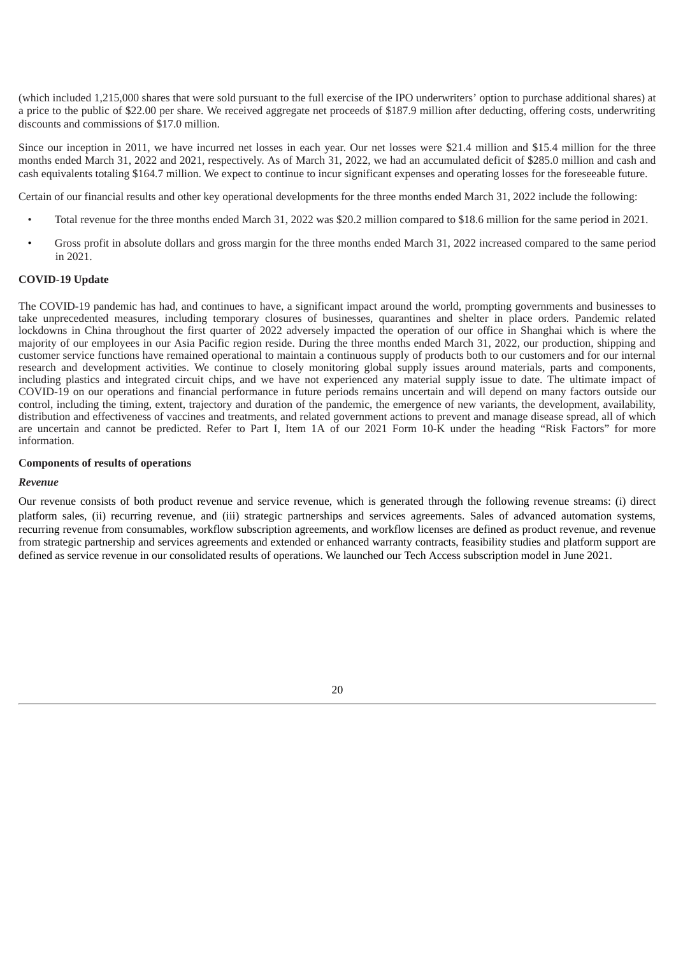(which included 1,215,000 shares that were sold pursuant to the full exercise of the IPO underwriters' option to purchase additional shares) at a price to the public of \$22.00 per share. We received aggregate net proceeds of \$187.9 million after deducting, offering costs, underwriting discounts and commissions of \$17.0 million.

Since our inception in 2011, we have incurred net losses in each year. Our net losses were \$21.4 million and \$15.4 million for the three months ended March 31, 2022 and 2021, respectively. As of March 31, 2022, we had an accumulated deficit of \$285.0 million and cash and cash equivalents totaling \$164.7 million. We expect to continue to incur significant expenses and operating losses for the foreseeable future.

Certain of our financial results and other key operational developments for the three months ended March 31, 2022 include the following:

- Total revenue for the three months ended March 31, 2022 was \$20.2 million compared to \$18.6 million for the same period in 2021.
- Gross profit in absolute dollars and gross margin for the three months ended March 31, 2022 increased compared to the same period in 2021.

#### **COVID-19 Update**

The COVID-19 pandemic has had, and continues to have, a significant impact around the world, prompting governments and businesses to take unprecedented measures, including temporary closures of businesses, quarantines and shelter in place orders. Pandemic related lockdowns in China throughout the first quarter of 2022 adversely impacted the operation of our office in Shanghai which is where the majority of our employees in our Asia Pacific region reside. During the three months ended March 31, 2022, our production, shipping and customer service functions have remained operational to maintain a continuous supply of products both to our customers and for our internal research and development activities. We continue to closely monitoring global supply issues around materials, parts and components, including plastics and integrated circuit chips, and we have not experienced any material supply issue to date. The ultimate impact of COVID-19 on our operations and financial performance in future periods remains uncertain and will depend on many factors outside our control, including the timing, extent, trajectory and duration of the pandemic, the emergence of new variants, the development, availability, distribution and effectiveness of vaccines and treatments, and related government actions to prevent and manage disease spread, all of which are uncertain and cannot be predicted. Refer to Part I, Item 1A of our 2021 Form 10-K under the heading "Risk Factors" for more information.

#### **Components of results of operations**

#### *Revenue*

Our revenue consists of both product revenue and service revenue, which is generated through the following revenue streams: (i) direct platform sales, (ii) recurring revenue, and (iii) strategic partnerships and services agreements. Sales of advanced automation systems, recurring revenue from consumables, workflow subscription agreements, and workflow licenses are defined as product revenue, and revenue from strategic partnership and services agreements and extended or enhanced warranty contracts, feasibility studies and platform support are defined as service revenue in our consolidated results of operations. We launched our Tech Access subscription model in June 2021.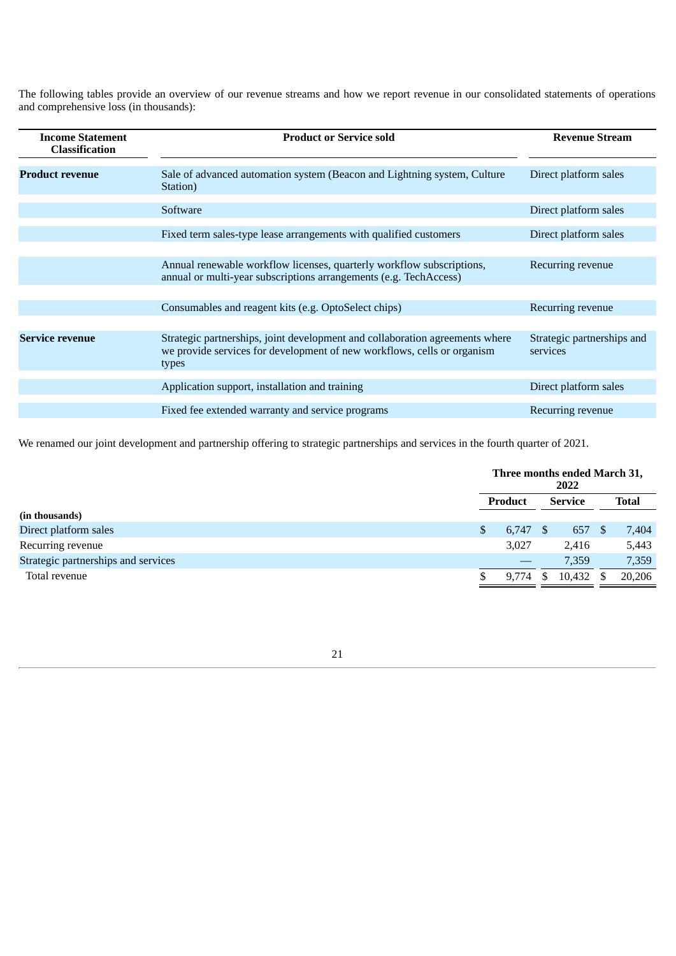The following tables provide an overview of our revenue streams and how we report revenue in our consolidated statements of operations and comprehensive loss (in thousands):

| <b>Income Statement</b><br><b>Classification</b> | <b>Product or Service sold</b>                                                                                                                                   | <b>Revenue Stream</b>                  |  |  |
|--------------------------------------------------|------------------------------------------------------------------------------------------------------------------------------------------------------------------|----------------------------------------|--|--|
| <b>Product revenue</b>                           | Sale of advanced automation system (Beacon and Lightning system, Culture<br>Station)                                                                             | Direct platform sales                  |  |  |
|                                                  | Software                                                                                                                                                         | Direct platform sales                  |  |  |
|                                                  | Fixed term sales-type lease arrangements with qualified customers                                                                                                | Direct platform sales                  |  |  |
|                                                  | Annual renewable workflow licenses, quarterly workflow subscriptions,<br>annual or multi-year subscriptions arrangements (e.g. TechAccess)                       | Recurring revenue                      |  |  |
|                                                  | Consumables and reagent kits (e.g. OptoSelect chips)                                                                                                             | Recurring revenue                      |  |  |
| <b>Service revenue</b>                           | Strategic partnerships, joint development and collaboration agreements where<br>we provide services for development of new workflows, cells or organism<br>types | Strategic partnerships and<br>services |  |  |
|                                                  | Application support, installation and training                                                                                                                   | Direct platform sales                  |  |  |
|                                                  | Fixed fee extended warranty and service programs                                                                                                                 | Recurring revenue                      |  |  |

We renamed our joint development and partnership offering to strategic partnerships and services in the fourth quarter of 2021.

|                                     |                | Three months ended March 31,<br>2022 |              |
|-------------------------------------|----------------|--------------------------------------|--------------|
|                                     | <b>Product</b> | Service                              | <b>Total</b> |
| (in thousands)                      |                |                                      |              |
| Direct platform sales               | \$<br>6,747    | 657                                  | 7,404        |
| Recurring revenue                   | 3,027          | 2,416                                | 5,443        |
| Strategic partnerships and services |                | 7,359                                | 7,359        |
| Total revenue                       | 9.774          | 10,432<br>-SS                        | 20,206       |
|                                     |                |                                      |              |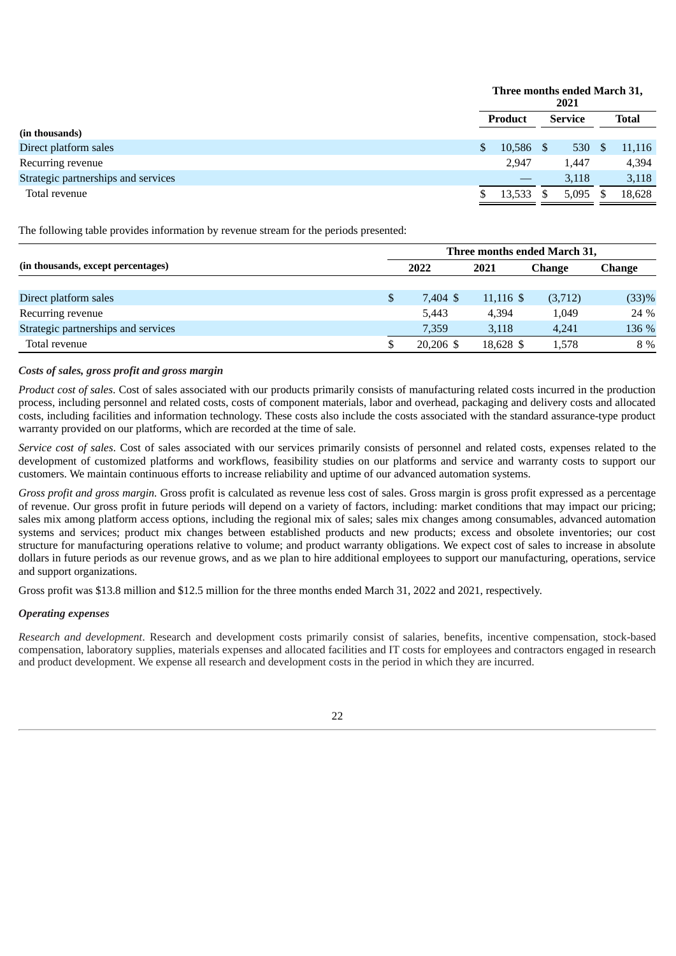|                                     |                |                | Three months ended March 31,<br>2021 |    |              |
|-------------------------------------|----------------|----------------|--------------------------------------|----|--------------|
|                                     |                | <b>Product</b> |                                      |    | <b>Total</b> |
| (in thousands)                      |                |                |                                      |    |              |
| Direct platform sales               | 10,586 \$<br>S |                | 530                                  | -5 | 11,116       |
| Recurring revenue                   | 2.947          |                | 1,447                                |    | 4,394        |
| Strategic partnerships and services |                |                | 3,118                                |    | 3,118        |
| Total revenue                       | 13,533         |                | 5,095                                |    | 18,628       |
|                                     |                |                |                                      |    |              |

The following table provides information by revenue stream for the periods presented:

|                                     |   |           | Three months ended March 31, |         |        |  |  |  |
|-------------------------------------|---|-----------|------------------------------|---------|--------|--|--|--|
| (in thousands, except percentages)  |   | 2022      | 2021                         | Change  | Change |  |  |  |
|                                     |   |           |                              |         |        |  |  |  |
| Direct platform sales               | Ъ | 7.404 \$  | $11,116$ \$                  | (3,712) | (33)%  |  |  |  |
| Recurring revenue                   |   | 5.443     | 4.394                        | 1,049   | 24 %   |  |  |  |
| Strategic partnerships and services |   | 7.359     | 3.118                        | 4,241   | 136 %  |  |  |  |
| Total revenue                       |   | 20,206 \$ | 18.628 \$                    | 1.578   | 8 %    |  |  |  |

# *Costs of sales, gross profit and gross margin*

*Product cost of sales*. Cost of sales associated with our products primarily consists of manufacturing related costs incurred in the production process, including personnel and related costs, costs of component materials, labor and overhead, packaging and delivery costs and allocated costs, including facilities and information technology. These costs also include the costs associated with the standard assurance-type product warranty provided on our platforms, which are recorded at the time of sale.

*Service cost of sales*. Cost of sales associated with our services primarily consists of personnel and related costs, expenses related to the development of customized platforms and workflows, feasibility studies on our platforms and service and warranty costs to support our customers. We maintain continuous efforts to increase reliability and uptime of our advanced automation systems.

*Gross profit and gross margin.* Gross profit is calculated as revenue less cost of sales. Gross margin is gross profit expressed as a percentage of revenue. Our gross profit in future periods will depend on a variety of factors, including: market conditions that may impact our pricing; sales mix among platform access options, including the regional mix of sales; sales mix changes among consumables, advanced automation systems and services; product mix changes between established products and new products; excess and obsolete inventories; our cost structure for manufacturing operations relative to volume; and product warranty obligations. We expect cost of sales to increase in absolute dollars in future periods as our revenue grows, and as we plan to hire additional employees to support our manufacturing, operations, service and support organizations.

Gross profit was \$13.8 million and \$12.5 million for the three months ended March 31, 2022 and 2021, respectively.

# *Operating expenses*

*Research and development*. Research and development costs primarily consist of salaries, benefits, incentive compensation, stock-based compensation, laboratory supplies, materials expenses and allocated facilities and IT costs for employees and contractors engaged in research and product development. We expense all research and development costs in the period in which they are incurred.

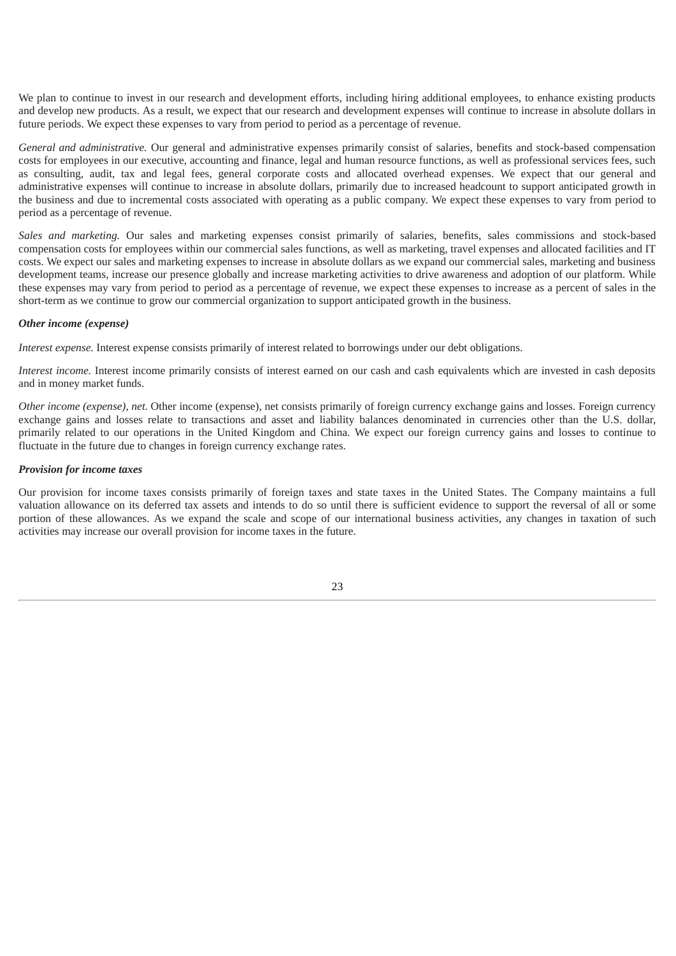We plan to continue to invest in our research and development efforts, including hiring additional employees, to enhance existing products and develop new products. As a result, we expect that our research and development expenses will continue to increase in absolute dollars in future periods. We expect these expenses to vary from period to period as a percentage of revenue.

*General and administrative.* Our general and administrative expenses primarily consist of salaries, benefits and stock-based compensation costs for employees in our executive, accounting and finance, legal and human resource functions, as well as professional services fees, such as consulting, audit, tax and legal fees, general corporate costs and allocated overhead expenses. We expect that our general and administrative expenses will continue to increase in absolute dollars, primarily due to increased headcount to support anticipated growth in the business and due to incremental costs associated with operating as a public company. We expect these expenses to vary from period to period as a percentage of revenue.

*Sales and marketing.* Our sales and marketing expenses consist primarily of salaries, benefits, sales commissions and stock-based compensation costs for employees within our commercial sales functions, as well as marketing, travel expenses and allocated facilities and IT costs. We expect our sales and marketing expenses to increase in absolute dollars as we expand our commercial sales, marketing and business development teams, increase our presence globally and increase marketing activities to drive awareness and adoption of our platform. While these expenses may vary from period to period as a percentage of revenue, we expect these expenses to increase as a percent of sales in the short-term as we continue to grow our commercial organization to support anticipated growth in the business.

# *Other income (expense)*

*Interest expense.* Interest expense consists primarily of interest related to borrowings under our debt obligations.

*Interest income.* Interest income primarily consists of interest earned on our cash and cash equivalents which are invested in cash deposits and in money market funds.

*Other income (expense), net.* Other income (expense), net consists primarily of foreign currency exchange gains and losses. Foreign currency exchange gains and losses relate to transactions and asset and liability balances denominated in currencies other than the U.S. dollar, primarily related to our operations in the United Kingdom and China. We expect our foreign currency gains and losses to continue to fluctuate in the future due to changes in foreign currency exchange rates.

#### *Provision for income taxes*

Our provision for income taxes consists primarily of foreign taxes and state taxes in the United States. The Company maintains a full valuation allowance on its deferred tax assets and intends to do so until there is sufficient evidence to support the reversal of all or some portion of these allowances. As we expand the scale and scope of our international business activities, any changes in taxation of such activities may increase our overall provision for income taxes in the future.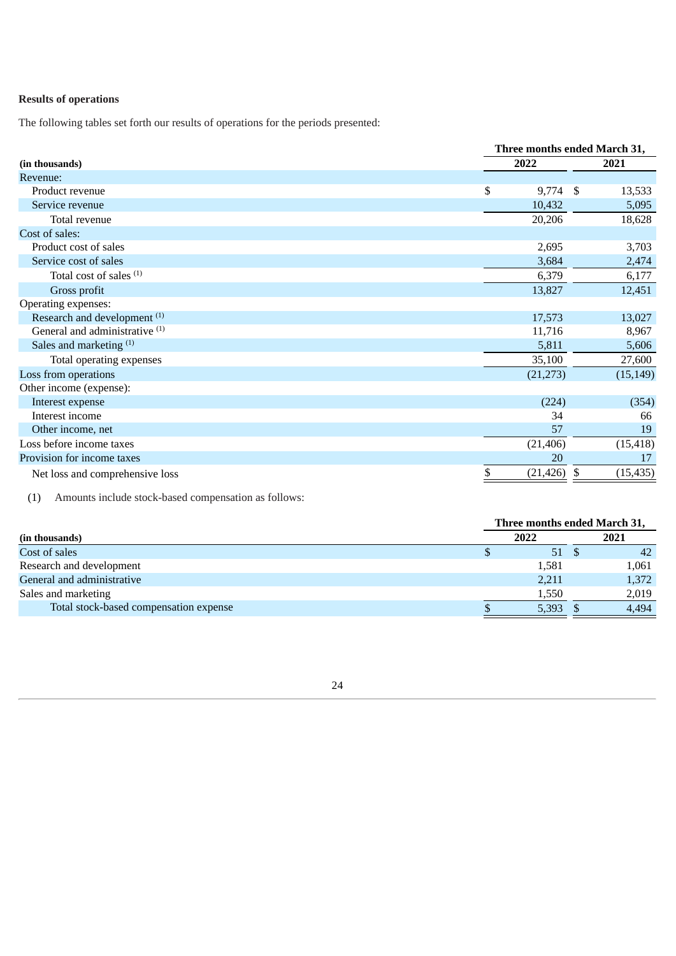# **Results of operations**

The following tables set forth our results of operations for the periods presented:

|                                         |                 | Three months ended March 31, |
|-----------------------------------------|-----------------|------------------------------|
| (in thousands)                          | 2022            | 2021                         |
| Revenue:                                |                 |                              |
| Product revenue                         | \$<br>9,774     | 13,533<br>-\$                |
| Service revenue                         | 10,432          | 5,095                        |
| Total revenue                           | 20,206          | 18,628                       |
| Cost of sales:                          |                 |                              |
| Product cost of sales                   | 2,695           | 3,703                        |
| Service cost of sales                   | 3,684           | 2,474                        |
| Total cost of sales (1)                 | 6,379           | 6,177                        |
| Gross profit                            | 13,827          | 12,451                       |
| Operating expenses:                     |                 |                              |
| Research and development <sup>(1)</sup> | 17,573          | 13,027                       |
| General and administrative (1)          | 11,716          | 8,967                        |
| Sales and marketing (1)                 | 5,811           | 5,606                        |
| Total operating expenses                | 35,100          | 27,600                       |
| Loss from operations                    | (21, 273)       | (15, 149)                    |
| Other income (expense):                 |                 |                              |
| Interest expense                        | (224)           | (354)                        |
| Interest income                         | 34              | 66                           |
| Other income, net                       | 57              | 19                           |
| Loss before income taxes                | (21, 406)       | (15, 418)                    |
| Provision for income taxes              | 20              | 17                           |
| Net loss and comprehensive loss         | \$<br>(21, 426) | \$<br>(15, 435)              |

(1) Amounts include stock-based compensation as follows:

|                                        | Three months ended March 31, |  |       |  |  |  |  |
|----------------------------------------|------------------------------|--|-------|--|--|--|--|
| (in thousands)                         | 2022                         |  | 2021  |  |  |  |  |
| Cost of sales                          | 51                           |  | 42    |  |  |  |  |
| Research and development               | 1,581                        |  | 1,061 |  |  |  |  |
| General and administrative             | 2,211                        |  | 1,372 |  |  |  |  |
| Sales and marketing                    | 1.550                        |  | 2,019 |  |  |  |  |
| Total stock-based compensation expense | 5,393                        |  | 4,494 |  |  |  |  |

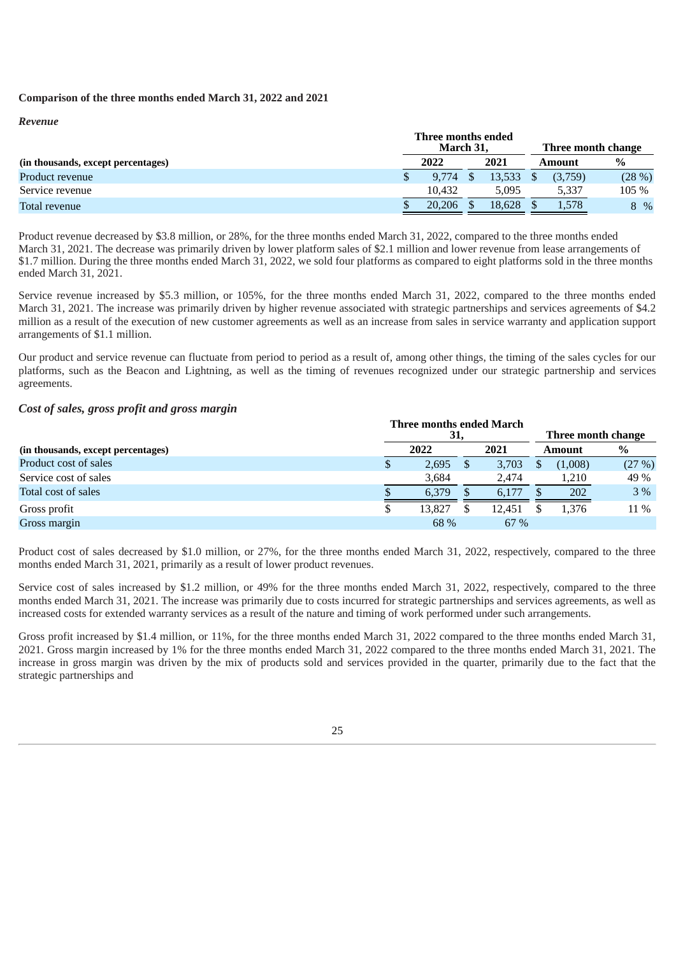#### **Comparison of the three months ended March 31, 2022 and 2021**

*Revenue*

|                                    |      | Three months ended<br>March 31. |  |        | Three month change |         |       |  |        |  |      |
|------------------------------------|------|---------------------------------|--|--------|--------------------|---------|-------|--|--------|--|------|
| (in thousands, except percentages) | 2022 |                                 |  |        |                    |         | 2021  |  | Amount |  | $\%$ |
| <b>Product revenue</b>             |      | 9.774                           |  | 13,533 |                    | (3,759) | (28%) |  |        |  |      |
| Service revenue                    |      | 10.432                          |  | 5.095  |                    | 5,337   | 105 % |  |        |  |      |
| Total revenue                      |      | 20,206                          |  | 18.628 |                    | 1,578   | 8 %   |  |        |  |      |

Product revenue decreased by \$3.8 million, or 28%, for the three months ended March 31, 2022, compared to the three months ended March 31, 2021. The decrease was primarily driven by lower platform sales of \$2.1 million and lower revenue from lease arrangements of \$1.7 million. During the three months ended March 31, 2022, we sold four platforms as compared to eight platforms sold in the three months ended March 31, 2021.

Service revenue increased by \$5.3 million, or 105%, for the three months ended March 31, 2022, compared to the three months ended March 31, 2021. The increase was primarily driven by higher revenue associated with strategic partnerships and services agreements of \$4.2 million as a result of the execution of new customer agreements as well as an increase from sales in service warranty and application support arrangements of \$1.1 million.

Our product and service revenue can fluctuate from period to period as a result of, among other things, the timing of the sales cycles for our platforms, such as the Beacon and Lightning, as well as the timing of revenues recognized under our strategic partnership and services agreements.

#### *Cost of sales, gross profit and gross margin*

|                                    |  | Three months ended March<br>31. | Three month change |        |  |         |       |
|------------------------------------|--|---------------------------------|--------------------|--------|--|---------|-------|
| (in thousands, except percentages) |  | 2021<br>2022                    |                    |        |  | Amount  | %     |
| Product cost of sales              |  | 2,695                           |                    | 3,703  |  | (1,008) | (27%) |
| Service cost of sales              |  | 3.684                           |                    | 2.474  |  | 1,210   | 49 %  |
| Total cost of sales                |  | 6.379                           |                    | 6.177  |  | 202     | $3\%$ |
| Gross profit                       |  | 13.827                          |                    | 12,451 |  | 1.376   | 11 %  |
| Gross margin                       |  | 68 %                            |                    | 67 %   |  |         |       |

Product cost of sales decreased by \$1.0 million, or 27%, for the three months ended March 31, 2022, respectively, compared to the three months ended March 31, 2021, primarily as a result of lower product revenues.

Service cost of sales increased by \$1.2 million, or 49% for the three months ended March 31, 2022, respectively, compared to the three months ended March 31, 2021. The increase was primarily due to costs incurred for strategic partnerships and services agreements, as well as increased costs for extended warranty services as a result of the nature and timing of work performed under such arrangements.

Gross profit increased by \$1.4 million, or 11%, for the three months ended March 31, 2022 compared to the three months ended March 31, 2021. Gross margin increased by 1% for the three months ended March 31, 2022 compared to the three months ended March 31, 2021. The increase in gross margin was driven by the mix of products sold and services provided in the quarter, primarily due to the fact that the strategic partnerships and

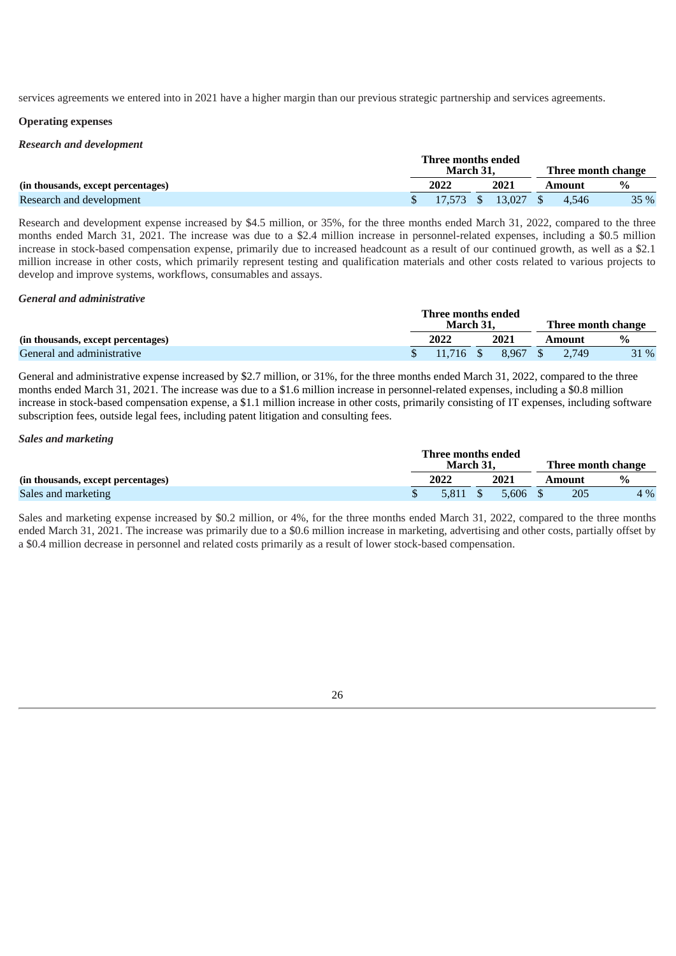services agreements we entered into in 2021 have a higher margin than our previous strategic partnership and services agreements.

#### **Operating expenses**

#### *Research and development*

|                                    |  |           | March 31. | Three months ended | Three month change |               |
|------------------------------------|--|-----------|-----------|--------------------|--------------------|---------------|
| (in thousands, except percentages) |  | 2022      |           | 2021               | Amount             | $\frac{0}{0}$ |
| Research and development           |  | 17.573 \$ |           | 13.027             | 4.546              | 35 %          |

Research and development expense increased by \$4.5 million, or 35%, for the three months ended March 31, 2022, compared to the three months ended March 31, 2021. The increase was due to a \$2.4 million increase in personnel-related expenses, including a \$0.5 million increase in stock-based compensation expense, primarily due to increased headcount as a result of our continued growth, as well as a \$2.1 million increase in other costs, which primarily represent testing and qualification materials and other costs related to various projects to develop and improve systems, workflows, consumables and assays.

#### *General and administrative*

|                                    |  | Three months ended<br>March 31. |       | Three month change |      |
|------------------------------------|--|---------------------------------|-------|--------------------|------|
| (in thousands, except percentages) |  | 2022                            | 2021  | Amount             |      |
| General and administrative         |  | $11.716$ \$                     | 8.967 | 2.749              | 31 % |

General and administrative expense increased by \$2.7 million, or 31%, for the three months ended March 31, 2022, compared to the three months ended March 31, 2021. The increase was due to a \$1.6 million increase in personnel-related expenses, including a \$0.8 million increase in stock-based compensation expense, a \$1.1 million increase in other costs, primarily consisting of IT expenses, including software subscription fees, outside legal fees, including patent litigation and consulting fees.

#### *Sales and marketing*

|                                    | Three months ended<br>March 31. |       | Three month change |     |
|------------------------------------|---------------------------------|-------|--------------------|-----|
| (in thousands, except percentages) | 2022                            | 2021  | Amount             |     |
| Sales and marketing                | 5.811                           | 5.606 | 205                | 4 % |

Sales and marketing expense increased by \$0.2 million, or 4%, for the three months ended March 31, 2022, compared to the three months ended March 31, 2021. The increase was primarily due to a \$0.6 million increase in marketing, advertising and other costs, partially offset by a \$0.4 million decrease in personnel and related costs primarily as a result of lower stock-based compensation.

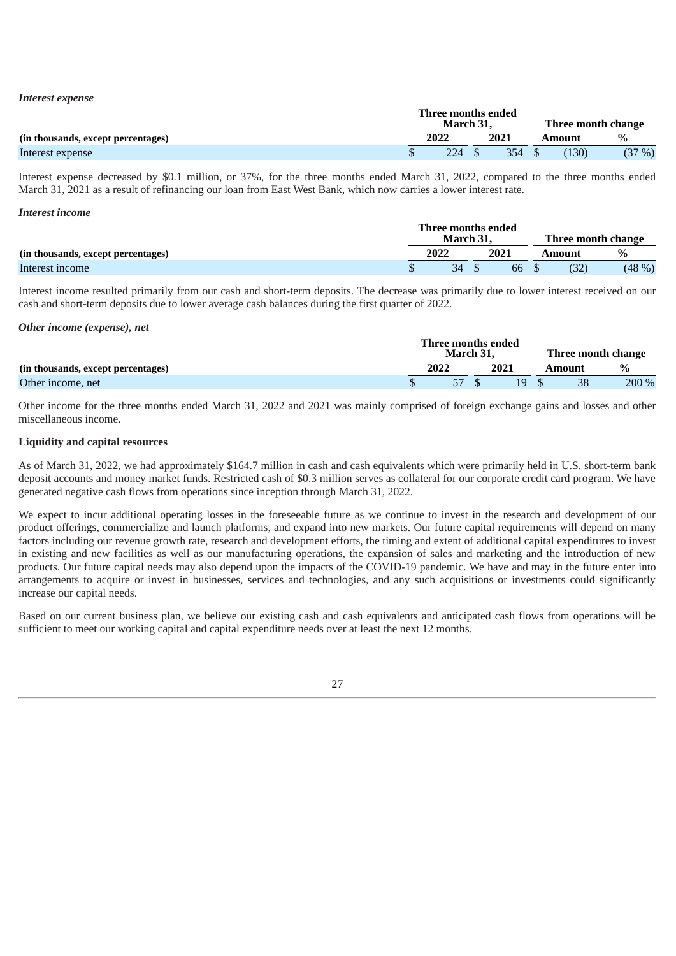#### *Interest expense*

|                                    |  | Three months ended<br>March 31. |      | Three month change |               |
|------------------------------------|--|---------------------------------|------|--------------------|---------------|
| (in thousands, except percentages) |  | 2022                            | 2021 | Amount             | $\frac{0}{0}$ |
| Interest expense                   |  | 224                             | 354S | (130)              | (37%)         |

Interest expense decreased by \$0.1 million, or 37%, for the three months ended March 31, 2022, compared to the three months ended March 31, 2021 as a result of refinancing our loan from East West Bank, which now carries a lower interest rate.

#### *Interest income*

|                                    | Three months ended<br>March 31. |              |  |    |  | Three month change |       |  |  |
|------------------------------------|---------------------------------|--------------|--|----|--|--------------------|-------|--|--|
| (in thousands, except percentages) |                                 | 2022<br>2021 |  |    |  | Amount             | $\%$  |  |  |
| Interest income                    |                                 | 34           |  | 66 |  | (32)               | (48%) |  |  |

Interest income resulted primarily from our cash and short-term deposits. The decrease was primarily due to lower interest received on our cash and short-term deposits due to lower average cash balances during the first quarter of 2022.

#### *Other income (expense), net*

|                                    | Three months ended<br>March 31. |    |  |      |  | Three month change |       |  |        |      |
|------------------------------------|---------------------------------|----|--|------|--|--------------------|-------|--|--------|------|
| (in thousands, except percentages) | 2022                            |    |  | 2021 |  |                    |       |  | Amount | $\%$ |
| Other income, net                  |                                 | 57 |  | 19   |  | 38                 | 200 % |  |        |      |

Other income for the three months ended March 31, 2022 and 2021 was mainly comprised of foreign exchange gains and losses and other miscellaneous income.

# **Liquidity and capital resources**

As of March 31, 2022, we had approximately \$164.7 million in cash and cash equivalents which were primarily held in U.S. short-term bank deposit accounts and money market funds. Restricted cash of \$0.3 million serves as collateral for our corporate credit card program. We have generated negative cash flows from operations since inception through March 31, 2022.

We expect to incur additional operating losses in the foreseeable future as we continue to invest in the research and development of our product offerings, commercialize and launch platforms, and expand into new markets. Our future capital requirements will depend on many factors including our revenue growth rate, research and development efforts, the timing and extent of additional capital expenditures to invest in existing and new facilities as well as our manufacturing operations, the expansion of sales and marketing and the introduction of new products. Our future capital needs may also depend upon the impacts of the COVID-19 pandemic. We have and may in the future enter into arrangements to acquire or invest in businesses, services and technologies, and any such acquisitions or investments could significantly increase our capital needs.

Based on our current business plan, we believe our existing cash and cash equivalents and anticipated cash flows from operations will be sufficient to meet our working capital and capital expenditure needs over at least the next 12 months.

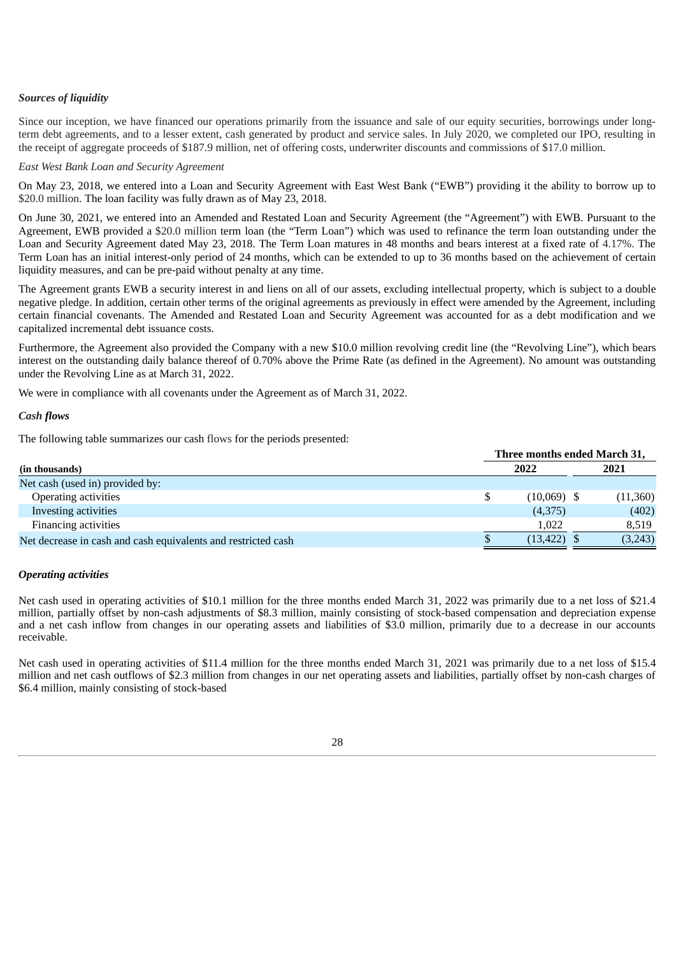# *Sources of liquidity*

Since our inception, we have financed our operations primarily from the issuance and sale of our equity securities, borrowings under longterm debt agreements, and to a lesser extent, cash generated by product and service sales. In July 2020, we completed our IPO, resulting in the receipt of aggregate proceeds of \$187.9 million, net of offering costs, underwriter discounts and commissions of \$17.0 million.

# *East West Bank Loan and Security Agreement*

On May 23, 2018, we entered into a Loan and Security Agreement with East West Bank ("EWB") providing it the ability to borrow up to \$20.0 million. The loan facility was fully drawn as of May 23, 2018.

On June 30, 2021, we entered into an Amended and Restated Loan and Security Agreement (the "Agreement") with EWB. Pursuant to the Agreement, EWB provided a \$20.0 million term loan (the "Term Loan") which was used to refinance the term loan outstanding under the Loan and Security Agreement dated May 23, 2018. The Term Loan matures in 48 months and bears interest at a fixed rate of 4.17%. The Term Loan has an initial interest-only period of 24 months, which can be extended to up to 36 months based on the achievement of certain liquidity measures, and can be pre-paid without penalty at any time.

The Agreement grants EWB a security interest in and liens on all of our assets, excluding intellectual property, which is subject to a double negative pledge. In addition, certain other terms of the original agreements as previously in effect were amended by the Agreement, including certain financial covenants. The Amended and Restated Loan and Security Agreement was accounted for as a debt modification and we capitalized incremental debt issuance costs.

Furthermore, the Agreement also provided the Company with a new \$10.0 million revolving credit line (the "Revolving Line"), which bears interest on the outstanding daily balance thereof of 0.70% above the Prime Rate (as defined in the Agreement). No amount was outstanding under the Revolving Line as at March 31, 2022.

We were in compliance with all covenants under the Agreement as of March 31, 2022.

# *Cash flows*

The following table summarizes our cash flows for the periods presented:

|                                                               |  | Three months ended March 31, |  |           |  |  |  |  |
|---------------------------------------------------------------|--|------------------------------|--|-----------|--|--|--|--|
| (in thousands)                                                |  | 2022                         |  | 2021      |  |  |  |  |
| Net cash (used in) provided by:                               |  |                              |  |           |  |  |  |  |
| Operating activities                                          |  | $(10,069)$ \$                |  | (11, 360) |  |  |  |  |
| Investing activities                                          |  | (4,375)                      |  | (402)     |  |  |  |  |
| Financing activities                                          |  | 1.022                        |  | 8,519     |  |  |  |  |
| Net decrease in cash and cash equivalents and restricted cash |  | (13, 422)                    |  | (3,243)   |  |  |  |  |

# *Operating activities*

Net cash used in operating activities of \$10.1 million for the three months ended March 31, 2022 was primarily due to a net loss of \$21.4 million, partially offset by non-cash adjustments of \$8.3 million, mainly consisting of stock-based compensation and depreciation expense and a net cash inflow from changes in our operating assets and liabilities of \$3.0 million, primarily due to a decrease in our accounts receivable.

Net cash used in operating activities of \$11.4 million for the three months ended March 31, 2021 was primarily due to a net loss of \$15.4 million and net cash outflows of \$2.3 million from changes in our net operating assets and liabilities, partially offset by non-cash charges of \$6.4 million, mainly consisting of stock-based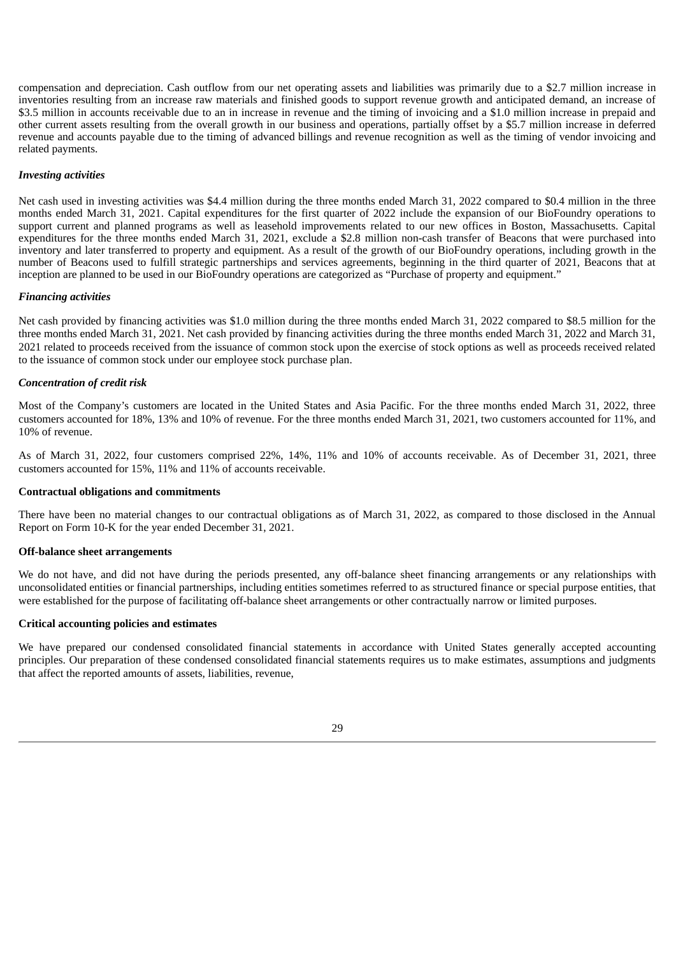compensation and depreciation. Cash outflow from our net operating assets and liabilities was primarily due to a \$2.7 million increase in inventories resulting from an increase raw materials and finished goods to support revenue growth and anticipated demand, an increase of \$3.5 million in accounts receivable due to an in increase in revenue and the timing of invoicing and a \$1.0 million increase in prepaid and other current assets resulting from the overall growth in our business and operations, partially offset by a \$5.7 million increase in deferred revenue and accounts payable due to the timing of advanced billings and revenue recognition as well as the timing of vendor invoicing and related payments.

#### *Investing activities*

Net cash used in investing activities was \$4.4 million during the three months ended March 31, 2022 compared to \$0.4 million in the three months ended March 31, 2021. Capital expenditures for the first quarter of 2022 include the expansion of our BioFoundry operations to support current and planned programs as well as leasehold improvements related to our new offices in Boston, Massachusetts. Capital expenditures for the three months ended March 31, 2021, exclude a \$2.8 million non-cash transfer of Beacons that were purchased into inventory and later transferred to property and equipment. As a result of the growth of our BioFoundry operations, including growth in the number of Beacons used to fulfill strategic partnerships and services agreements, beginning in the third quarter of 2021, Beacons that at inception are planned to be used in our BioFoundry operations are categorized as "Purchase of property and equipment."

#### *Financing activities*

Net cash provided by financing activities was \$1.0 million during the three months ended March 31, 2022 compared to \$8.5 million for the three months ended March 31, 2021. Net cash provided by financing activities during the three months ended March 31, 2022 and March 31, 2021 related to proceeds received from the issuance of common stock upon the exercise of stock options as well as proceeds received related to the issuance of common stock under our employee stock purchase plan.

#### *Concentration of credit risk*

Most of the Company's customers are located in the United States and Asia Pacific. For the three months ended March 31, 2022, three customers accounted for 18%, 13% and 10% of revenue. For the three months ended March 31, 2021, two customers accounted for 11%, and 10% of revenue.

As of March 31, 2022, four customers comprised 22%, 14%, 11% and 10% of accounts receivable. As of December 31, 2021, three customers accounted for 15%, 11% and 11% of accounts receivable.

#### **Contractual obligations and commitments**

There have been no material changes to our contractual obligations as of March 31, 2022, as compared to those disclosed in the Annual Report on Form 10-K for the year ended December 31, 2021.

#### **Off-balance sheet arrangements**

We do not have, and did not have during the periods presented, any off-balance sheet financing arrangements or any relationships with unconsolidated entities or financial partnerships, including entities sometimes referred to as structured finance or special purpose entities, that were established for the purpose of facilitating off-balance sheet arrangements or other contractually narrow or limited purposes.

#### **Critical accounting policies and estimates**

We have prepared our condensed consolidated financial statements in accordance with United States generally accepted accounting principles. Our preparation of these condensed consolidated financial statements requires us to make estimates, assumptions and judgments that affect the reported amounts of assets, liabilities, revenue,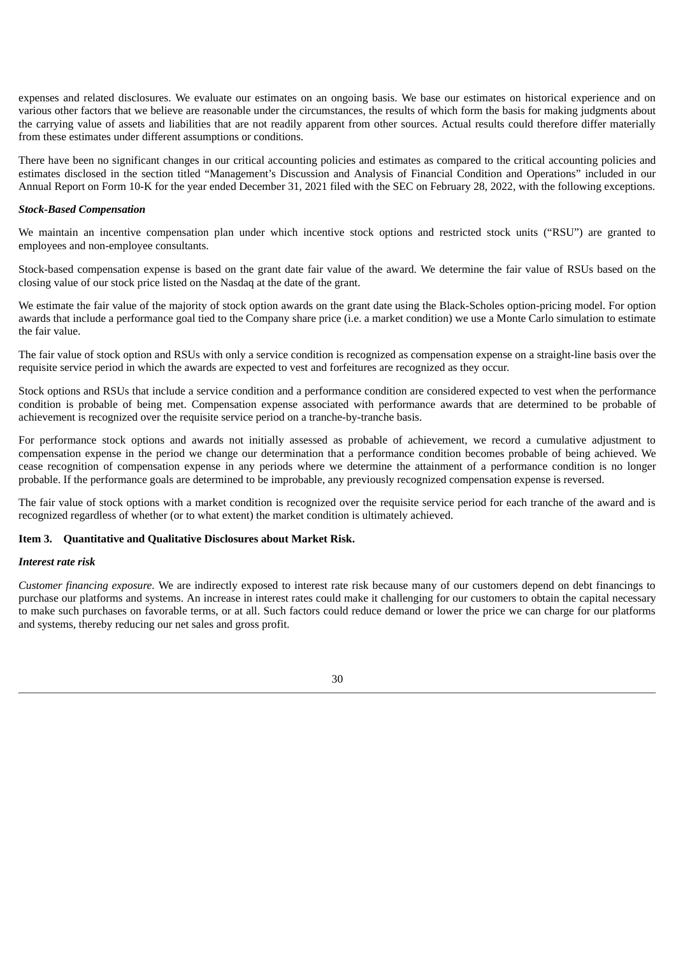expenses and related disclosures. We evaluate our estimates on an ongoing basis. We base our estimates on historical experience and on various other factors that we believe are reasonable under the circumstances, the results of which form the basis for making judgments about the carrying value of assets and liabilities that are not readily apparent from other sources. Actual results could therefore differ materially from these estimates under different assumptions or conditions.

There have been no significant changes in our critical accounting policies and estimates as compared to the critical accounting policies and estimates disclosed in the section titled "Management's Discussion and Analysis of Financial Condition and Operations" included in our Annual Report on Form 10-K for the year ended December 31, 2021 filed with the SEC on February 28, 2022, with the following exceptions.

#### *Stock-Based Compensation*

We maintain an incentive compensation plan under which incentive stock options and restricted stock units ("RSU") are granted to employees and non-employee consultants.

Stock-based compensation expense is based on the grant date fair value of the award. We determine the fair value of RSUs based on the closing value of our stock price listed on the Nasdaq at the date of the grant.

We estimate the fair value of the majority of stock option awards on the grant date using the Black-Scholes option-pricing model. For option awards that include a performance goal tied to the Company share price (i.e. a market condition) we use a Monte Carlo simulation to estimate the fair value.

The fair value of stock option and RSUs with only a service condition is recognized as compensation expense on a straight-line basis over the requisite service period in which the awards are expected to vest and forfeitures are recognized as they occur.

Stock options and RSUs that include a service condition and a performance condition are considered expected to vest when the performance condition is probable of being met. Compensation expense associated with performance awards that are determined to be probable of achievement is recognized over the requisite service period on a tranche-by-tranche basis.

For performance stock options and awards not initially assessed as probable of achievement, we record a cumulative adjustment to compensation expense in the period we change our determination that a performance condition becomes probable of being achieved. We cease recognition of compensation expense in any periods where we determine the attainment of a performance condition is no longer probable. If the performance goals are determined to be improbable, any previously recognized compensation expense is reversed.

The fair value of stock options with a market condition is recognized over the requisite service period for each tranche of the award and is recognized regardless of whether (or to what extent) the market condition is ultimately achieved.

#### <span id="page-32-0"></span>**Item 3. Quantitative and Qualitative Disclosures about Market Risk.**

#### *Interest rate risk*

*Customer financing exposure.* We are indirectly exposed to interest rate risk because many of our customers depend on debt financings to purchase our platforms and systems. An increase in interest rates could make it challenging for our customers to obtain the capital necessary to make such purchases on favorable terms, or at all. Such factors could reduce demand or lower the price we can charge for our platforms and systems, thereby reducing our net sales and gross profit.

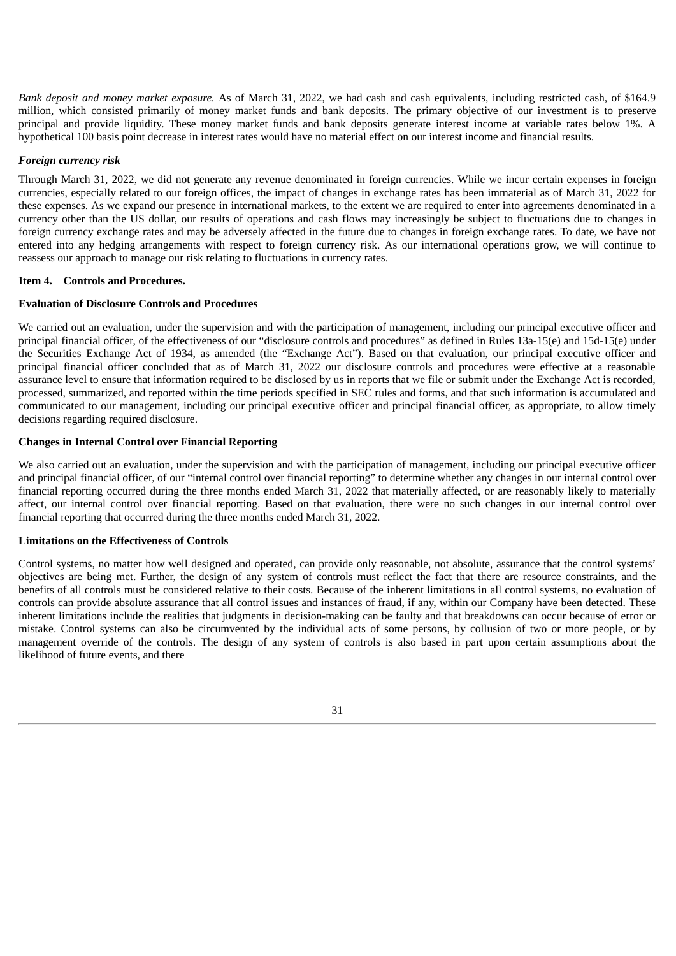*Bank deposit and money market exposure.* As of March 31, 2022, we had cash and cash equivalents, including restricted cash, of \$164.9 million, which consisted primarily of money market funds and bank deposits. The primary objective of our investment is to preserve principal and provide liquidity. These money market funds and bank deposits generate interest income at variable rates below 1%. A hypothetical 100 basis point decrease in interest rates would have no material effect on our interest income and financial results.

## *Foreign currency risk*

Through March 31, 2022, we did not generate any revenue denominated in foreign currencies. While we incur certain expenses in foreign currencies, especially related to our foreign offices, the impact of changes in exchange rates has been immaterial as of March 31, 2022 for these expenses. As we expand our presence in international markets, to the extent we are required to enter into agreements denominated in a currency other than the US dollar, our results of operations and cash flows may increasingly be subject to fluctuations due to changes in foreign currency exchange rates and may be adversely affected in the future due to changes in foreign exchange rates. To date, we have not entered into any hedging arrangements with respect to foreign currency risk. As our international operations grow, we will continue to reassess our approach to manage our risk relating to fluctuations in currency rates.

# <span id="page-33-0"></span>**Item 4. Controls and Procedures.**

#### **Evaluation of Disclosure Controls and Procedures**

We carried out an evaluation, under the supervision and with the participation of management, including our principal executive officer and principal financial officer, of the effectiveness of our "disclosure controls and procedures" as defined in Rules 13a-15(e) and 15d-15(e) under the Securities Exchange Act of 1934, as amended (the "Exchange Act"). Based on that evaluation, our principal executive officer and principal financial officer concluded that as of March 31, 2022 our disclosure controls and procedures were effective at a reasonable assurance level to ensure that information required to be disclosed by us in reports that we file or submit under the Exchange Act is recorded, processed, summarized, and reported within the time periods specified in SEC rules and forms, and that such information is accumulated and communicated to our management, including our principal executive officer and principal financial officer, as appropriate, to allow timely decisions regarding required disclosure.

# **Changes in Internal Control over Financial Reporting**

We also carried out an evaluation, under the supervision and with the participation of management, including our principal executive officer and principal financial officer, of our "internal control over financial reporting" to determine whether any changes in our internal control over financial reporting occurred during the three months ended March 31, 2022 that materially affected, or are reasonably likely to materially affect, our internal control over financial reporting. Based on that evaluation, there were no such changes in our internal control over financial reporting that occurred during the three months ended March 31, 2022.

#### **Limitations on the Effectiveness of Controls**

Control systems, no matter how well designed and operated, can provide only reasonable, not absolute, assurance that the control systems' objectives are being met. Further, the design of any system of controls must reflect the fact that there are resource constraints, and the benefits of all controls must be considered relative to their costs. Because of the inherent limitations in all control systems, no evaluation of controls can provide absolute assurance that all control issues and instances of fraud, if any, within our Company have been detected. These inherent limitations include the realities that judgments in decision-making can be faulty and that breakdowns can occur because of error or mistake. Control systems can also be circumvented by the individual acts of some persons, by collusion of two or more people, or by management override of the controls. The design of any system of controls is also based in part upon certain assumptions about the likelihood of future events, and there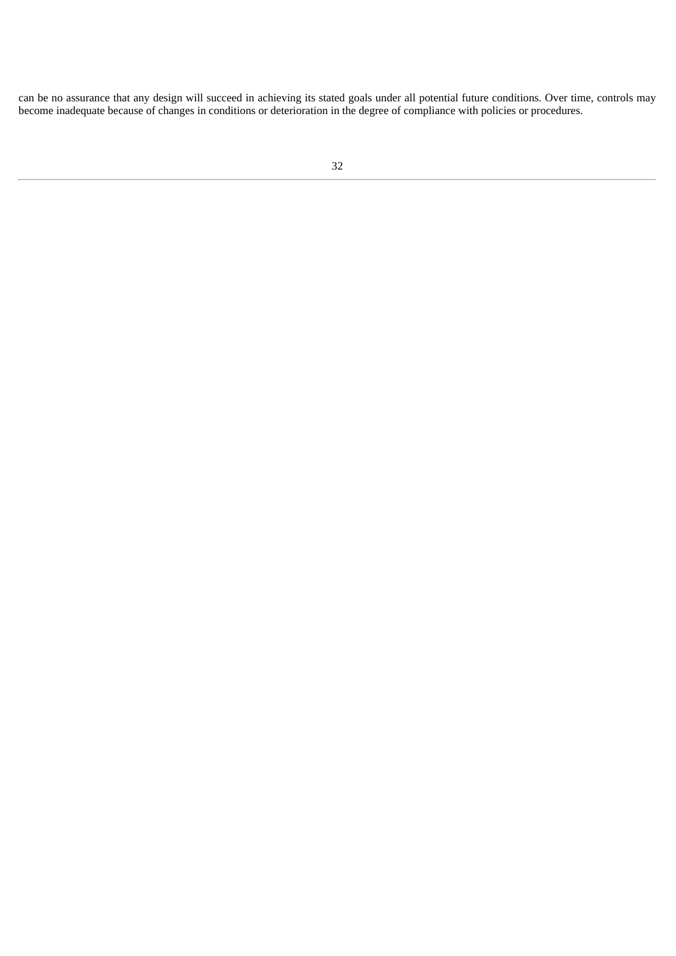<span id="page-34-0"></span>can be no assurance that any design will succeed in achieving its stated goals under all potential future conditions. Over time, controls may become inadequate because of changes in conditions or deterioration in the degree of compliance with policies or procedures.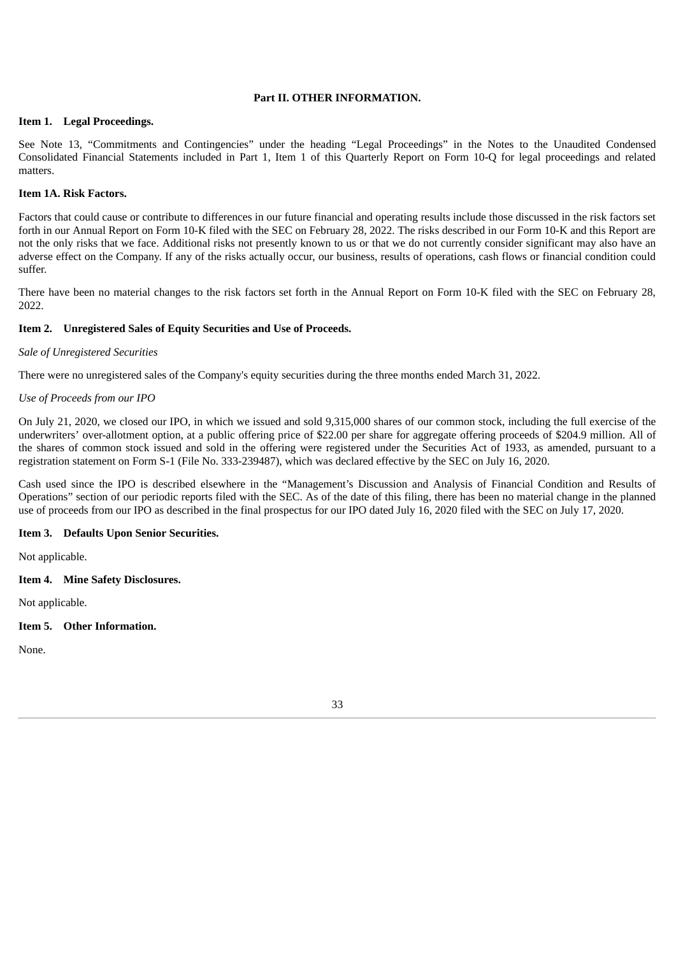# **Part II. OTHER INFORMATION.**

# <span id="page-35-0"></span>**Item 1. Legal Proceedings.**

See Note 13, "Commitments and Contingencies" under the heading "Legal Proceedings" in the Notes to the Unaudited Condensed Consolidated Financial Statements included in Part 1, Item 1 of this Quarterly Report on Form 10-Q for legal proceedings and related matters.

#### <span id="page-35-1"></span>**Item 1A. Risk Factors.**

Factors that could cause or contribute to differences in our future financial and operating results include those discussed in the risk factors set forth in our Annual Report on Form 10-K filed with the SEC on February 28, 2022. The risks described in our Form 10-K and this Report are not the only risks that we face. Additional risks not presently known to us or that we do not currently consider significant may also have an adverse effect on the Company. If any of the risks actually occur, our business, results of operations, cash flows or financial condition could suffer.

There have been no material changes to the risk factors set forth in the Annual Report on Form 10-K filed with the SEC on February 28, 2022.

# <span id="page-35-2"></span>**Item 2. Unregistered Sales of Equity Securities and Use of Proceeds.**

#### *Sale of Unregistered Securities*

There were no unregistered sales of the Company's equity securities during the three months ended March 31, 2022.

#### *Use of Proceeds from our IPO*

On July 21, 2020, we closed our IPO, in which we issued and sold 9,315,000 shares of our common stock, including the full exercise of the underwriters' over-allotment option, at a public offering price of \$22.00 per share for aggregate offering proceeds of \$204.9 million. All of the shares of common stock issued and sold in the offering were registered under the Securities Act of 1933, as amended, pursuant to a registration statement on Form S-1 (File No. 333-239487), which was declared effective by the SEC on July 16, 2020.

Cash used since the IPO is described elsewhere in the "Management's Discussion and Analysis of Financial Condition and Results of Operations" section of our periodic reports filed with the SEC. As of the date of this filing, there has been no material change in the planned use of proceeds from our IPO as described in the final prospectus for our IPO dated July 16, 2020 filed with the SEC on July 17, 2020.

# <span id="page-35-3"></span>**Item 3. Defaults Upon Senior Securities.**

<span id="page-35-4"></span>Not applicable.

#### **Item 4. Mine Safety Disclosures.**

Not applicable.

# <span id="page-35-5"></span>**Item 5. Other Information.**

<span id="page-35-6"></span>None.

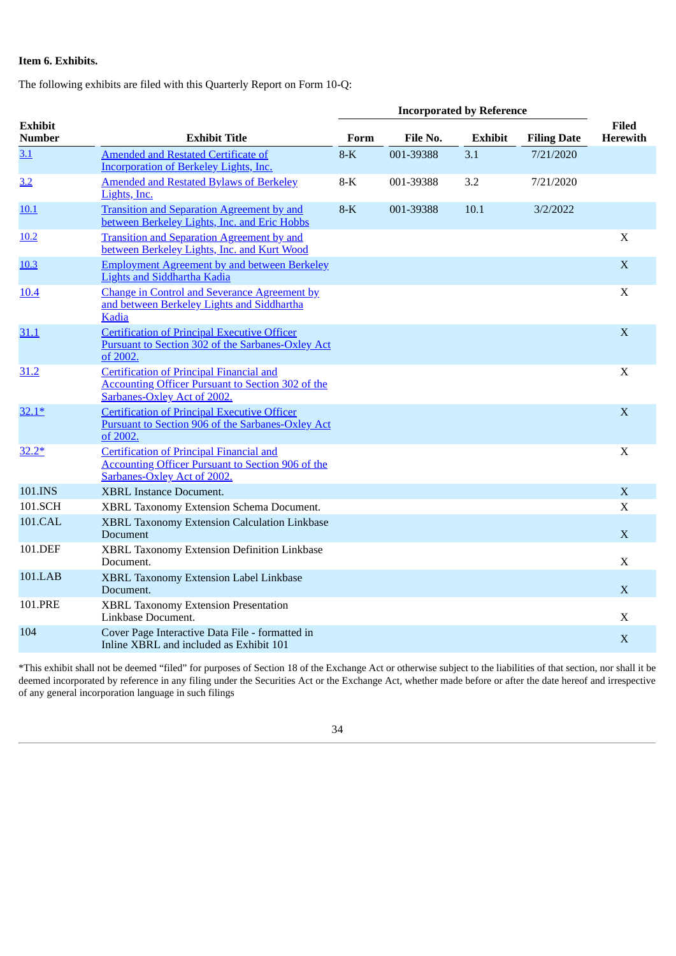## **Item 6. Exhibits.**

The following exhibits are filed with this Quarterly Report on Form 10-Q:

|                                 |                                                                                                                                            | <b>Incorporated by Reference</b> |           |                |                    |                          |
|---------------------------------|--------------------------------------------------------------------------------------------------------------------------------------------|----------------------------------|-----------|----------------|--------------------|--------------------------|
| <b>Exhibit</b><br><b>Number</b> | <b>Exhibit Title</b>                                                                                                                       | Form                             | File No.  | <b>Exhibit</b> | <b>Filing Date</b> | Filed<br><b>Herewith</b> |
| 3.1                             | <b>Amended and Restated Certificate of</b><br><b>Incorporation of Berkeley Lights, Inc.</b>                                                | $8-K$                            | 001-39388 | 3.1            | 7/21/2020          |                          |
| 3.2                             | <b>Amended and Restated Bylaws of Berkeley</b><br>Lights, Inc.                                                                             | $8-K$                            | 001-39388 | 3.2            | 7/21/2020          |                          |
| 10.1                            | <b>Transition and Separation Agreement by and</b><br>between Berkeley Lights, Inc. and Eric Hobbs                                          | $8-K$                            | 001-39388 | 10.1           | 3/2/2022           |                          |
| 10.2                            | <b>Transition and Separation Agreement by and</b><br>between Berkeley Lights, Inc. and Kurt Wood                                           |                                  |           |                |                    | X                        |
| 10.3                            | <b>Employment Agreement by and between Berkeley</b><br><b>Lights and Siddhartha Kadia</b>                                                  |                                  |           |                |                    | X                        |
| <u>10.4</u>                     | <b>Change in Control and Severance Agreement by</b><br>and between Berkeley Lights and Siddhartha<br><b>Kadia</b>                          |                                  |           |                |                    | $\mathbf X$              |
| 31.1                            | <b>Certification of Principal Executive Officer</b><br>Pursuant to Section 302 of the Sarbanes-Oxley Act<br>of 2002.                       |                                  |           |                |                    | X                        |
| 31.2                            | <b>Certification of Principal Financial and</b><br><b>Accounting Officer Pursuant to Section 302 of the</b><br>Sarbanes-Oxley Act of 2002. |                                  |           |                |                    | X                        |
| $32.1*$                         | <b>Certification of Principal Executive Officer</b><br><b>Pursuant to Section 906 of the Sarbanes-Oxley Act</b><br>of 2002.                |                                  |           |                |                    | X                        |
| $32.2*$                         | <b>Certification of Principal Financial and</b><br><b>Accounting Officer Pursuant to Section 906 of the</b><br>Sarbanes-Oxley Act of 2002. |                                  |           |                |                    | $\mathbf X$              |
| 101.INS                         | <b>XBRL</b> Instance Document.                                                                                                             |                                  |           |                |                    | X                        |
| 101.SCH                         | XBRL Taxonomy Extension Schema Document.                                                                                                   |                                  |           |                |                    | $\mathbf X$              |
| 101.CAL                         | XBRL Taxonomy Extension Calculation Linkbase<br>Document                                                                                   |                                  |           |                |                    | $\mathbf X$              |
| 101.DEF                         | XBRL Taxonomy Extension Definition Linkbase<br>Document.                                                                                   |                                  |           |                |                    | $\mathbf X$              |
| 101.LAB                         | XBRL Taxonomy Extension Label Linkbase<br>Document.                                                                                        |                                  |           |                |                    | X                        |
| 101.PRE                         | <b>XBRL Taxonomy Extension Presentation</b><br>Linkbase Document.                                                                          |                                  |           |                |                    | $\mathbf X$              |
| 104                             | Cover Page Interactive Data File - formatted in<br>Inline XBRL and included as Exhibit 101                                                 |                                  |           |                |                    | X                        |

\*This exhibit shall not be deemed "filed" for purposes of Section 18 of the Exchange Act or otherwise subject to the liabilities of that section, nor shall it be deemed incorporated by reference in any filing under the Securities Act or the Exchange Act, whether made before or after the date hereof and irrespective of any general incorporation language in such filings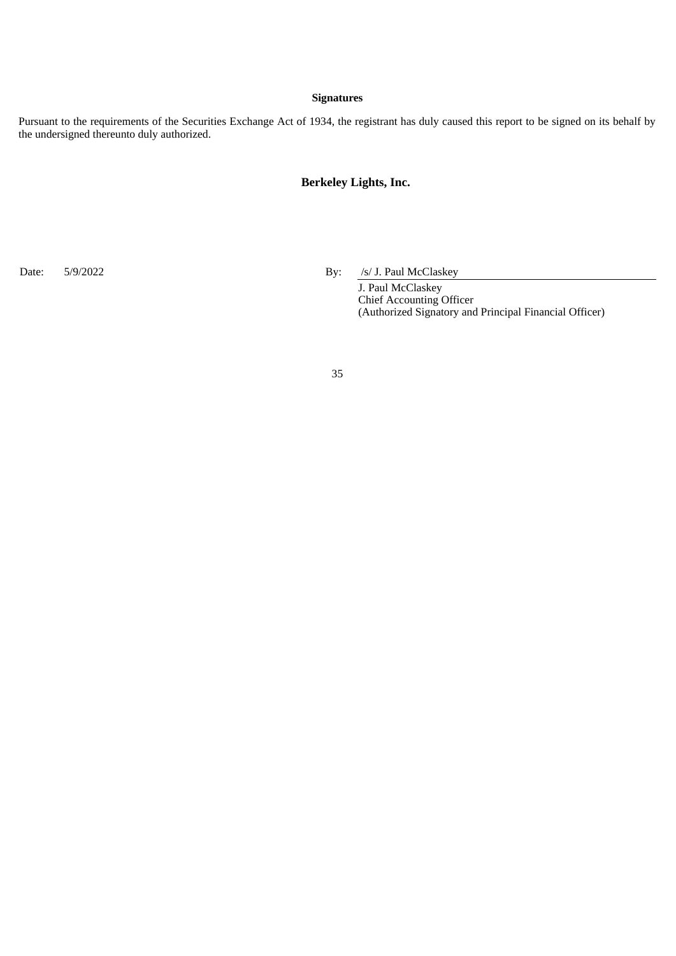## **Signatures**

Pursuant to the requirements of the Securities Exchange Act of 1934, the registrant has duly caused this report to be signed on its behalf by the undersigned thereunto duly authorized.

## **Berkeley Lights, Inc.**

Date: 5/9/2022 By: /s/ J. Paul McClaskey

J. Paul McClaskey Chief Accounting Officer (Authorized Signatory and Principal Financial Officer)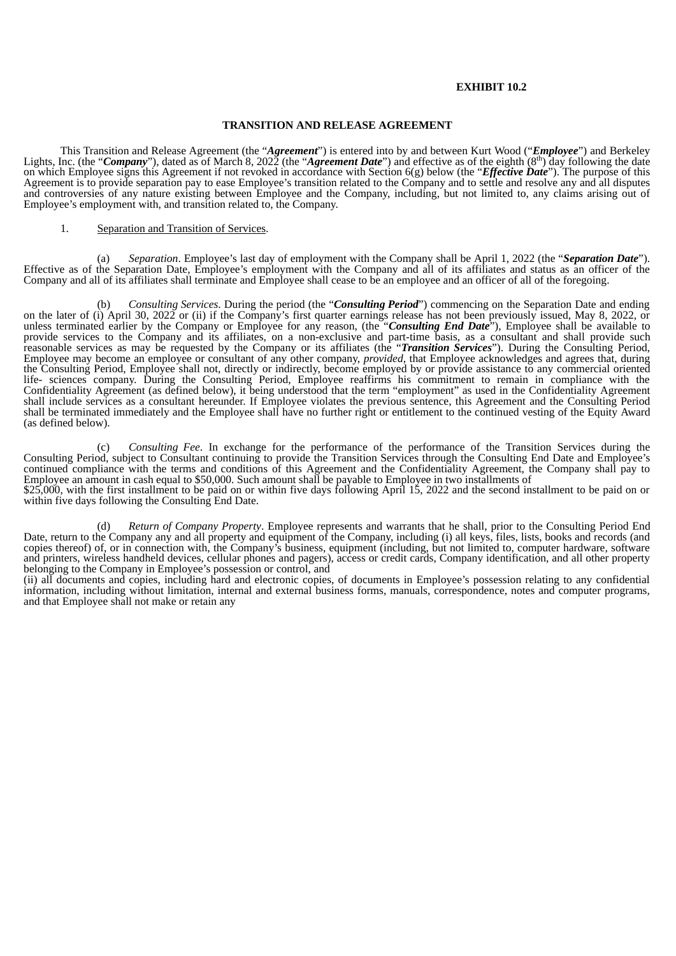### **EXHIBIT 10.2**

### **TRANSITION AND RELEASE AGREEMENT**

<span id="page-38-0"></span>This Transition and Release Agreement (the "*Agreement*") is entered into by and between Kurt Wood ("*Employee*") and Berkeley Lights, Inc. (the "**Company**"), dated as of March 8, 2022 (the "Agreement Date") and effective as of the eighth (8<sup>th</sup>) day following the date on which Employee signs this Agreement if not revoked in accordance with Section 6(g) below (the "*Effective Date*"). The purpose of this Agreement is to provide separation pay to ease Employee's transition related to the Company and to settle and resolve any and all disputes and controversies of any nature existing between Employee and the Company, including, but not limited to, any claims arising out of Employee's employment with, and transition related to, the Company.

#### 1. Separation and Transition of Services.

(a) *Separation*. Employee's last day of employment with the Company shall be April 1, 2022 (the "*Separation Date*"). Effective as of the Separation Date, Employee's employment with the Company and all of its affiliates and status as an officer of the Company and all of its affiliates shall terminate and Employee shall cease to be an employee and an officer of all of the foregoing.

(b) *Consulting Services*. During the period (the "*Consulting Period*") commencing on the Separation Date and ending on the later of (i) April 30, 2022 or (ii) if the Company's first quarter earnings release has not been previously issued, May 8, 2022, or unless terminated earlier by the Company or Employee for any reason, (the "*Consulting End Date*"), Employee shall be available to provide services to the Company and its affiliates, on a non-exclusive and part-time basis, as a consultant and shall provide such reasonable services as may be requested by the Company or its affiliates (the "*Transition Services*"). During the Consulting Period, Employee may become an employee or consultant of any other company, *provided*, that Employee acknowledges and agrees that, during the Consulting Period, Employee shall not, directly or indirectly, become employed by or provide assistance to any commercial oriented life- sciences company. During the Consulting Period, Employee reaffirms his commitment to remain in compliance with the Confidentiality Agreement (as defined below), it being understood that the term "employment" as used in the Confidentiality Agreement shall include services as a consultant hereunder. If Employee violates the previous sentence, this Agreement and the Consulting Period shall be terminated immediately and the Employee shall have no further right or entitlement to the continued vesting of the Equity Award (as defined below).

(c) *Consulting Fee*. In exchange for the performance of the performance of the Transition Services during the Consulting Period, subject to Consultant continuing to provide the Transition Services through the Consulting End Date and Employee's continued compliance with the terms and conditions of this Agreement and the Confidentiality Agreement, the Company shall pay to Employee an amount in cash equal to \$50,000. Such amount shall be payable to Employee in two installments of \$25,000, with the first installment to be paid on or within five days following April 15, 2022 and the second installment to be paid on or within five days following the Consulting End Date.

(d) *Return of Company Property*. Employee represents and warrants that he shall, prior to the Consulting Period End Date, return to the Company any and all property and equipment of the Company, including (i) all keys, files, lists, books and records (and copies thereof) of, or in connection with, the Company's business, equipment (including, but not limited to, computer hardware, software and printers, wireless handheld devices, cellular phones and pagers), access or credit cards, Company identification, and all other property belonging to the Company in Employee's possession or control, and

(ii) all documents and copies, including hard and electronic copies, of documents in Employee's possession relating to any confidential information, including without limitation, internal and external business forms, manuals, correspondence, notes and computer programs, and that Employee shall not make or retain any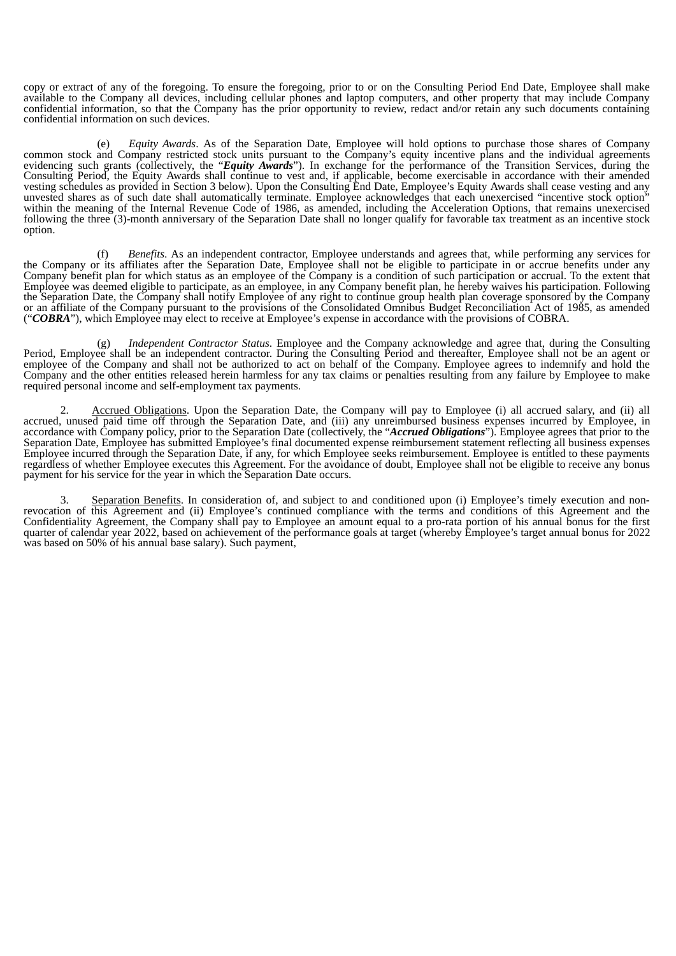copy or extract of any of the foregoing. To ensure the foregoing, prior to or on the Consulting Period End Date, Employee shall make available to the Company all devices, including cellular phones and laptop computers, and other property that may include Company confidential information, so that the Company has the prior opportunity to review, redact and/or retain any such documents containing confidential information on such devices.

(e) *Equity Awards*. As of the Separation Date, Employee will hold options to purchase those shares of Company common stock and Company restricted stock units pursuant to the Company's equity incentive plans and the individual agreements evidencing such grants (collectively, the "*Equity Awards*"). In exchange for the performance of the Transition Services, during the Consulting Period, the Equity Awards shall continue to vest and, if applicable, become exercisable in accordance with their amended vesting schedules as provided in Section 3 below). Upon the Consulting End Date, Employee's Equity Awards shall cease vesting and any unvested shares as of such date shall automatically terminate. Employee acknowledges that each unexercised "incentive stock option" within the meaning of the Internal Revenue Code of 1986, as amended, including the Acceleration Options, that remains unexercised following the three (3)-month anniversary of the Separation Date shall no longer qualify for favorable tax treatment as an incentive stock option.

(f) *Benefits*. As an independent contractor, Employee understands and agrees that, while performing any services for the Company or its affiliates after the Separation Date, Employee shall not be eligible to participate in or accrue benefits under any Company benefit plan for which status as an employee of the Company is a condition of such participation or accrual. To the extent that Employee was deemed eligible to participate, as an employee, in any Company benefit plan, he hereby waives his participation. Following the Separation Date, the Company shall notify Employee of any right to continue group health plan coverage sponsored by the Company or an affiliate of the Company pursuant to the provisions of the Consolidated Omnibus Budget Reconciliation Act of 1985, as amended ("*COBRA*"), which Employee may elect to receive at Employee's expense in accordance with the provisions of COBRA.

(g) *Independent Contractor Status*. Employee and the Company acknowledge and agree that, during the Consulting Period, Employee shall be an independent contractor. During the Consulting Period and thereafter, Employee shall not be an agent or employee of the Company and shall not be authorized to act on behalf of the Company. Employee agrees to indemnify and hold the Company and the other entities released herein harmless for any tax claims or penalties resulting from any failure by Employee to make required personal income and self-employment tax payments.

2. Accrued Obligations. Upon the Separation Date, the Company will pay to Employee (i) all accrued salary, and (ii) all accrued, unused paid time off through the Separation Date, and (iii) any unreimbursed business expenses incurred by Employee, in accordance with Company policy, prior to the Separation Date (collectively, the "*Accrued Obligations*"). Employee agrees that prior to the Separation Date, Employee has submitted Employee's final documented expense reimbursement statement reflecting all business expenses Employee incurred through the Separation Date, if any, for which Employee seeks reimbursement. Employee is entitled to these payments regardless of whether Employee executes this Agreement. For the avoidance of doubt, Employee shall not be eligible to receive any bonus payment for his service for the year in which the Separation Date occurs.

3. Separation Benefits. In consideration of, and subject to and conditioned upon (i) Employee's timely execution and nonrevocation of this Agreement and (ii) Employee's continued compliance with the terms and conditions of this Agreement and the Confidentiality Agreement, the Company shall pay to Employee an amount equal to a pro-rata portion of his annual bonus for the first quarter of calendar year 2022, based on achievement of the performance goals at target (whereby Employee's target annual bonus for 2022 was based on 50% of his annual base salary). Such payment,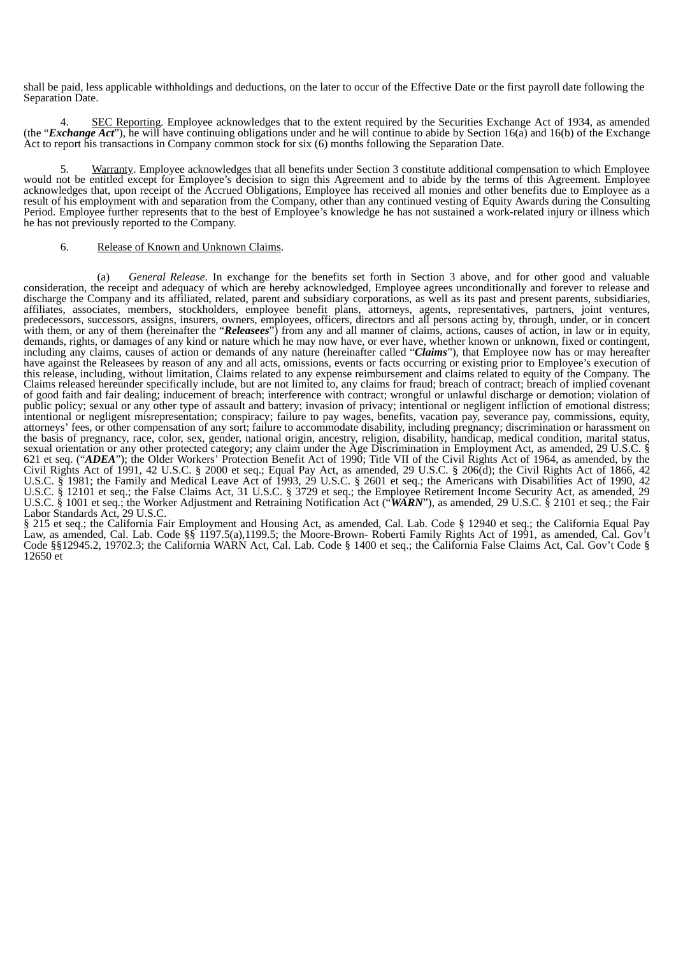shall be paid, less applicable withholdings and deductions, on the later to occur of the Effective Date or the first payroll date following the Separation Date.

4. SEC Reporting*.* Employee acknowledges that to the extent required by the Securities Exchange Act of 1934, as amended (the "*Exchange Act*"), he will have continuing obligations under and he will continue to abide by Section 16(a) and 16(b) of the Exchange Act to report his transactions in Company common stock for six (6) months following the Separation Date.

5. Warranty. Employee acknowledges that all benefits under Section 3 constitute additional compensation to which Employee would not be entitled except for Employee's decision to sign this Agreement and to abide by the terms of this Agreement. Employee acknowledges that, upon receipt of the Accrued Obligations, Employee has received all monies and other benefits due to Employee as a result of his employment with and separation from the Company, other than any continued vesting of Equity Awards during the Consulting Period. Employee further represents that to the best of Employee's knowledge he has not sustained a work-related injury or illness which he has not previously reported to the Company.

#### 6. Release of Known and Unknown Claims.

(a) *General Release*. In exchange for the benefits set forth in Section 3 above, and for other good and valuable consideration, the receipt and adequacy of which are hereby acknowledged, Employee agrees unconditionally and forever to release and discharge the Company and its affiliated, related, parent and subsidiary corporations, as well as its past and present parents, subsidiaries, affiliates, associates, members, stockholders, employee benefit plans, attorneys, agents, representatives, partners, joint ventures, predecessors, successors, assigns, insurers, owners, employees, officers, directors and all persons acting by, through, under, or in concert with them, or any of them (hereinafter the "*Releasees*") from any and all manner of claims, actions, causes of action, in law or in equity, demands, rights, or damages of any kind or nature which he may now have, or ever have, whether known or unknown, fixed or contingent, including any claims, causes of action or demands of any nature (hereinafter called "*Claims*"), that Employee now has or may hereafter have against the Releasees by reason of any and all acts, omissions, events or facts occurring or existing prior to Employee's execution of this release, including, without limitation, Claims related to any expense reimbursement and claims related to equity of the Company. The Claims released hereunder specifically include, but are not limited to, any claims for fraud; breach of contract; breach of implied covenant of good faith and fair dealing; inducement of breach; interference with contract; wrongful or unlawful discharge or demotion; violation of public policy; sexual or any other type of assault and battery; invasion of privacy; intentional or negligent infliction of emotional distress; intentional or negligent misrepresentation; conspiracy; failure to pay wages, benefits, vacation pay, severance pay, commissions, equity, attorneys' fees, or other compensation of any sort; failure to accommodate disability, including pregnancy; discrimination or harassment on the basis of pregnancy, race, color, sex, gender, national origin, ancestry, religion, disability, handicap, medical condition, marital status, sexual orientation or any other protected category; any claim under the Age Discrimination in Employment Act, as amended, 29 U.S.C. § 621 et seq. ("*ADEA*"); the Older Workers' Protection Benefit Act of 1990; Title VII of the Civil Rights Act of 1964, as amended, by the Civil Rights Act of 1991, 42 U.S.C. § 2000 et seq.; Equal Pay Act, as amended, 29 U.S.C. § 206(d); the Civil Rights Act of 1866, 42 U.S.C. § 1981; the Family and Medical Leave Act of 1993, 29 U.S.C. § 2601 et seq.; the Americans with Disabilities Act of 1990, 42 U.S.C. § 12101 et seq.; the False Claims Act, 31 U.S.C. § 3729 et seq.; the Employee Retirement Income Security Act, as amended, 29 U.S.C. § 1001 et seq.; the Worker Adjustment and Retraining Notification Act ("*WARN*"), as amended, 29 U.S.C. § 2101 et seq.; the Fair Labor Standards Act, 29 U.S.C.

§ 215 et seq.; the California Fair Employment and Housing Act, as amended, Cal. Lab. Code § 12940 et seq.; the California Equal Pay Law, as amended, Cal. Lab. Code §§ 1197.5(a),1199.5; the Moore-Brown- Roberti Family Rights Act of 1991, as amended, Cal. Gov't Code §§12945.2, 19702.3; the California WARN Act, Cal. Lab. Code § 1400 et seq.; the California False Claims Act, Cal. Gov't Code § 12650 et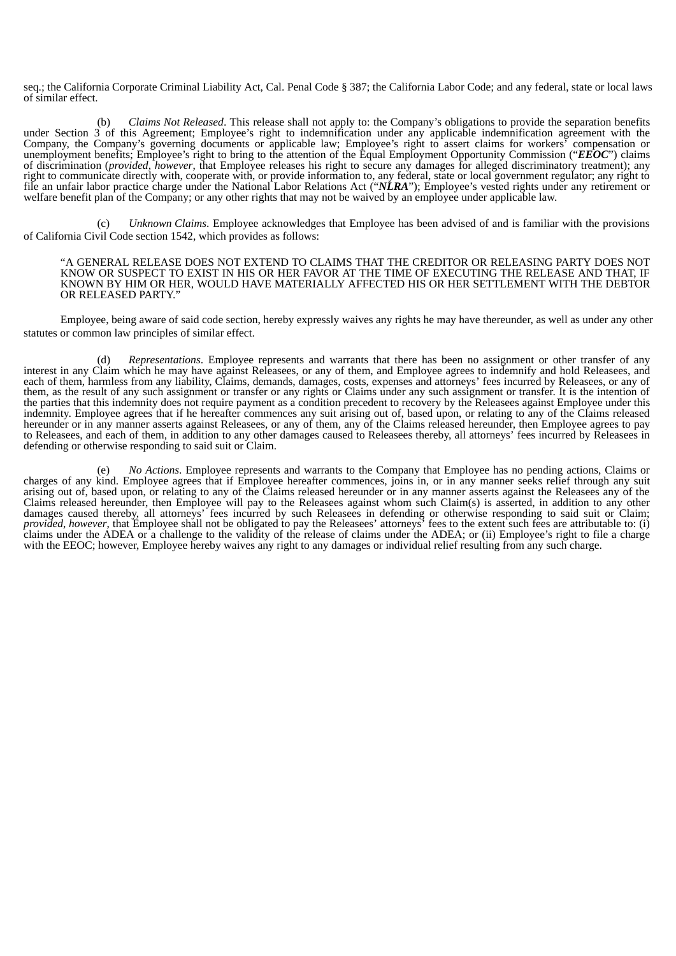seq.; the California Corporate Criminal Liability Act, Cal. Penal Code § 387; the California Labor Code; and any federal, state or local laws of similar effect.

(b) *Claims Not Released*. This release shall not apply to: the Company's obligations to provide the separation benefits under Section 3 of this Agreement; Employee's right to indemnification under any applicable indemnification agreement with the Company, the Company's governing documents or applicable law; Employee's right to assert claims for workers<sup>7</sup> compensation or unemployment benefits; Employee's right to bring to the attention of the Equal Employment Opportunity Commission ("*EEOC*") claims of discrimination (*provided*, *however*, that Employee releases his right to secure any damages for alleged discriminatory treatment); any right to communicate directly with, cooperate with, or provide information to, any federal, state or local government regulator; any right to file an unfair labor practice charge under the National Labor Relations Act ("*NLRA*"); Employee's vested rights under any retirement or welfare benefit plan of the Company; or any other rights that may not be waived by an employee under applicable law.

(c) *Unknown Claims*. Employee acknowledges that Employee has been advised of and is familiar with the provisions of California Civil Code section 1542, which provides as follows:

#### "A GENERAL RELEASE DOES NOT EXTEND TO CLAIMS THAT THE CREDITOR OR RELEASING PARTY DOES NOT KNOW OR SUSPECT TO EXIST IN HIS OR HER FAVOR AT THE TIME OF EXECUTING THE RELEASE AND THAT, IF KNOWN BY HIM OR HER, WOULD HAVE MATERIALLY AFFECTED HIS OR HER SETTLEMENT WITH THE DEBTOR OR RELEASED PARTY."

Employee, being aware of said code section, hereby expressly waives any rights he may have thereunder, as well as under any other statutes or common law principles of similar effect.

(d) *Representations*. Employee represents and warrants that there has been no assignment or other transfer of any interest in any Claim which he may have against Releasees, or any of them, and Employee agrees to indemnify and hold Releasees, and each of them, harmless from any liability, Claims, demands, damages, costs, expenses and attorneys' fees incurred by Releasees, or any of them, as the result of any such assignment or transfer or any rights or Claims under any such assignment or transfer. It is the intention of the parties that this indemnity does not require payment as a condition precedent to recovery by the Releasees against Employee under this indemnity. Employee agrees that if he hereafter commences any suit arising out of, based upon, or relating to any of the Claims released hereunder or in any manner asserts against Releasees, or any of them, any of the Claims released hereunder, then Employee agrees to pay to Releasees, and each of them, in addition to any other damages caused to Releasees thereby, all attorneys' fees incurred by Releasees in defending or otherwise responding to said suit or Claim.

(e) *No Actions*. Employee represents and warrants to the Company that Employee has no pending actions, Claims or charges of any kind. Employee agrees that if Employee hereafter commences, joins in, or in any manner seeks relief through any suit arising out of, based upon, or relating to any of the Claims released hereunder or in any manner asserts against the Releasees any of the Claims released hereunder, then Employee will pay to the Releasees against whom such Claim(s) is asserted, in addition to any other damages caused thereby, all attorneys' fees incurred by such Releasees in defending or otherwise responding to said suit or Claim; *provided, however, that Employee shall not be obligated to pay the Releasees' attorneys' fees to the extent such fees are attributable to: (i)* claims under the ADEA or a challenge to the validity of the release of claims under the ADEA; or (ii) Employee's right to file a charge with the EEOC; however, Employee hereby waives any right to any damages or individual relief resulting from any such charge.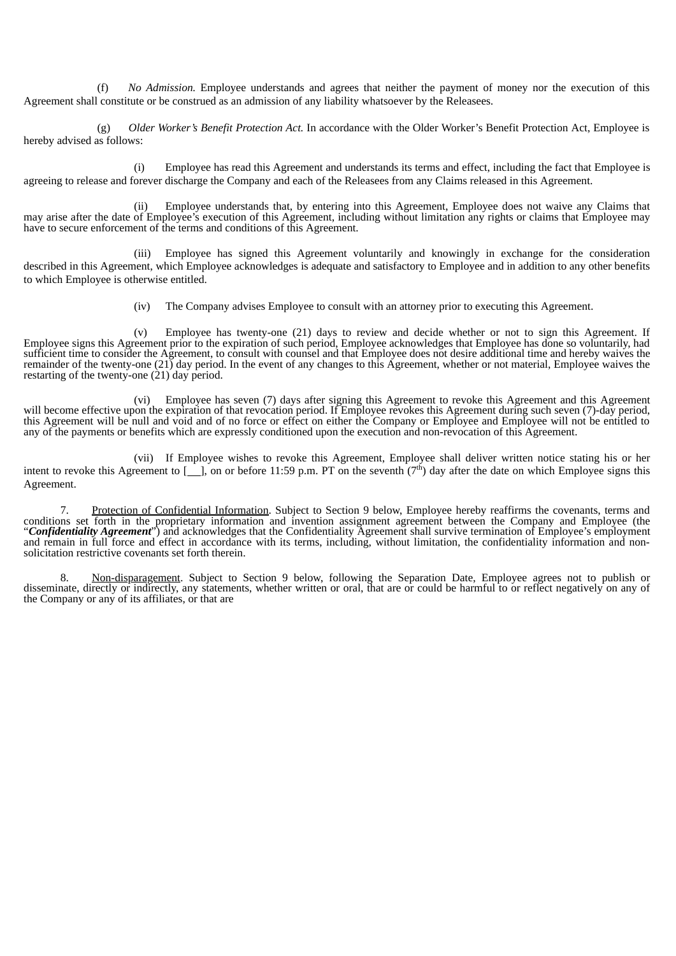(f) *No Admission.* Employee understands and agrees that neither the payment of money nor the execution of this Agreement shall constitute or be construed as an admission of any liability whatsoever by the Releasees.

(g) *Older Worker's Benefit Protection Act.* In accordance with the Older Worker's Benefit Protection Act, Employee is hereby advised as follows:

(i) Employee has read this Agreement and understands its terms and effect, including the fact that Employee is agreeing to release and forever discharge the Company and each of the Releasees from any Claims released in this Agreement.

(ii) Employee understands that, by entering into this Agreement, Employee does not waive any Claims that may arise after the date of Employee's execution of this Agreement, including without limitation any rights or claims that Employee may have to secure enforcement of the terms and conditions of this Agreement.

(iii) Employee has signed this Agreement voluntarily and knowingly in exchange for the consideration described in this Agreement, which Employee acknowledges is adequate and satisfactory to Employee and in addition to any other benefits to which Employee is otherwise entitled.

(iv) The Company advises Employee to consult with an attorney prior to executing this Agreement.

(v) Employee has twenty-one (21) days to review and decide whether or not to sign this Agreement. If Employee signs this Agreement prior to the expiration of such period, Employee acknowledges that Employee has done so voluntarily, had sufficient time to consider the Agreement, to consult with counsel and that Employee does not desire additional time and hereby waives the remainder of the twenty-one (21) day period. In the event of any changes to this Agreement, whether or not material, Employee waives the restarting of the twenty-one  $(21)$  day period.

(vi) Employee has seven (7) days after signing this Agreement to revoke this Agreement and this Agreement will become effective upon the expiration of that revocation period. If Employee revokes this Agreement during such seven (7)-day period, this Agreement will be null and void and of no force or effect on either the Company or Employee and Employee will not be entitled to any of the payments or benefits which are expressly conditioned upon the execution and non-revocation of this Agreement.

(vii) If Employee wishes to revoke this Agreement, Employee shall deliver written notice stating his or her intent to revoke this Agreement to  $[\_$ , on or before 11:59 p.m. PT on the seventh  $(7<sup>th</sup>)$  day after the date on which Employee signs this Agreement.

7. Protection of Confidential Information. Subject to Section 9 below, Employee hereby reaffirms the covenants, terms and conditions set forth in the proprietary information and invention assignment agreement between the Company and Employee (the "*Confidentiality Agreement*") and acknowledges that the Confidentiality Agreement shall survive termination of Employee's employment and remain in full force and effect in accordance with its terms, including, without limitation, the confidentiality information and nonsolicitation restrictive covenants set forth therein.

8. Non-disparagement. Subject to Section 9 below, following the Separation Date, Employee agrees not to publish or disseminate, directly or indirectly, any statements, whether written or oral, that are or could be harmful to or reflect negatively on any of the Company or any of its affiliates, or that are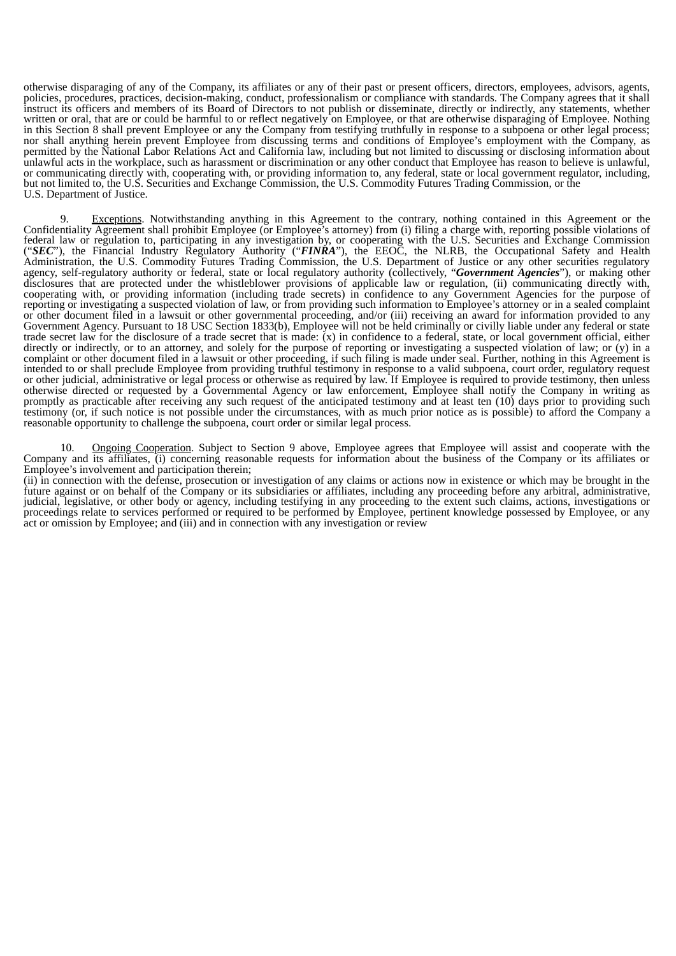otherwise disparaging of any of the Company, its affiliates or any of their past or present officers, directors, employees, advisors, agents, policies, procedures, practices, decision-making, conduct, professionalism or compliance with standards. The Company agrees that it shall instruct its officers and members of its Board of Directors to not publish or disseminate, directly or indirectly, any statements, whether written or oral, that are or could be harmful to or reflect negatively on Employee, or that are otherwise disparaging of Employee. Nothing in this Section 8 shall prevent Employee or any the Company from testifying truthfully in response to a subpoena or other legal process; nor shall anything herein prevent Employee from discussing terms and conditions of Employee's employment with the Company, as permitted by the National Labor Relations Act and California law, including but not limited to discussing or disclosing information about unlawful acts in the workplace, such as harassment or discrimination or any other conduct that Employee has reason to believe is unlawful, or communicating directly with, cooperating with, or providing information to, any federal, state or local government regulator, including, but not limited to, the U.S. Securities and Exchange Commission, the U.S. Commodity Futures Trading Commission, or the U.S. Department of Justice.

Exceptions. Notwithstanding anything in this Agreement to the contrary, nothing contained in this Agreement or the Confidentiality Agreement shall prohibit Employee (or Employee's attorney) from (i) filing a charge with, reporting possible violations of federal law or regulation to, participating in any investigation by, or cooperating with the U.S. Securities and Exchange Commission ("*SEC*"), the Financial Industry Regulatory Authority ("*FINRA*"), the EEOC, the NLRB, the Occupational Safety and Health Administration, the U.S. Commodity Futures Trading Commission, the U.S. Department of Justice or any other securities regulatory agency, self-regulatory authority or federal, state or local regulatory authority (collectively, "*Government Agencies*"), or making other disclosures that are protected under the whistleblower provisions of applicable law or regulation, (ii) communicating directly with, cooperating with, or providing information (including trade secrets) in confidence to any Government Agencies for the purpose of reporting or investigating a suspected violation of law, or from providing such information to Employee's attorney or in a sealed complaint or other document filed in a lawsuit or other governmental proceeding, and/or (iii) receiving an award for information provided to any Government Agency. Pursuant to 18 USC Section 1833(b), Employee will not be held criminally or civilly liable under any federal or state trade secret law for the disclosure of a trade secret that is made: (x) in confidence to a federal, state, or local government official, either directly or indirectly, or to an attorney, and solely for the purpose of reporting or investigating a suspected violation of law; or (y) in a complaint or other document filed in a lawsuit or other proceeding, if such filing is made under seal. Further, nothing in this Agreement is intended to or shall preclude Employee from providing truthful testimony in response to a valid subpoena, court order, regulatory request or other judicial, administrative or legal process or otherwise as required by law. If Employee is required to provide testimony, then unless otherwise directed or requested by a Governmental Agency or law enforcement, Employee shall notify the Company in writing as promptly as practicable after receiving any such request of the anticipated testimony and at least ten (10) days prior to providing such testimony (or, if such notice is not possible under the circumstances, with as much prior notice as is possible) to afford the Company a reasonable opportunity to challenge the subpoena, court order or similar legal process.

10. Ongoing Cooperation. Subject to Section 9 above, Employee agrees that Employee will assist and cooperate with the Company and its affiliates, (i) concerning reasonable requests for information about the business of the Company or its affiliates or Employee's involvement and participation therein;

(ii) in connection with the defense, prosecution or investigation of any claims or actions now in existence or which may be brought in the future against or on behalf of the Company or its subsidiaries or affiliates, including any proceeding before any arbitral, administrative, judicial, legislative, or other body or agency, including testifying in any proceeding to the extent such claims, actions, investigations or proceedings relate to services performed or required to be performed by Employee, pertinent knowledge possessed by Employee, or any act or omission by Employee; and (iii) and in connection with any investigation or review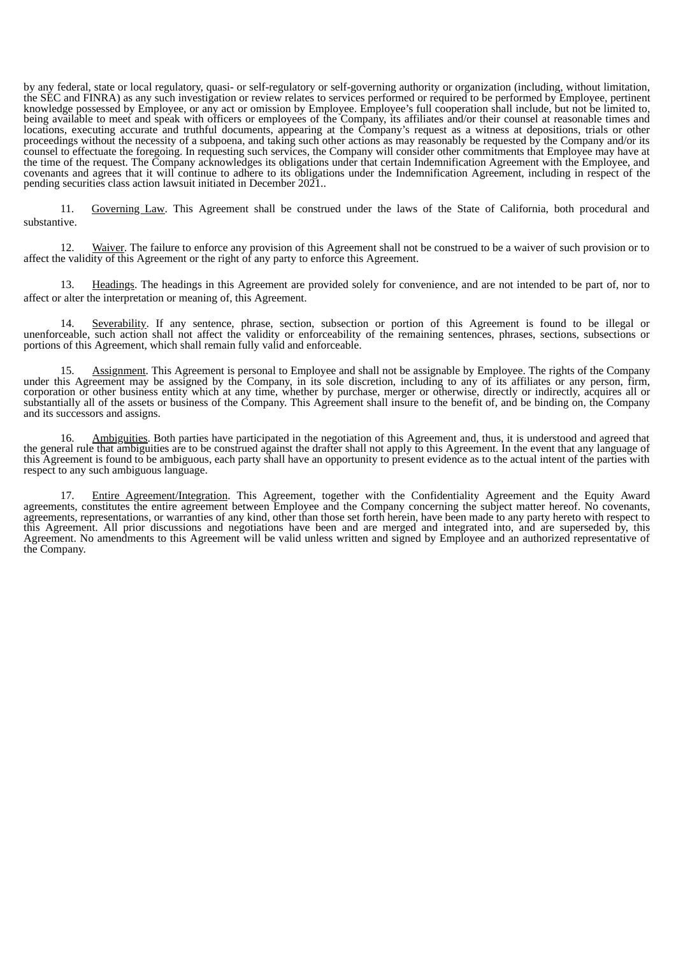by any federal, state or local regulatory, quasi- or self-regulatory or self-governing authority or organization (including, without limitation, the SEC and FINRA) as any such investigation or review relates to services performed or required to be performed by Employee, pertinent knowledge possessed by Employee, or any act or omission by Employee. Employee's full cooperation shall include, but not be limited to, being available to meet and speak with officers or employees of the Company, its affiliates and/or their counsel at reasonable times and locations, executing accurate and truthful documents, appearing at the Company's request as a witness at depositions, trials or other proceedings without the necessity of a subpoena, and taking such other actions as may reasonably be requested by the Company and/or its counsel to effectuate the foregoing. In requesting such services, the Company will consider other commitments that Employee may have at the time of the request. The Company acknowledges its obligations under that certain Indemnification Agreement with the Employee, and covenants and agrees that it will continue to adhere to its obligations under the Indemnification Agreement, including in respect of the pending securities class action lawsuit initiated in December 2021..

11. Governing Law. This Agreement shall be construed under the laws of the State of California, both procedural and substantive.

12. Waiver. The failure to enforce any provision of this Agreement shall not be construed to be a waiver of such provision or to affect the validity of this Agreement or the right of any party to enforce this Agreement.

13. Headings. The headings in this Agreement are provided solely for convenience, and are not intended to be part of, nor to affect or alter the interpretation or meaning of, this Agreement.

Severability. If any sentence, phrase, section, subsection or portion of this Agreement is found to be illegal or unenforceable, such action shall not affect the validity or enforceability of the remaining sentences, phrases, sections, subsections or portions of this Agreement, which shall remain fully valid and enforceable.

15. Assignment. This Agreement is personal to Employee and shall not be assignable by Employee. The rights of the Company under this Agreement may be assigned by the Company, in its sole discretion, including to any of its affiliates or any person, firm, corporation or other business entity which at any time, whether by purchase, merger or otherwise, directly or indirectly, acquires all or substantially all of the assets or business of the Company. This Agreement shall insure to the benefit of, and be binding on, the Company and its successors and assigns.

16. Ambiguities. Both parties have participated in the negotiation of this Agreement and, thus, it is understood and agreed that the general rule that ambiguities are to be construed against the drafter shall not apply to this Agreement. In the event that any language of this Agreement is found to be ambiguous, each party shall have an opportunity to present evidence as to the actual intent of the parties with respect to any such ambiguous language.

17. Entire Agreement/Integration. This Agreement, together with the Confidentiality Agreement and the Equity Award agreements, constitutes the entire agreement between Employee and the Company concerning the subject matter hereof. No covenants, agreements, representations, or warranties of any kind, other than those set forth herein, have been made to any party hereto with respect to this Agreement. All prior discussions and negotiations have been and are merged and integrated into, and are superseded by, this Agreement. No amendments to this Agreement will be valid unless written and signed by Employee and an authorized representative of the Company.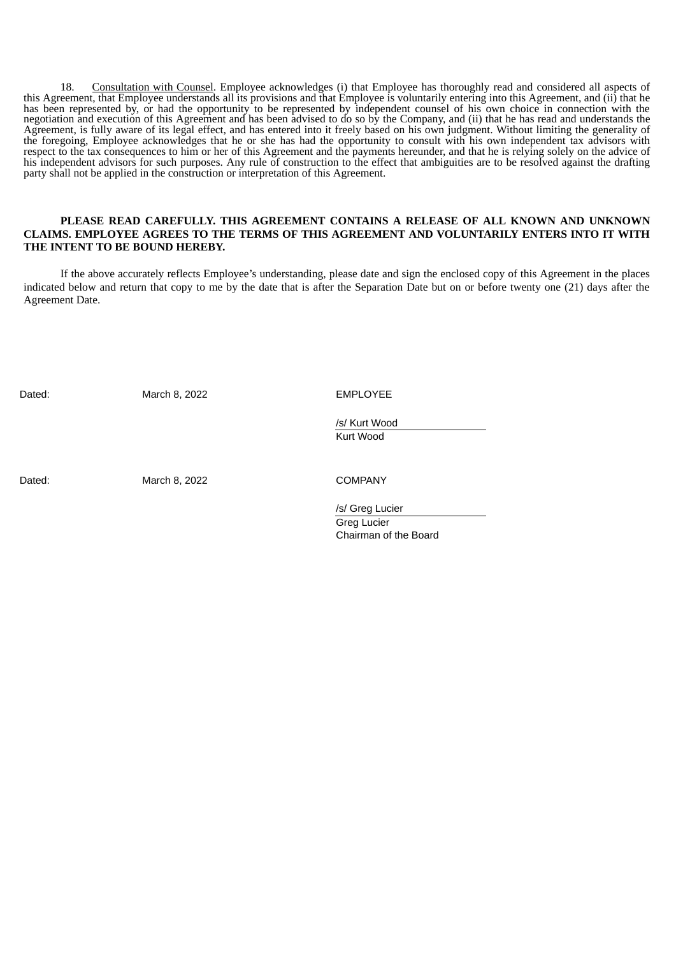18. Consultation with Counsel. Employee acknowledges (i) that Employee has thoroughly read and considered all aspects of this Agreement, that Employee understands all its provisions and that Employee is voluntarily entering into this Agreement, and (ii) that he has been represented by, or had the opportunity to be represented by independent counsel of his own choice in connection with the negotiation and execution of this Agreement and has been advised to do so by the Company, and (ii) that he has read and understands the Agreement, is fully aware of its legal effect, and has entered into it freely based on his own judgment. Without limiting the generality of the foregoing, Employee acknowledges that he or she has had the opportunity to consult with his own independent tax advisors with respect to the tax consequences to him or her of this Agreement and the payments hereunder, and that he is relying solely on the advice of his independent advisors for such purposes. Any rule of construction to the effect that ambiguities are to be resolved against the drafting party shall not be applied in the construction or interpretation of this Agreement.

### **PLEASE READ CAREFULLY. THIS AGREEMENT CONTAINS A RELEASE OF ALL KNOWN AND UNKNOWN CLAIMS. EMPLOYEE AGREES TO THE TERMS OF THIS AGREEMENT AND VOLUNTARILY ENTERS INTO IT WITH THE INTENT TO BE BOUND HEREBY.**

If the above accurately reflects Employee's understanding, please date and sign the enclosed copy of this Agreement in the places indicated below and return that copy to me by the date that is after the Separation Date but on or before twenty one (21) days after the Agreement Date.

Dated: March 8, 2022 EMPLOYEE

/s/ Kurt Wood Kurt Wood

Dated: March 8, 2022 COMPANY

/s/ Greg Lucier Greg Lucier Chairman of the Board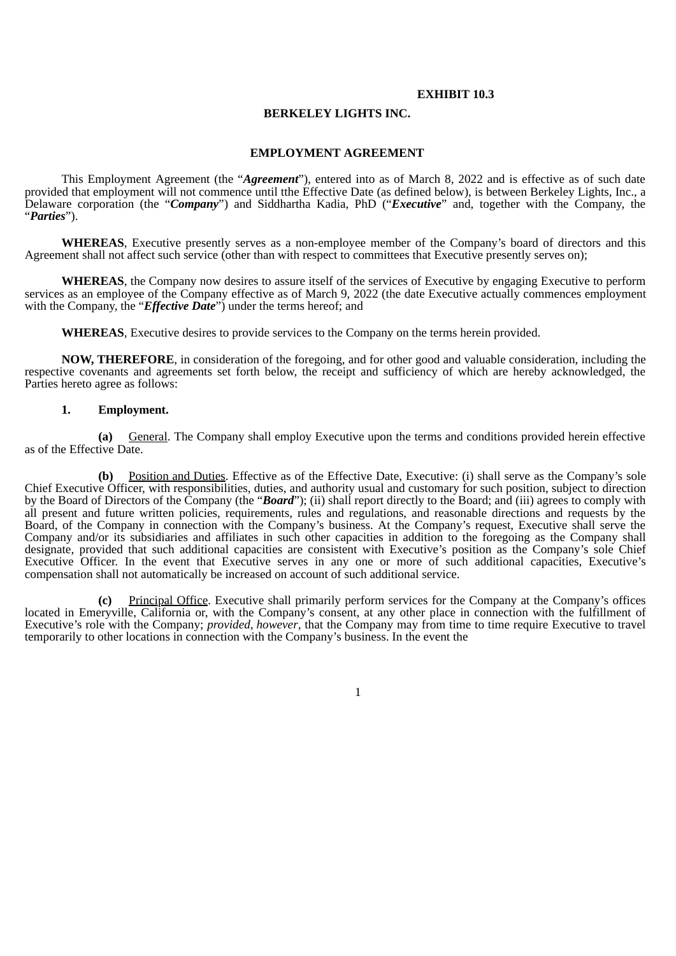### **EXHIBIT 10.3**

### **BERKELEY LIGHTS INC.**

### **EMPLOYMENT AGREEMENT**

<span id="page-46-0"></span>This Employment Agreement (the "*Agreement*"), entered into as of March 8, 2022 and is effective as of such date provided that employment will not commence until tthe Effective Date (as defined below), is between Berkeley Lights, Inc., a Delaware corporation (the "*Company*") and Siddhartha Kadia, PhD ("*Executive*" and, together with the Company, the "*Parties*").

**WHEREAS**, Executive presently serves as a non-employee member of the Company's board of directors and this Agreement shall not affect such service (other than with respect to committees that Executive presently serves on);

**WHEREAS**, the Company now desires to assure itself of the services of Executive by engaging Executive to perform services as an employee of the Company effective as of March 9, 2022 (the date Executive actually commences employment with the Company, the "*Effective Date*") under the terms hereof; and

**WHEREAS**, Executive desires to provide services to the Company on the terms herein provided.

**NOW, THEREFORE**, in consideration of the foregoing, and for other good and valuable consideration, including the respective covenants and agreements set forth below, the receipt and sufficiency of which are hereby acknowledged, the Parties hereto agree as follows:

### **1. Employment.**

**(a)** General. The Company shall employ Executive upon the terms and conditions provided herein effective as of the Effective Date.

**(b)** Position and Duties. Effective as of the Effective Date, Executive: (i) shall serve as the Company's sole Chief Executive Officer, with responsibilities, duties, and authority usual and customary for such position, subject to direction by the Board of Directors of the Company (the "*Board*"); (ii) shall report directly to the Board; and (iii) agrees to comply with all present and future written policies, requirements, rules and regulations, and reasonable directions and requests by the Board, of the Company in connection with the Company's business. At the Company's request, Executive shall serve the Company and/or its subsidiaries and affiliates in such other capacities in addition to the foregoing as the Company shall designate, provided that such additional capacities are consistent with Executive's position as the Company's sole Chief Executive Officer. In the event that Executive serves in any one or more of such additional capacities, Executive's compensation shall not automatically be increased on account of such additional service.

**(c)** Principal Office. Executive shall primarily perform services for the Company at the Company's offices located in Emeryville, California or, with the Company's consent, at any other place in connection with the fulfillment of Executive's role with the Company; *provided*, *however*, that the Company may from time to time require Executive to travel temporarily to other locations in connection with the Company's business. In the event the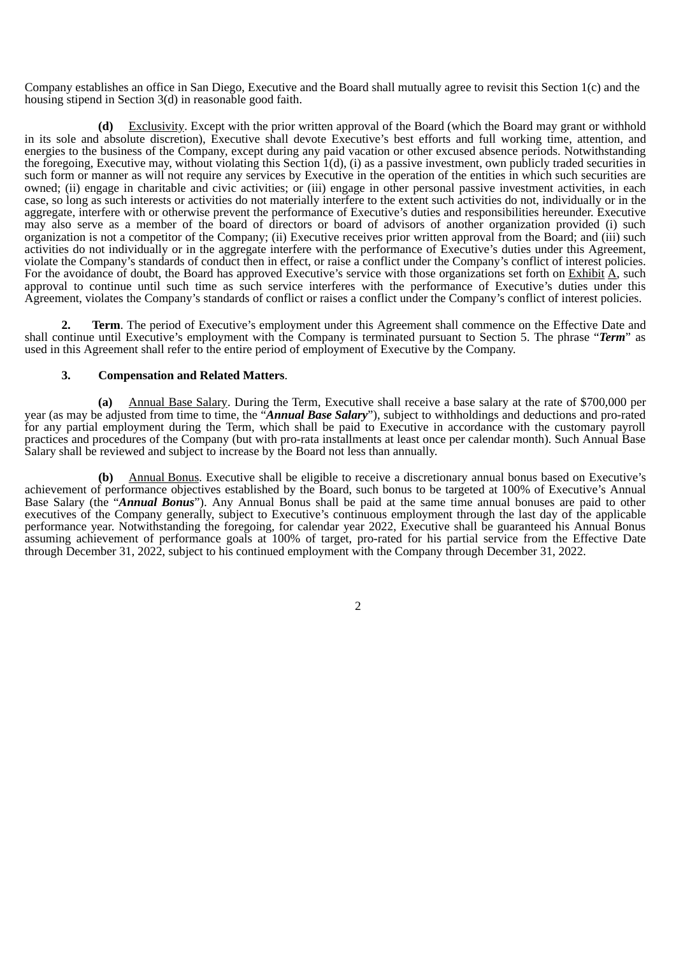Company establishes an office in San Diego, Executive and the Board shall mutually agree to revisit this Section 1(c) and the housing stipend in Section 3(d) in reasonable good faith.

**(d)** Exclusivity. Except with the prior written approval of the Board (which the Board may grant or withhold in its sole and absolute discretion), Executive shall devote Executive's best efforts and full working time, attention, and energies to the business of the Company, except during any paid vacation or other excused absence periods. Notwithstanding the foregoing, Executive may, without violating this Section 1(d), (i) as a passive investment, own publicly traded securities in such form or manner as will not require any services by Executive in the operation of the entities in which such securities are owned; (ii) engage in charitable and civic activities; or (iii) engage in other personal passive investment activities, in each case, so long as such interests or activities do not materially interfere to the extent such activities do not, individually or in the aggregate, interfere with or otherwise prevent the performance of Executive's duties and responsibilities hereunder. Executive may also serve as a member of the board of directors or board of advisors of another organization provided (i) such organization is not a competitor of the Company; (ii) Executive receives prior written approval from the Board; and (iii) such activities do not individually or in the aggregate interfere with the performance of Executive's duties under this Agreement, violate the Company's standards of conduct then in effect, or raise a conflict under the Company's conflict of interest policies. For the avoidance of doubt, the Board has approved Executive's service with those organizations set forth on Exhibit A, such approval to continue until such time as such service interferes with the performance of Executive's duties under this Agreement, violates the Company's standards of conflict or raises a conflict under the Company's conflict of interest policies.

**2. Term**. The period of Executive's employment under this Agreement shall commence on the Effective Date and shall continue until Executive's employment with the Company is terminated pursuant to Section 5. The phrase "*Term*" as used in this Agreement shall refer to the entire period of employment of Executive by the Company.

### **3. Compensation and Related Matters**.

**(a)** Annual Base Salary. During the Term, Executive shall receive a base salary at the rate of \$700,000 per year (as may be adjusted from time to time, the "*Annual Base Salary*"), subject to withholdings and deductions and pro-rated for any partial employment during the Term, which shall be paid to Executive in accordance with the customary payroll practices and procedures of the Company (but with pro-rata installments at least once per calendar month). Such Annual Base Salary shall be reviewed and subject to increase by the Board not less than annually.

**(b)** Annual Bonus. Executive shall be eligible to receive a discretionary annual bonus based on Executive's achievement of performance objectives established by the Board, such bonus to be targeted at 100% of Executive's Annual Base Salary (the "*Annual Bonus*"). Any Annual Bonus shall be paid at the same time annual bonuses are paid to other executives of the Company generally, subject to Executive's continuous employment through the last day of the applicable performance year. Notwithstanding the foregoing, for calendar year 2022, Executive shall be guaranteed his Annual Bonus assuming achievement of performance goals at 100% of target, pro-rated for his partial service from the Effective Date through December 31, 2022, subject to his continued employment with the Company through December 31, 2022.

 $\mathcal{P}$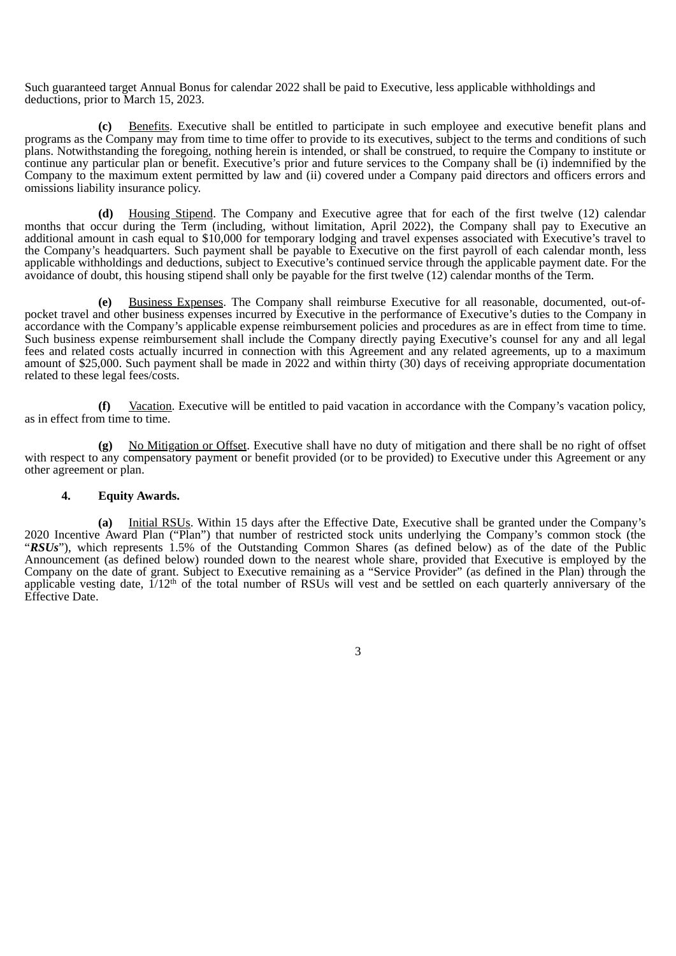Such guaranteed target Annual Bonus for calendar 2022 shall be paid to Executive, less applicable withholdings and deductions, prior to March 15, 2023.

**(c)** Benefits. Executive shall be entitled to participate in such employee and executive benefit plans and programs as the Company may from time to time offer to provide to its executives, subject to the terms and conditions of such plans. Notwithstanding the foregoing, nothing herein is intended, or shall be construed, to require the Company to institute or continue any particular plan or benefit. Executive's prior and future services to the Company shall be (i) indemnified by the Company to the maximum extent permitted by law and (ii) covered under a Company paid directors and officers errors and omissions liability insurance policy.

**(d)** Housing Stipend. The Company and Executive agree that for each of the first twelve (12) calendar months that occur during the Term (including, without limitation, April 2022), the Company shall pay to Executive an additional amount in cash equal to \$10,000 for temporary lodging and travel expenses associated with Executive's travel to the Company's headquarters. Such payment shall be payable to Executive on the first payroll of each calendar month, less applicable withholdings and deductions, subject to Executive's continued service through the applicable payment date. For the avoidance of doubt, this housing stipend shall only be payable for the first twelve (12) calendar months of the Term.

**(e)** Business Expenses. The Company shall reimburse Executive for all reasonable, documented, out-ofpocket travel and other business expenses incurred by Executive in the performance of Executive's duties to the Company in accordance with the Company's applicable expense reimbursement policies and procedures as are in effect from time to time. Such business expense reimbursement shall include the Company directly paying Executive's counsel for any and all legal fees and related costs actually incurred in connection with this Agreement and any related agreements, up to a maximum amount of \$25,000. Such payment shall be made in 2022 and within thirty (30) days of receiving appropriate documentation related to these legal fees/costs.

**(f)** Vacation. Executive will be entitled to paid vacation in accordance with the Company's vacation policy, as in effect from time to time.

**(g)** No Mitigation or Offset. Executive shall have no duty of mitigation and there shall be no right of offset with respect to any compensatory payment or benefit provided (or to be provided) to Executive under this Agreement or any other agreement or plan.

### **4. Equity Awards.**

**(a)** Initial RSUs. Within 15 days after the Effective Date, Executive shall be granted under the Company's 2020 Incentive Award Plan ("Plan") that number of restricted stock units underlying the Company's common stock (the "*RSUs*"), which represents 1.5% of the Outstanding Common Shares (as defined below) as of the date of the Public Announcement (as defined below) rounded down to the nearest whole share, provided that Executive is employed by the Company on the date of grant. Subject to Executive remaining as a "Service Provider" (as defined in the Plan) through the applicable vesting date,  $1/12<sup>th</sup>$  of the total number of RSUs will vest and be settled on each quarterly anniversary of the Effective Date.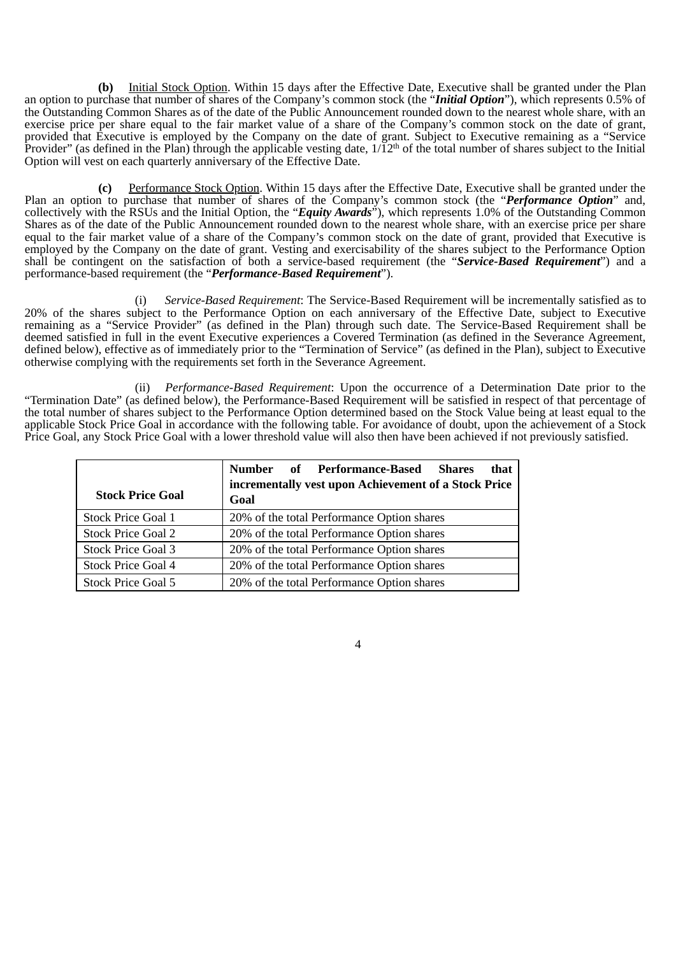**(b)** Initial Stock Option. Within 15 days after the Effective Date, Executive shall be granted under the Plan an option to purchase that number of shares of the Company's common stock (the "*Initial Option*"), which represents 0.5% of the Outstanding Common Shares as of the date of the Public Announcement rounded down to the nearest whole share, with an exercise price per share equal to the fair market value of a share of the Company's common stock on the date of grant, provided that Executive is employed by the Company on the date of grant. Subject to Executive remaining as a "Service Provider" (as defined in the Plan) through the applicable vesting date,  $1/\overline{1}2<sup>th</sup>$  of the total number of shares subject to the Initial Option will vest on each quarterly anniversary of the Effective Date.

**(c)** Performance Stock Option. Within 15 days after the Effective Date, Executive shall be granted under the Plan an option to purchase that number of shares of the Company's common stock (the "*Performance Option*" and, collectively with the RSUs and the Initial Option, the "*Equity Awards*"), which represents 1.0% of the Outstanding Common Shares as of the date of the Public Announcement rounded down to the nearest whole share, with an exercise price per share equal to the fair market value of a share of the Company's common stock on the date of grant, provided that Executive is employed by the Company on the date of grant. Vesting and exercisability of the shares subject to the Performance Option shall be contingent on the satisfaction of both a service-based requirement (the "*Service-Based Requirement*") and a performance-based requirement (the "*Performance-Based Requirement*").

(i) *Service-Based Requirement*: The Service-Based Requirement will be incrementally satisfied as to 20% of the shares subject to the Performance Option on each anniversary of the Effective Date, subject to Executive remaining as a "Service Provider" (as defined in the Plan) through such date. The Service-Based Requirement shall be deemed satisfied in full in the event Executive experiences a Covered Termination (as defined in the Severance Agreement, defined below), effective as of immediately prior to the "Termination of Service" (as defined in the Plan), subject to Executive otherwise complying with the requirements set forth in the Severance Agreement.

(ii) *Performance-Based Requirement*: Upon the occurrence of a Determination Date prior to the "Termination Date" (as defined below), the Performance-Based Requirement will be satisfied in respect of that percentage of the total number of shares subject to the Performance Option determined based on the Stock Value being at least equal to the applicable Stock Price Goal in accordance with the following table. For avoidance of doubt, upon the achievement of a Stock Price Goal, any Stock Price Goal with a lower threshold value will also then have been achieved if not previously satisfied.

| <b>Stock Price Goal</b>                                                 | Number of Performance-Based Shares<br>that<br>incrementally vest upon Achievement of a Stock Price<br>Goal |  |
|-------------------------------------------------------------------------|------------------------------------------------------------------------------------------------------------|--|
| <b>Stock Price Goal 1</b>                                               | 20% of the total Performance Option shares                                                                 |  |
| <b>Stock Price Goal 2</b>                                               | 20% of the total Performance Option shares                                                                 |  |
| <b>Stock Price Goal 3</b>                                               | 20% of the total Performance Option shares                                                                 |  |
| <b>Stock Price Goal 4</b>                                               | 20% of the total Performance Option shares                                                                 |  |
| <b>Stock Price Goal 5</b><br>20% of the total Performance Option shares |                                                                                                            |  |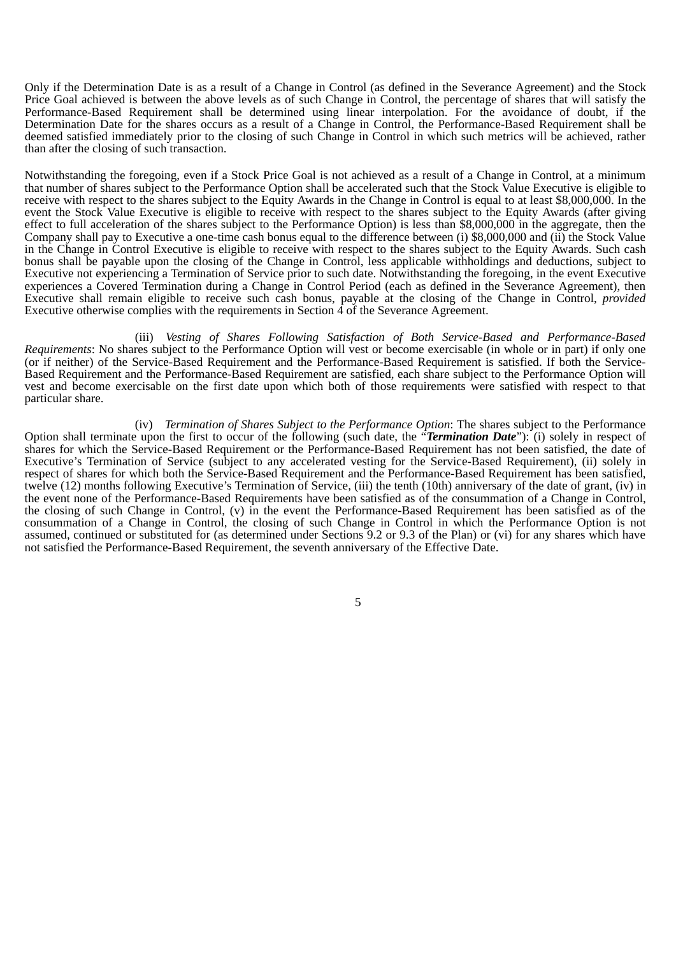Only if the Determination Date is as a result of a Change in Control (as defined in the Severance Agreement) and the Stock Price Goal achieved is between the above levels as of such Change in Control, the percentage of shares that will satisfy the Performance-Based Requirement shall be determined using linear interpolation. For the avoidance of doubt, if the Determination Date for the shares occurs as a result of a Change in Control, the Performance-Based Requirement shall be deemed satisfied immediately prior to the closing of such Change in Control in which such metrics will be achieved, rather than after the closing of such transaction.

Notwithstanding the foregoing, even if a Stock Price Goal is not achieved as a result of a Change in Control, at a minimum that number of shares subject to the Performance Option shall be accelerated such that the Stock Value Executive is eligible to receive with respect to the shares subject to the Equity Awards in the Change in Control is equal to at least \$8,000,000. In the event the Stock Value Executive is eligible to receive with respect to the shares subject to the Equity Awards (after giving effect to full acceleration of the shares subject to the Performance Option) is less than \$8,000,000 in the aggregate, then the Company shall pay to Executive a one-time cash bonus equal to the difference between (i) \$8,000,000 and (ii) the Stock Value in the Change in Control Executive is eligible to receive with respect to the shares subject to the Equity Awards. Such cash bonus shall be payable upon the closing of the Change in Control, less applicable withholdings and deductions, subject to Executive not experiencing a Termination of Service prior to such date. Notwithstanding the foregoing, in the event Executive experiences a Covered Termination during a Change in Control Period (each as defined in the Severance Agreement), then Executive shall remain eligible to receive such cash bonus, payable at the closing of the Change in Control, *provided* Executive otherwise complies with the requirements in Section  $\frac{1}{4}$  of the Severance Agreement.

(iii) *Vesting of Shares Following Satisfaction of Both Service-Based and Performance-Based Requirements*: No shares subject to the Performance Option will vest or become exercisable (in whole or in part) if only one (or if neither) of the Service-Based Requirement and the Performance-Based Requirement is satisfied. If both the Service-Based Requirement and the Performance-Based Requirement are satisfied, each share subject to the Performance Option will vest and become exercisable on the first date upon which both of those requirements were satisfied with respect to that particular share.

(iv) *Termination of Shares Subject to the Performance Option*: The shares subject to the Performance Option shall terminate upon the first to occur of the following (such date, the "*Termination Date*"): (i) solely in respect of shares for which the Service-Based Requirement or the Performance-Based Requirement has not been satisfied, the date of Executive's Termination of Service (subject to any accelerated vesting for the Service-Based Requirement), (ii) solely in respect of shares for which both the Service-Based Requirement and the Performance-Based Requirement has been satisfied, twelve (12) months following Executive's Termination of Service, (iii) the tenth (10th) anniversary of the date of grant, (iv) in the event none of the Performance-Based Requirements have been satisfied as of the consummation of a Change in Control, the closing of such Change in Control, (v) in the event the Performance-Based Requirement has been satisfied as of the consummation of a Change in Control, the closing of such Change in Control in which the Performance Option is not assumed, continued or substituted for (as determined under Sections 9.2 or 9.3 of the Plan) or (vi) for any shares which have not satisfied the Performance-Based Requirement, the seventh anniversary of the Effective Date.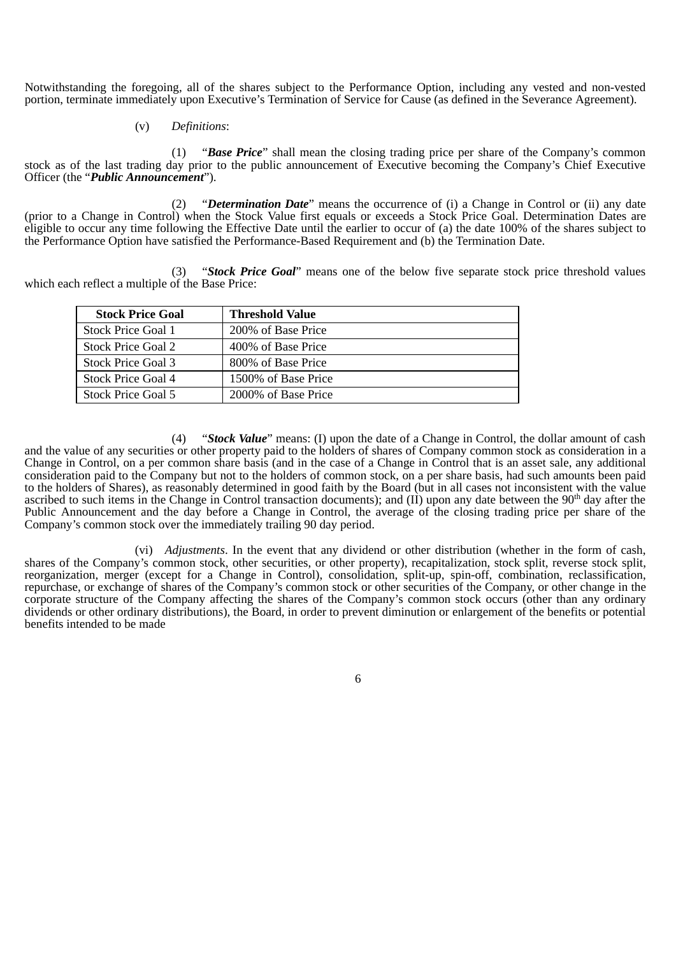Notwithstanding the foregoing, all of the shares subject to the Performance Option, including any vested and non-vested portion, terminate immediately upon Executive's Termination of Service for Cause (as defined in the Severance Agreement).

### (v) *Definitions*:

(1) "*Base Price*" shall mean the closing trading price per share of the Company's common stock as of the last trading day prior to the public announcement of Executive becoming the Company's Chief Executive Officer (the "*Public Announcement*").

(2) "*Determination Date*" means the occurrence of (i) a Change in Control or (ii) any date (prior to a Change in Control) when the Stock Value first equals or exceeds a Stock Price Goal. Determination Dates are eligible to occur any time following the Effective Date until the earlier to occur of (a) the date 100% of the shares subject to the Performance Option have satisfied the Performance-Based Requirement and (b) the Termination Date.

(3) "*Stock Price Goal*" means one of the below five separate stock price threshold values which each reflect a multiple of the Base Price:

| <b>Stock Price Goal</b>   | <b>Threshold Value</b> |
|---------------------------|------------------------|
| Stock Price Goal 1        | 200% of Base Price     |
| <b>Stock Price Goal 2</b> | 400% of Base Price     |
| <b>Stock Price Goal 3</b> | 800% of Base Price     |
| Stock Price Goal 4        | 1500% of Base Price    |
| <b>Stock Price Goal 5</b> | 2000% of Base Price    |

(4) "*Stock Value*" means: (I) upon the date of a Change in Control, the dollar amount of cash and the value of any securities or other property paid to the holders of shares of Company common stock as consideration in a Change in Control, on a per common share basis (and in the case of a Change in Control that is an asset sale, any additional consideration paid to the Company but not to the holders of common stock, on a per share basis, had such amounts been paid to the holders of Shares), as reasonably determined in good faith by the Board (but in all cases not inconsistent with the value ascribed to such items in the Change in Control transaction documents); and (II) upon any date between the 90<sup>th</sup> day after the Public Announcement and the day before a Change in Control, the average of the closing trading price per share of the Company's common stock over the immediately trailing 90 day period.

(vi) *Adjustments*. In the event that any dividend or other distribution (whether in the form of cash, shares of the Company's common stock, other securities, or other property), recapitalization, stock split, reverse stock split, reorganization, merger (except for a Change in Control), consolidation, split-up, spin-off, combination, reclassification, repurchase, or exchange of shares of the Company's common stock or other securities of the Company, or other change in the corporate structure of the Company affecting the shares of the Company's common stock occurs (other than any ordinary dividends or other ordinary distributions), the Board, in order to prevent diminution or enlargement of the benefits or potential benefits intended to be made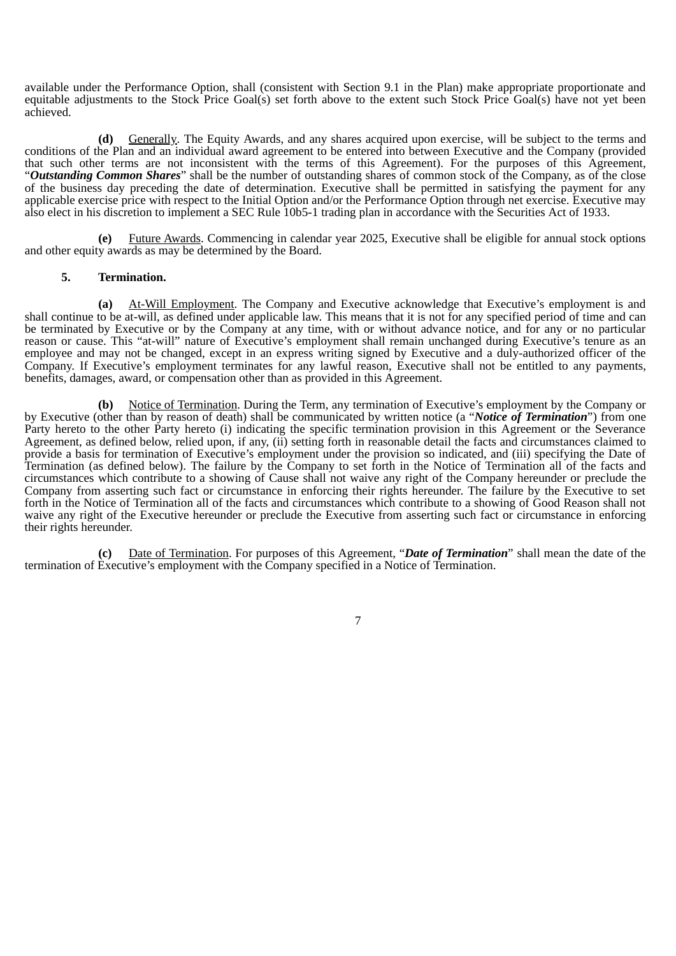available under the Performance Option, shall (consistent with Section 9.1 in the Plan) make appropriate proportionate and equitable adjustments to the Stock Price Goal(s) set forth above to the extent such Stock Price Goal(s) have not yet been achieved.

**(d)** Generally. The Equity Awards, and any shares acquired upon exercise, will be subject to the terms and conditions of the Plan and an individual award agreement to be entered into between Executive and the Company (provided that such other terms are not inconsistent with the terms of this Agreement). For the purposes of this Agreement, "*Outstanding Common Shares*" shall be the number of outstanding shares of common stock of the Company, as of the close of the business day preceding the date of determination. Executive shall be permitted in satisfying the payment for any applicable exercise price with respect to the Initial Option and/or the Performance Option through net exercise. Executive may also elect in his discretion to implement a SEC Rule 10b5-1 trading plan in accordance with the Securities Act of 1933.

**(e)** Future Awards. Commencing in calendar year 2025, Executive shall be eligible for annual stock options and other equity awards as may be determined by the Board.

### **5. Termination.**

**(a)** At-Will Employment. The Company and Executive acknowledge that Executive's employment is and shall continue to be at-will, as defined under applicable law. This means that it is not for any specified period of time and can be terminated by Executive or by the Company at any time, with or without advance notice, and for any or no particular reason or cause. This "at-will" nature of Executive's employment shall remain unchanged during Executive's tenure as an employee and may not be changed, except in an express writing signed by Executive and a duly-authorized officer of the Company. If Executive's employment terminates for any lawful reason, Executive shall not be entitled to any payments, benefits, damages, award, or compensation other than as provided in this Agreement.

**(b)** Notice of Termination. During the Term, any termination of Executive's employment by the Company or by Executive (other than by reason of death) shall be communicated by written notice (a "*Notice of Termination*") from one Party hereto to the other Party hereto (i) indicating the specific termination provision in this Agreement or the Severance Agreement, as defined below, relied upon, if any, (ii) setting forth in reasonable detail the facts and circumstances claimed to provide a basis for termination of Executive's employment under the provision so indicated, and (iii) specifying the Date of Termination (as defined below). The failure by the Company to set forth in the Notice of Termination all of the facts and circumstances which contribute to a showing of Cause shall not waive any right of the Company hereunder or preclude the Company from asserting such fact or circumstance in enforcing their rights hereunder. The failure by the Executive to set forth in the Notice of Termination all of the facts and circumstances which contribute to a showing of Good Reason shall not waive any right of the Executive hereunder or preclude the Executive from asserting such fact or circumstance in enforcing their rights hereunder.

**(c)** Date of Termination. For purposes of this Agreement, "*Date of Termination*" shall mean the date of the termination of Executive's employment with the Company specified in a Notice of Termination.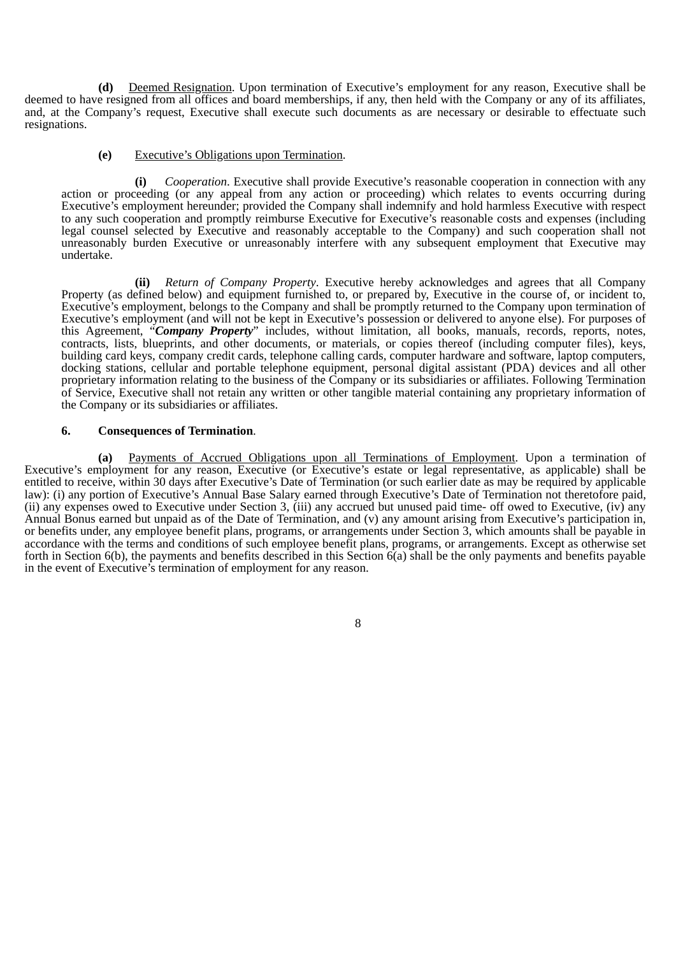**(d)** Deemed Resignation. Upon termination of Executive's employment for any reason, Executive shall be deemed to have resigned from all offices and board memberships, if any, then held with the Company or any of its affiliates, and, at the Company's request, Executive shall execute such documents as are necessary or desirable to effectuate such resignations.

### **(e)** Executive's Obligations upon Termination.

**(i)** *Cooperation*. Executive shall provide Executive's reasonable cooperation in connection with any action or proceeding (or any appeal from any action or proceeding) which relates to events occurring during Executive's employment hereunder; provided the Company shall indemnify and hold harmless Executive with respect to any such cooperation and promptly reimburse Executive for Executive's reasonable costs and expenses (including legal counsel selected by Executive and reasonably acceptable to the Company) and such cooperation shall not unreasonably burden Executive or unreasonably interfere with any subsequent employment that Executive may undertake.

**(ii)** *Return of Company Property*. Executive hereby acknowledges and agrees that all Company Property (as defined below) and equipment furnished to, or prepared by, Executive in the course of, or incident to, Executive's employment, belongs to the Company and shall be promptly returned to the Company upon termination of Executive's employment (and will not be kept in Executive's possession or delivered to anyone else). For purposes of this Agreement, "*Company Property*" includes, without limitation, all books, manuals, records, reports, notes, contracts, lists, blueprints, and other documents, or materials, or copies thereof (including computer files), keys, building card keys, company credit cards, telephone calling cards, computer hardware and software, laptop computers, docking stations, cellular and portable telephone equipment, personal digital assistant (PDA) devices and all other proprietary information relating to the business of the Company or its subsidiaries or affiliates. Following Termination of Service, Executive shall not retain any written or other tangible material containing any proprietary information of the Company or its subsidiaries or affiliates.

### **6. Consequences of Termination**.

**(a)** Payments of Accrued Obligations upon all Terminations of Employment. Upon a termination of Executive's employment for any reason, Executive (or Executive's estate or legal representative, as applicable) shall be entitled to receive, within 30 days after Executive's Date of Termination (or such earlier date as may be required by applicable law): (i) any portion of Executive's Annual Base Salary earned through Executive's Date of Termination not theretofore paid, (ii) any expenses owed to Executive under Section 3, (iii) any accrued but unused paid time- off owed to Executive, (iv) any Annual Bonus earned but unpaid as of the Date of Termination, and (v) any amount arising from Executive's participation in, or benefits under, any employee benefit plans, programs, or arrangements under Section 3, which amounts shall be payable in accordance with the terms and conditions of such employee benefit plans, programs, or arrangements. Except as otherwise set forth in Section 6(b), the payments and benefits described in this Section 6(a) shall be the only payments and benefits payable in the event of Executive's termination of employment for any reason.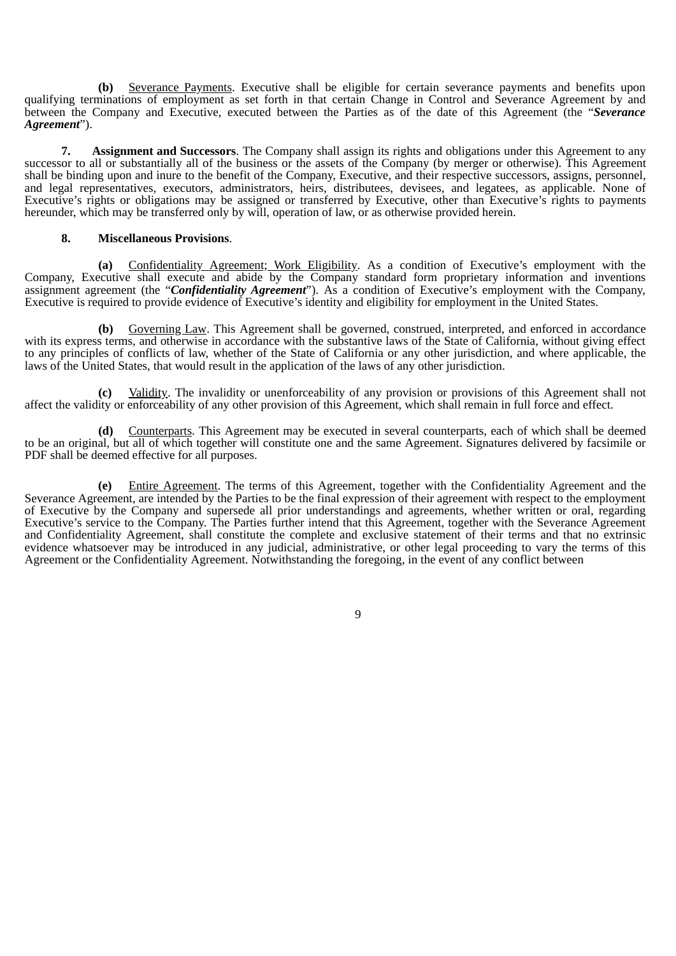**(b)** Severance Payments. Executive shall be eligible for certain severance payments and benefits upon qualifying terminations of employment as set forth in that certain Change in Control and Severance Agreement by and between the Company and Executive, executed between the Parties as of the date of this Agreement (the "*Severance Agreement*").

**7. Assignment and Successors**. The Company shall assign its rights and obligations under this Agreement to any successor to all or substantially all of the business or the assets of the Company (by merger or otherwise). This Agreement shall be binding upon and inure to the benefit of the Company, Executive, and their respective successors, assigns, personnel, and legal representatives, executors, administrators, heirs, distributees, devisees, and legatees, as applicable. None of Executive's rights or obligations may be assigned or transferred by Executive, other than Executive's rights to payments hereunder, which may be transferred only by will, operation of law, or as otherwise provided herein.

### **8. Miscellaneous Provisions**.

**(a)** Confidentiality Agreement; Work Eligibility. As a condition of Executive's employment with the Company, Executive shall execute and abide by the Company standard form proprietary information and inventions assignment agreement (the "*Confidentiality Agreement*"). As a condition of Executive's employment with the Company, Executive is required to provide evidence of Executive's identity and eligibility for employment in the United States.

**(b)** Governing Law. This Agreement shall be governed, construed, interpreted, and enforced in accordance with its express terms, and otherwise in accordance with the substantive laws of the State of California, without giving effect to any principles of conflicts of law, whether of the State of California or any other jurisdiction, and where applicable, the laws of the United States, that would result in the application of the laws of any other jurisdiction.

**(c)** Validity. The invalidity or unenforceability of any provision or provisions of this Agreement shall not affect the validity or enforceability of any other provision of this Agreement, which shall remain in full force and effect.

**(d)** Counterparts. This Agreement may be executed in several counterparts, each of which shall be deemed to be an original, but all of which together will constitute one and the same Agreement. Signatures delivered by facsimile or PDF shall be deemed effective for all purposes.

**(e)** Entire Agreement. The terms of this Agreement, together with the Confidentiality Agreement and the Severance Agreement, are intended by the Parties to be the final expression of their agreement with respect to the employment of Executive by the Company and supersede all prior understandings and agreements, whether written or oral, regarding Executive's service to the Company. The Parties further intend that this Agreement, together with the Severance Agreement and Confidentiality Agreement, shall constitute the complete and exclusive statement of their terms and that no extrinsic evidence whatsoever may be introduced in any judicial, administrative, or other legal proceeding to vary the terms of this Agreement or the Confidentiality Agreement. Notwithstanding the foregoing, in the event of any conflict between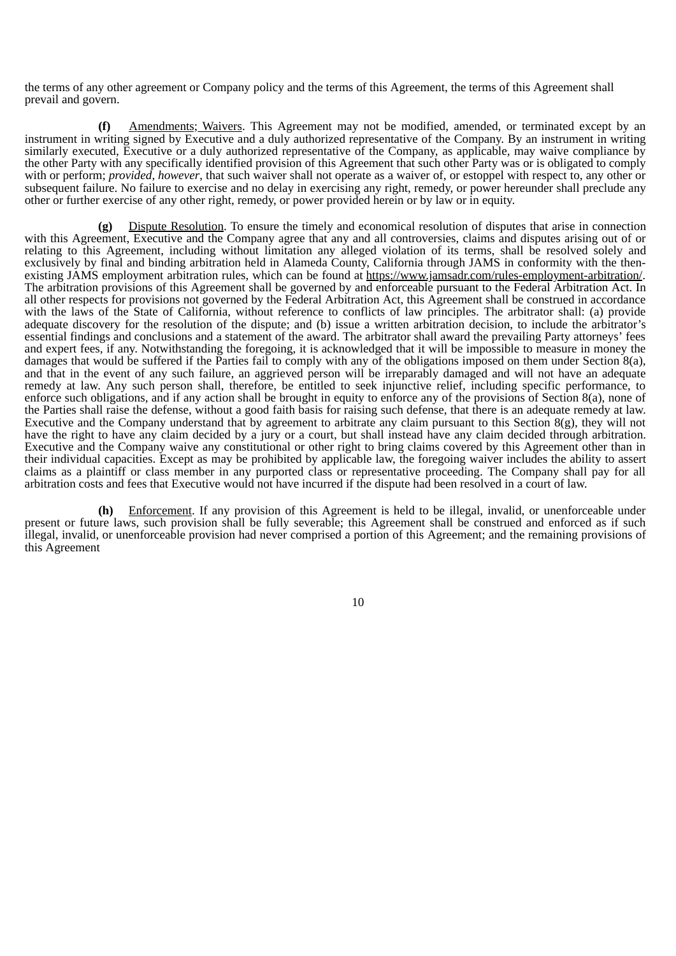the terms of any other agreement or Company policy and the terms of this Agreement, the terms of this Agreement shall prevail and govern.

Amendments; Waivers. This Agreement may not be modified, amended, or terminated except by an instrument in writing signed by Executive and a duly authorized representative of the Company. By an instrument in writing similarly executed, Executive or a duly authorized representative of the Company, as applicable, may waive compliance by the other Party with any specifically identified provision of this Agreement that such other Party was or is obligated to comply with or perform; *provided*, *however*, that such waiver shall not operate as a waiver of, or estoppel with respect to, any other or subsequent failure. No failure to exercise and no delay in exercising any right, remedy, or power hereunder shall preclude any other or further exercise of any other right, remedy, or power provided herein or by law or in equity.

**(g)** Dispute Resolution. To ensure the timely and economical resolution of disputes that arise in connection with this Agreement, Executive and the Company agree that any and all controversies, claims and disputes arising out of or relating to this Agreement, including without limitation any alleged violation of its terms, shall be resolved solely and exclusively by final and binding arbitration held in Alameda County, California through JAMS in conformity with the thenexisting JAMS employment arbitration rules, which can be found at https://www.jamsadr.com/rules-employment-arbitration/. The arbitration provisions of this Agreement shall be governed by and enforceable pursuant to the Federal Arbitration Act. In all other respects for provisions not governed by the Federal Arbitration Act, this Agreement shall be construed in accordance with the laws of the State of California, without reference to conflicts of law principles. The arbitrator shall: (a) provide adequate discovery for the resolution of the dispute; and (b) issue a written arbitration decision, to include the arbitrator's essential findings and conclusions and a statement of the award. The arbitrator shall award the prevailing Party attorneys' fees and expert fees, if any. Notwithstanding the foregoing, it is acknowledged that it will be impossible to measure in money the damages that would be suffered if the Parties fail to comply with any of the obligations imposed on them under Section 8(a), and that in the event of any such failure, an aggrieved person will be irreparably damaged and will not have an adequate remedy at law. Any such person shall, therefore, be entitled to seek injunctive relief, including specific performance, to enforce such obligations, and if any action shall be brought in equity to enforce any of the provisions of Section 8(a), none of the Parties shall raise the defense, without a good faith basis for raising such defense, that there is an adequate remedy at law. Executive and the Company understand that by agreement to arbitrate any claim pursuant to this Section 8(g), they will not have the right to have any claim decided by a jury or a court, but shall instead have any claim decided through arbitration. Executive and the Company waive any constitutional or other right to bring claims covered by this Agreement other than in their individual capacities. Except as may be prohibited by applicable law, the foregoing waiver includes the ability to assert claims as a plaintiff or class member in any purported class or representative proceeding. The Company shall pay for all arbitration costs and fees that Executive would not have incurred if the dispute had been resolved in a court of law.

**(h)** Enforcement. If any provision of this Agreement is held to be illegal, invalid, or unenforceable under present or future laws, such provision shall be fully severable; this Agreement shall be construed and enforced as if such illegal, invalid, or unenforceable provision had never comprised a portion of this Agreement; and the remaining provisions of this Agreement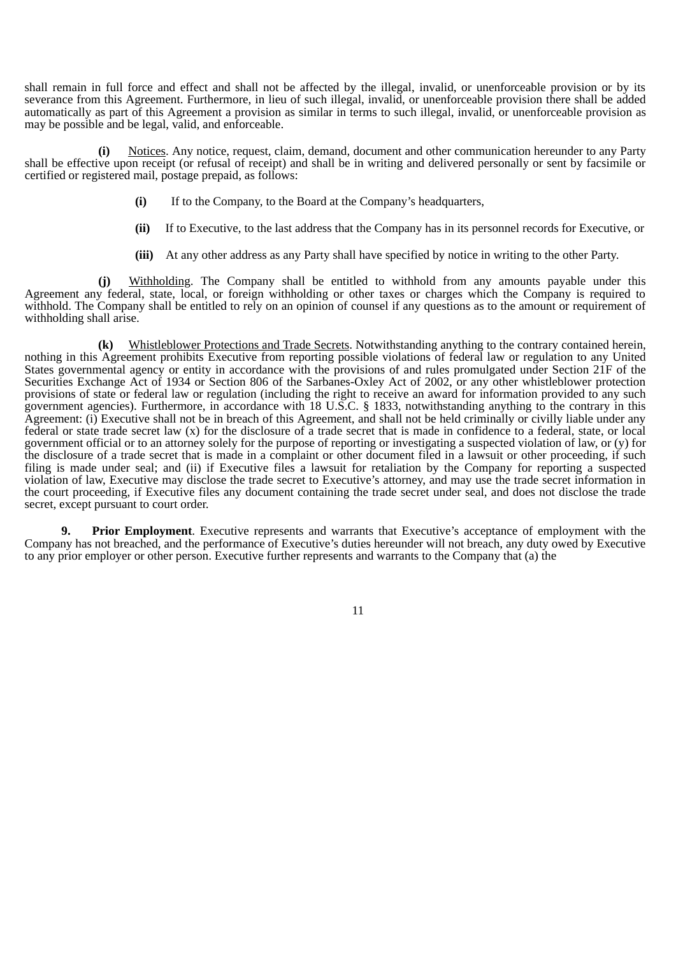shall remain in full force and effect and shall not be affected by the illegal, invalid, or unenforceable provision or by its severance from this Agreement. Furthermore, in lieu of such illegal, invalid, or unenforceable provision there shall be added automatically as part of this Agreement a provision as similar in terms to such illegal, invalid, or unenforceable provision as may be possible and be legal, valid, and enforceable.

**(i)** Notices. Any notice, request, claim, demand, document and other communication hereunder to any Party shall be effective upon receipt (or refusal of receipt) and shall be in writing and delivered personally or sent by facsimile or certified or registered mail, postage prepaid, as follows:

- **(i)** If to the Company, to the Board at the Company's headquarters,
- **(ii)** If to Executive, to the last address that the Company has in its personnel records for Executive, or
- **(iii)** At any other address as any Party shall have specified by notice in writing to the other Party.

**(j)** Withholding. The Company shall be entitled to withhold from any amounts payable under this Agreement any federal, state, local, or foreign withholding or other taxes or charges which the Company is required to withhold. The Company shall be entitled to rely on an opinion of counsel if any questions as to the amount or requirement of withholding shall arise.

**(k)** Whistleblower Protections and Trade Secrets. Notwithstanding anything to the contrary contained herein, nothing in this Agreement prohibits Executive from reporting possible violations of federal law or regulation to any United States governmental agency or entity in accordance with the provisions of and rules promulgated under Section 21F of the Securities Exchange Act of 1934 or Section 806 of the Sarbanes-Oxley Act of 2002, or any other whistleblower protection provisions of state or federal law or regulation (including the right to receive an award for information provided to any such government agencies). Furthermore, in accordance with 18 U.S.C. § 1833, notwithstanding anything to the contrary in this Agreement: (i) Executive shall not be in breach of this Agreement, and shall not be held criminally or civilly liable under any federal or state trade secret law (x) for the disclosure of a trade secret that is made in confidence to a federal, state, or local government official or to an attorney solely for the purpose of reporting or investigating a suspected violation of law, or (y) for the disclosure of a trade secret that is made in a complaint or other document filed in a lawsuit or other proceeding, if such filing is made under seal; and (ii) if Executive files a lawsuit for retaliation by the Company for reporting a suspected violation of law, Executive may disclose the trade secret to Executive's attorney, and may use the trade secret information in the court proceeding, if Executive files any document containing the trade secret under seal, and does not disclose the trade secret, except pursuant to court order.

**9. Prior Employment**. Executive represents and warrants that Executive's acceptance of employment with the Company has not breached, and the performance of Executive's duties hereunder will not breach, any duty owed by Executive to any prior employer or other person. Executive further represents and warrants to the Company that (a) the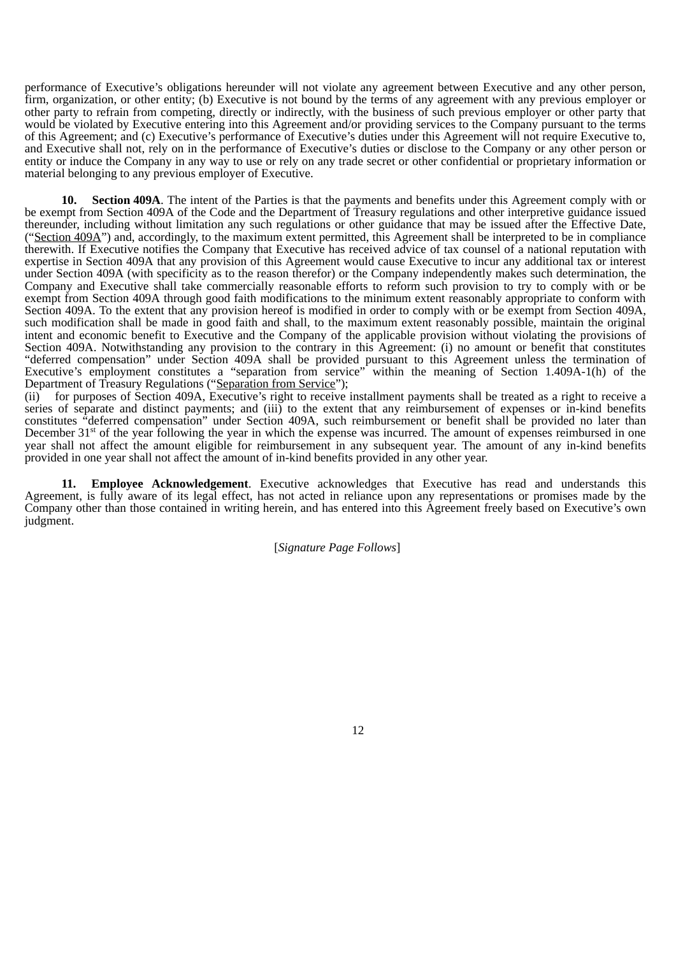performance of Executive's obligations hereunder will not violate any agreement between Executive and any other person, firm, organization, or other entity; (b) Executive is not bound by the terms of any agreement with any previous employer or other party to refrain from competing, directly or indirectly, with the business of such previous employer or other party that would be violated by Executive entering into this Agreement and/or providing services to the Company pursuant to the terms of this Agreement; and (c) Executive's performance of Executive's duties under this Agreement will not require Executive to, and Executive shall not, rely on in the performance of Executive's duties or disclose to the Company or any other person or entity or induce the Company in any way to use or rely on any trade secret or other confidential or proprietary information or material belonging to any previous employer of Executive.

**10. Section 409A**. The intent of the Parties is that the payments and benefits under this Agreement comply with or be exempt from Section 409A of the Code and the Department of Treasury regulations and other interpretive guidance issued thereunder, including without limitation any such regulations or other guidance that may be issued after the Effective Date, ("Section 409A") and, accordingly, to the maximum extent permitted, this Agreement shall be interpreted to be in compliance therewith. If Executive notifies the Company that Executive has received advice of tax counsel of a national reputation with expertise in Section 409A that any provision of this Agreement would cause Executive to incur any additional tax or interest under Section 409A (with specificity as to the reason therefor) or the Company independently makes such determination, the Company and Executive shall take commercially reasonable efforts to reform such provision to try to comply with or be exempt from Section 409A through good faith modifications to the minimum extent reasonably appropriate to conform with Section 409A. To the extent that any provision hereof is modified in order to comply with or be exempt from Section 409A, such modification shall be made in good faith and shall, to the maximum extent reasonably possible, maintain the original intent and economic benefit to Executive and the Company of the applicable provision without violating the provisions of Section 409A. Notwithstanding any provision to the contrary in this Agreement: (i) no amount or benefit that constitutes "deferred compensation" under Section 409A shall be provided pursuant to this Agreement unless the termination of Executive's employment constitutes a "separation from service" within the meaning of Section 1.409A-1(h) of the Department of Treasury Regulations ("Separation from Service");

(ii) for purposes of Section 409A, Executive's right to receive installment payments shall be treated as a right to receive a series of separate and distinct payments; and (iii) to the extent that any reimbursement of expenses or in-kind benefits constitutes "deferred compensation" under Section 409A, such reimbursement or benefit shall be provided no later than December  $31^{st}$  of the year following the year in which the expense was incurred. The amount of expenses reimbursed in one year shall not affect the amount eligible for reimbursement in any subsequent year. The amount of any in-kind benefits provided in one year shall not affect the amount of in-kind benefits provided in any other year.

**11. Employee Acknowledgement**. Executive acknowledges that Executive has read and understands this Agreement, is fully aware of its legal effect, has not acted in reliance upon any representations or promises made by the Company other than those contained in writing herein, and has entered into this Agreement freely based on Executive's own judgment.

[*Signature Page Follows*]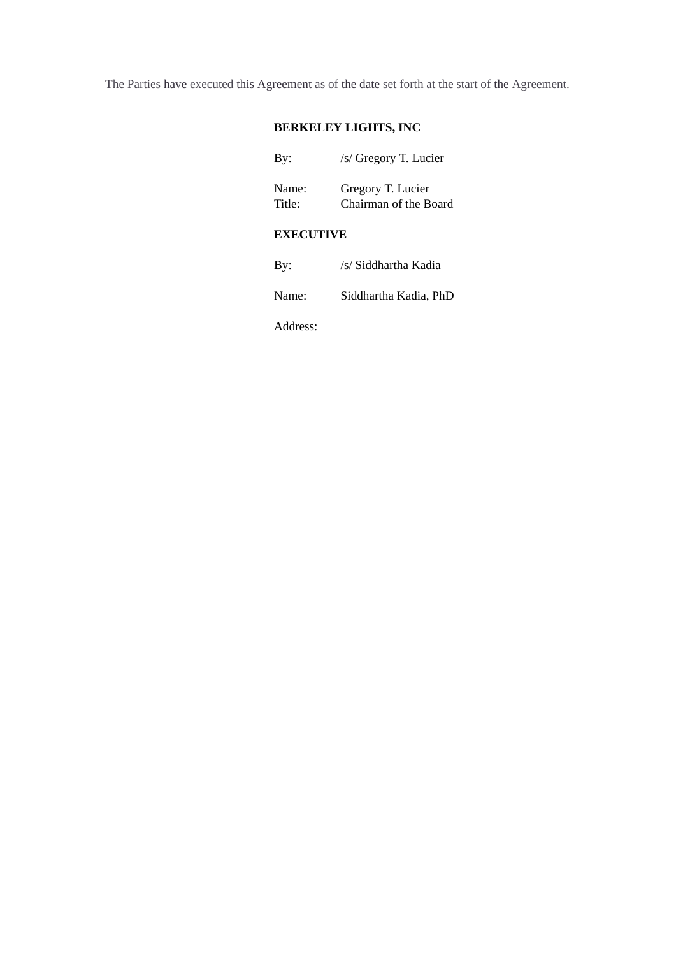The Parties have executed this Agreement as of the date set forth at the start of the Agreement.

# **BERKELEY LIGHTS, INC**

| By:    | /s/ Gregory T. Lucier |
|--------|-----------------------|
| Name:  | Gregory T. Lucier     |
| Title: | Chairman of the Board |

# **EXECUTIVE**

| By:      | /s/ Siddhartha Kadia  |
|----------|-----------------------|
| Name:    | Siddhartha Kadia, PhD |
| Address: |                       |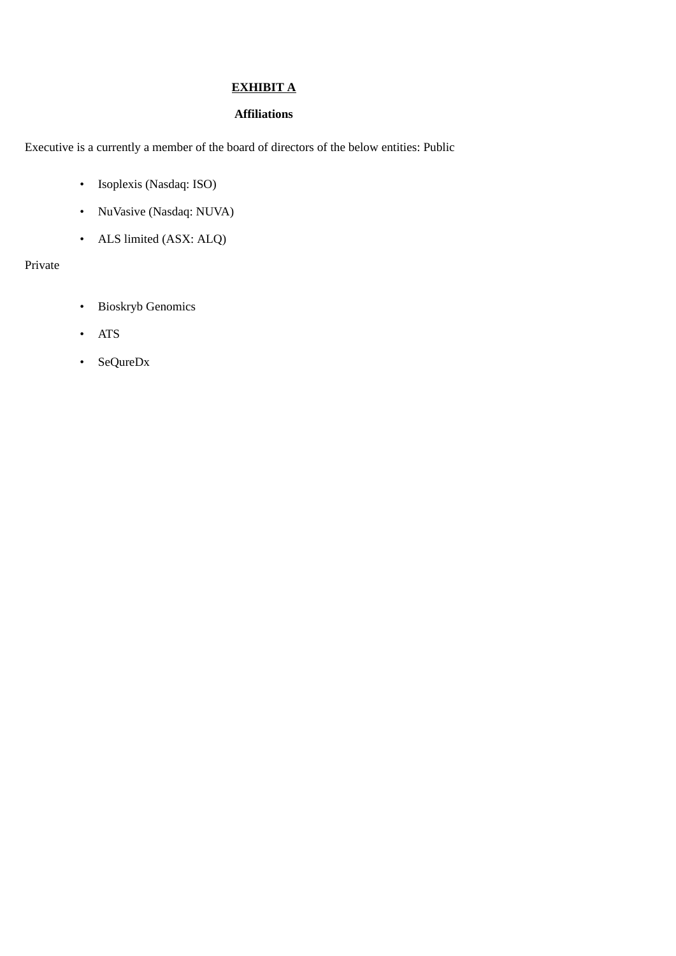# **EXHIBIT A**

## **Affiliations**

Executive is a currently a member of the board of directors of the below entities: Public

- Isoplexis (Nasdaq: ISO)
- NuVasive (Nasdaq: NUVA)
- ALS limited (ASX: ALQ)

Private

- Bioskryb Genomics
- ATS
- SeQureDx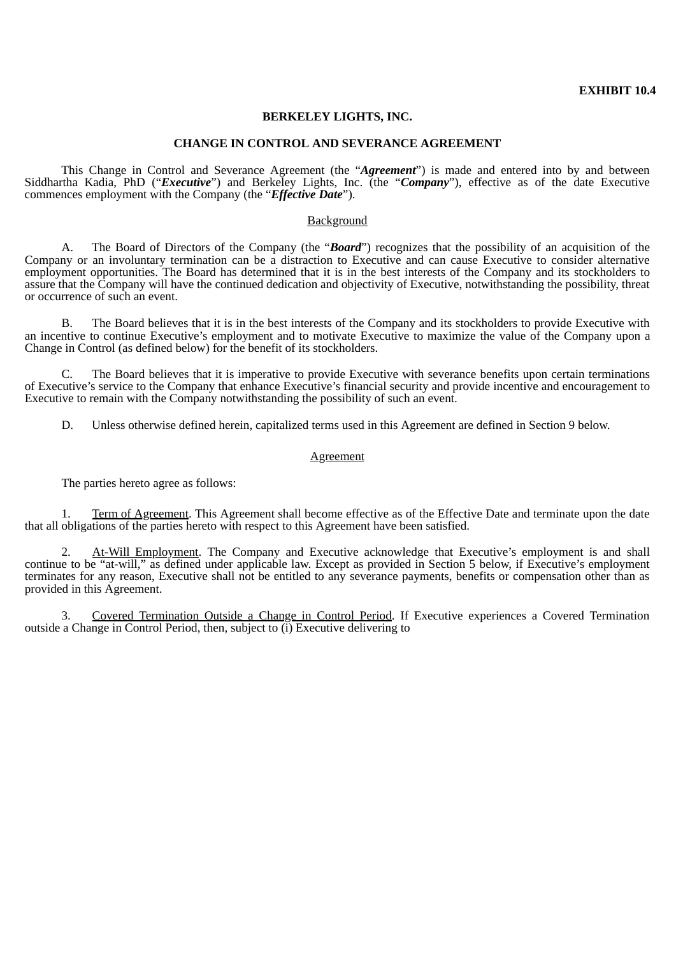### **EXHIBIT 10.4**

### **BERKELEY LIGHTS, INC.**

### **CHANGE IN CONTROL AND SEVERANCE AGREEMENT**

<span id="page-60-0"></span>This Change in Control and Severance Agreement (the "*Agreement*") is made and entered into by and between Siddhartha Kadia, PhD ("*Executive*") and Berkeley Lights, Inc. (the "*Company*"), effective as of the date Executive commences employment with the Company (the "*Effective Date*").

### Background

A. The Board of Directors of the Company (the "*Board*") recognizes that the possibility of an acquisition of the Company or an involuntary termination can be a distraction to Executive and can cause Executive to consider alternative employment opportunities. The Board has determined that it is in the best interests of the Company and its stockholders to assure that the Company will have the continued dedication and objectivity of Executive, notwithstanding the possibility, threat or occurrence of such an event.

B. The Board believes that it is in the best interests of the Company and its stockholders to provide Executive with an incentive to continue Executive's employment and to motivate Executive to maximize the value of the Company upon a Change in Control (as defined below) for the benefit of its stockholders.

C. The Board believes that it is imperative to provide Executive with severance benefits upon certain terminations of Executive's service to the Company that enhance Executive's financial security and provide incentive and encouragement to Executive to remain with the Company notwithstanding the possibility of such an event.

D. Unless otherwise defined herein, capitalized terms used in this Agreement are defined in Section 9 below.

### Agreement

The parties hereto agree as follows:

1. Term of Agreement. This Agreement shall become effective as of the Effective Date and terminate upon the date that all obligations of the parties hereto with respect to this Agreement have been satisfied.

At-Will Employment. The Company and Executive acknowledge that Executive's employment is and shall continue to be "at-will," as defined under applicable law. Except as provided in Section 5 below, if Executive's employment terminates for any reason, Executive shall not be entitled to any severance payments, benefits or compensation other than as provided in this Agreement.

3. Covered Termination Outside a Change in Control Period. If Executive experiences a Covered Termination outside a Change in Control Period, then, subject to (i) Executive delivering to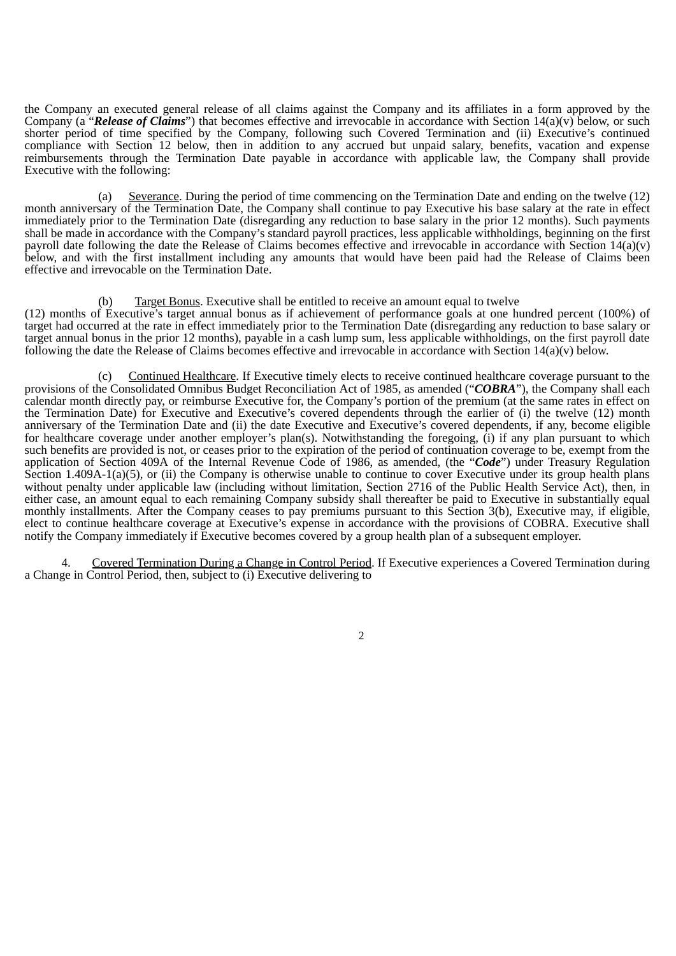the Company an executed general release of all claims against the Company and its affiliates in a form approved by the Company (a "*Release of Claims*") that becomes effective and irrevocable in accordance with Section 14(a)(v) below, or such shorter period of time specified by the Company, following such Covered Termination and (ii) Executive's continued compliance with Section 12 below, then in addition to any accrued but unpaid salary, benefits, vacation and expense reimbursements through the Termination Date payable in accordance with applicable law, the Company shall provide Executive with the following:

(a) Severance. During the period of time commencing on the Termination Date and ending on the twelve (12) month anniversary of the Termination Date, the Company shall continue to pay Executive his base salary at the rate in effect immediately prior to the Termination Date (disregarding any reduction to base salary in the prior 12 months). Such payments shall be made in accordance with the Company's standard payroll practices, less applicable withholdings, beginning on the first payroll date following the date the Release of Claims becomes effective and irrevocable in accordance with Section 14(a)(v) below, and with the first installment including any amounts that would have been paid had the Release of Claims been effective and irrevocable on the Termination Date.

(b) Target Bonus. Executive shall be entitled to receive an amount equal to twelve (12) months of Executive's target annual bonus as if achievement of performance goals at one hundred percent (100%) of target had occurred at the rate in effect immediately prior to the Termination Date (disregarding any reduction to base salary or target annual bonus in the prior 12 months), payable in a cash lump sum, less applicable withholdings, on the first payroll date following the date the Release of Claims becomes effective and irrevocable in accordance with Section 14(a)(v) below.

(c) Continued Healthcare. If Executive timely elects to receive continued healthcare coverage pursuant to the provisions of the Consolidated Omnibus Budget Reconciliation Act of 1985, as amended ("*COBRA*"), the Company shall each calendar month directly pay, or reimburse Executive for, the Company's portion of the premium (at the same rates in effect on the Termination Date) for Executive and Executive's covered dependents through the earlier of (i) the twelve (12) month anniversary of the Termination Date and (ii) the date Executive and Executive's covered dependents, if any, become eligible for healthcare coverage under another employer's plan(s). Notwithstanding the foregoing, (i) if any plan pursuant to which such benefits are provided is not, or ceases prior to the expiration of the period of continuation coverage to be, exempt from the application of Section 409A of the Internal Revenue Code of 1986, as amended, (the "*Code*") under Treasury Regulation Section 1.409A-1(a)(5), or (ii) the Company is otherwise unable to continue to cover Executive under its group health plans without penalty under applicable law (including without limitation, Section 2716 of the Public Health Service Act), then, in either case, an amount equal to each remaining Company subsidy shall thereafter be paid to Executive in substantially equal monthly installments. After the Company ceases to pay premiums pursuant to this Section 3(b), Executive may, if eligible, elect to continue healthcare coverage at Executive's expense in accordance with the provisions of COBRA. Executive shall notify the Company immediately if Executive becomes covered by a group health plan of a subsequent employer.

4. Covered Termination During a Change in Control Period. If Executive experiences a Covered Termination during a Change in Control Period, then, subject to (i) Executive delivering to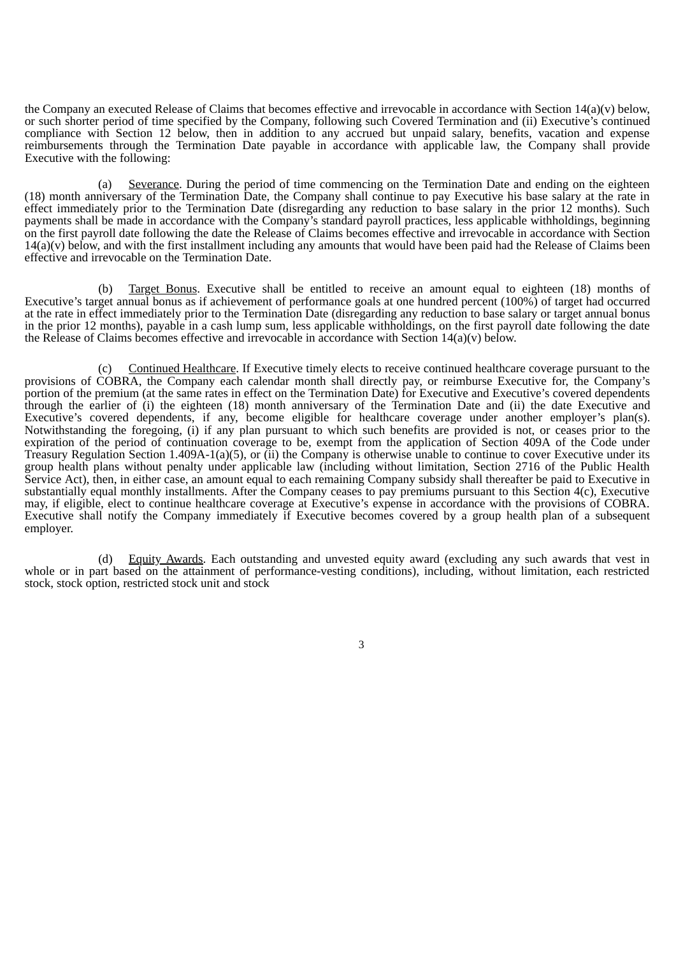the Company an executed Release of Claims that becomes effective and irrevocable in accordance with Section 14(a)(v) below, or such shorter period of time specified by the Company, following such Covered Termination and (ii) Executive's continued compliance with Section 12 below, then in addition to any accrued but unpaid salary, benefits, vacation and expense reimbursements through the Termination Date payable in accordance with applicable law, the Company shall provide Executive with the following:

(a) Severance. During the period of time commencing on the Termination Date and ending on the eighteen (18) month anniversary of the Termination Date, the Company shall continue to pay Executive his base salary at the rate in effect immediately prior to the Termination Date (disregarding any reduction to base salary in the prior 12 months). Such payments shall be made in accordance with the Company's standard payroll practices, less applicable withholdings, beginning on the first payroll date following the date the Release of Claims becomes effective and irrevocable in accordance with Section  $14(a)(v)$  below, and with the first installment including any amounts that would have been paid had the Release of Claims been effective and irrevocable on the Termination Date.

(b) Target Bonus. Executive shall be entitled to receive an amount equal to eighteen (18) months of Executive's target annual bonus as if achievement of performance goals at one hundred percent (100%) of target had occurred at the rate in effect immediately prior to the Termination Date (disregarding any reduction to base salary or target annual bonus in the prior 12 months), payable in a cash lump sum, less applicable withholdings, on the first payroll date following the date the Release of Claims becomes effective and irrevocable in accordance with Section 14(a)(v) below.

(c) Continued Healthcare. If Executive timely elects to receive continued healthcare coverage pursuant to the provisions of COBRA, the Company each calendar month shall directly pay, or reimburse Executive for, the Company's portion of the premium (at the same rates in effect on the Termination Date) for Executive and Executive's covered dependents through the earlier of (i) the eighteen (18) month anniversary of the Termination Date and (ii) the date Executive and Executive's covered dependents, if any, become eligible for healthcare coverage under another employer's plan(s). Notwithstanding the foregoing, (i) if any plan pursuant to which such benefits are provided is not, or ceases prior to the expiration of the period of continuation coverage to be, exempt from the application of Section 409A of the Code under Treasury Regulation Section 1.409A-1(a)(5), or (ii) the Company is otherwise unable to continue to cover Executive under its group health plans without penalty under applicable law (including without limitation, Section 2716 of the Public Health Service Act), then, in either case, an amount equal to each remaining Company subsidy shall thereafter be paid to Executive in substantially equal monthly installments. After the Company ceases to pay premiums pursuant to this Section 4(c), Executive may, if eligible, elect to continue healthcare coverage at Executive's expense in accordance with the provisions of COBRA. Executive shall notify the Company immediately if Executive becomes covered by a group health plan of a subsequent employer.

(d) Equity Awards. Each outstanding and unvested equity award (excluding any such awards that vest in whole or in part based on the attainment of performance-vesting conditions), including, without limitation, each restricted stock, stock option, restricted stock unit and stock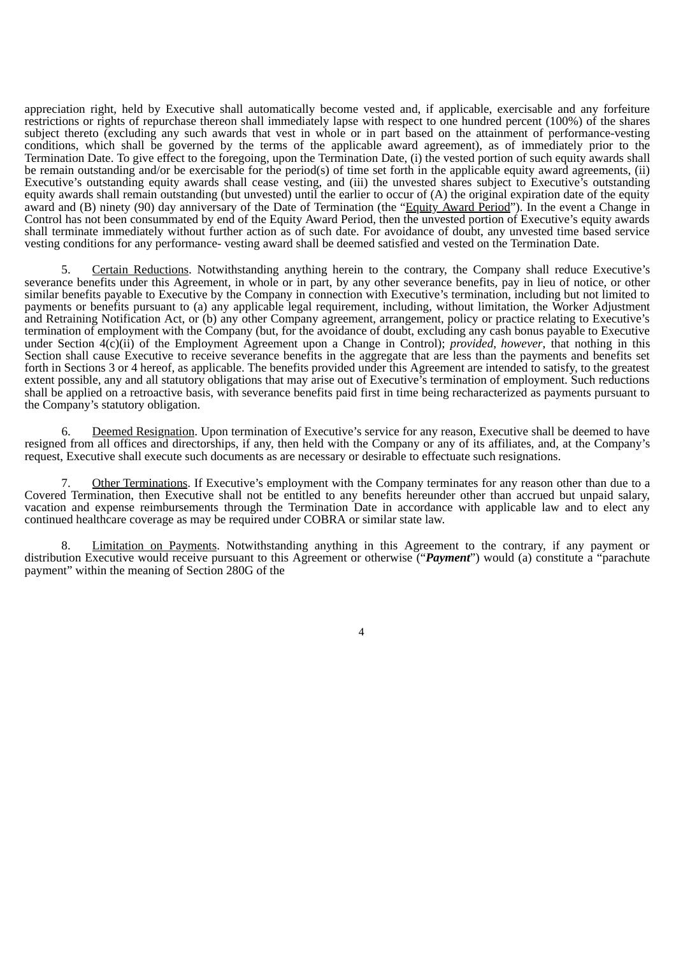appreciation right, held by Executive shall automatically become vested and, if applicable, exercisable and any forfeiture restrictions or rights of repurchase thereon shall immediately lapse with respect to one hundred percent (100%) of the shares subject thereto (excluding any such awards that vest in whole or in part based on the attainment of performance-vesting conditions, which shall be governed by the terms of the applicable award agreement), as of immediately prior to the Termination Date. To give effect to the foregoing, upon the Termination Date, (i) the vested portion of such equity awards shall be remain outstanding and/or be exercisable for the period(s) of time set forth in the applicable equity award agreements, (ii) Executive's outstanding equity awards shall cease vesting, and (iii) the unvested shares subject to Executive's outstanding equity awards shall remain outstanding (but unvested) until the earlier to occur of (A) the original expiration date of the equity award and (B) ninety (90) day anniversary of the Date of Termination (the "Equity Award Period"). In the event a Change in Control has not been consummated by end of the Equity Award Period, then the unvested portion of Executive's equity awards shall terminate immediately without further action as of such date. For avoidance of doubt, any unvested time based service vesting conditions for any performance- vesting award shall be deemed satisfied and vested on the Termination Date.

5. Certain Reductions. Notwithstanding anything herein to the contrary, the Company shall reduce Executive's severance benefits under this Agreement, in whole or in part, by any other severance benefits, pay in lieu of notice, or other similar benefits payable to Executive by the Company in connection with Executive's termination, including but not limited to payments or benefits pursuant to (a) any applicable legal requirement, including, without limitation, the Worker Adjustment and Retraining Notification Act, or (b) any other Company agreement, arrangement, policy or practice relating to Executive's termination of employment with the Company (but, for the avoidance of doubt, excluding any cash bonus payable to Executive under Section 4(c)(ii) of the Employment Agreement upon a Change in Control); *provided*, *however*, that nothing in this Section shall cause Executive to receive severance benefits in the aggregate that are less than the payments and benefits set forth in Sections 3 or 4 hereof, as applicable. The benefits provided under this Agreement are intended to satisfy, to the greatest extent possible, any and all statutory obligations that may arise out of Executive's termination of employment. Such reductions shall be applied on a retroactive basis, with severance benefits paid first in time being recharacterized as payments pursuant to the Company's statutory obligation.

6. Deemed Resignation. Upon termination of Executive's service for any reason, Executive shall be deemed to have resigned from all offices and directorships, if any, then held with the Company or any of its affiliates, and, at the Company's request, Executive shall execute such documents as are necessary or desirable to effectuate such resignations.

7. Other Terminations. If Executive's employment with the Company terminates for any reason other than due to a Covered Termination, then Executive shall not be entitled to any benefits hereunder other than accrued but unpaid salary, vacation and expense reimbursements through the Termination Date in accordance with applicable law and to elect any continued healthcare coverage as may be required under COBRA or similar state law.

8. Limitation on Payments. Notwithstanding anything in this Agreement to the contrary, if any payment or distribution Executive would receive pursuant to this Agreement or otherwise ("*Payment*") would (a) constitute a "parachute payment" within the meaning of Section 280G of the

 $\Delta$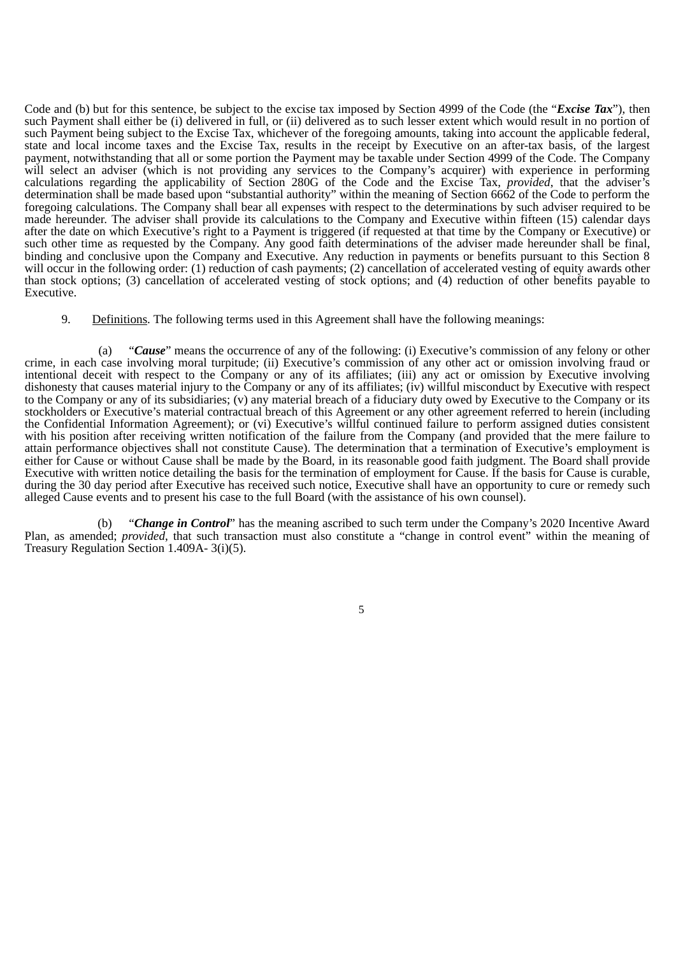Code and (b) but for this sentence, be subject to the excise tax imposed by Section 4999 of the Code (the "*Excise Tax*"), then such Payment shall either be (i) delivered in full, or (ii) delivered as to such lesser extent which would result in no portion of such Payment being subject to the Excise Tax, whichever of the foregoing amounts, taking into account the applicable federal, state and local income taxes and the Excise Tax, results in the receipt by Executive on an after-tax basis, of the largest payment, notwithstanding that all or some portion the Payment may be taxable under Section 4999 of the Code. The Company will select an adviser (which is not providing any services to the Company's acquirer) with experience in performing calculations regarding the applicability of Section 280G of the Code and the Excise Tax, *provided*, that the adviser's determination shall be made based upon "substantial authority" within the meaning of Section 6662 of the Code to perform the foregoing calculations. The Company shall bear all expenses with respect to the determinations by such adviser required to be made hereunder. The adviser shall provide its calculations to the Company and Executive within fifteen (15) calendar days after the date on which Executive's right to a Payment is triggered (if requested at that time by the Company or Executive) or such other time as requested by the Company. Any good faith determinations of the adviser made hereunder shall be final, binding and conclusive upon the Company and Executive. Any reduction in payments or benefits pursuant to this Section 8 will occur in the following order: (1) reduction of cash payments; (2) cancellation of accelerated vesting of equity awards other than stock options; (3) cancellation of accelerated vesting of stock options; and (4) reduction of other benefits payable to Executive.

9. Definitions. The following terms used in this Agreement shall have the following meanings:

(a) "*Cause*" means the occurrence of any of the following: (i) Executive's commission of any felony or other crime, in each case involving moral turpitude; (ii) Executive's commission of any other act or omission involving fraud or intentional deceit with respect to the Company or any of its affiliates; (iii) any act or omission by Executive involving dishonesty that causes material injury to the Company or any of its affiliates; (iv) willful misconduct by Executive with respect to the Company or any of its subsidiaries; (v) any material breach of a fiduciary duty owed by Executive to the Company or its stockholders or Executive's material contractual breach of this Agreement or any other agreement referred to herein (including the Confidential Information Agreement); or (vi) Executive's willful continued failure to perform assigned duties consistent with his position after receiving written notification of the failure from the Company (and provided that the mere failure to attain performance objectives shall not constitute Cause). The determination that a termination of Executive's employment is either for Cause or without Cause shall be made by the Board, in its reasonable good faith judgment. The Board shall provide Executive with written notice detailing the basis for the termination of employment for Cause. If the basis for Cause is curable, during the 30 day period after Executive has received such notice, Executive shall have an opportunity to cure or remedy such alleged Cause events and to present his case to the full Board (with the assistance of his own counsel).

(b) "*Change in Control*" has the meaning ascribed to such term under the Company's 2020 Incentive Award Plan, as amended; *provided*, that such transaction must also constitute a "change in control event" within the meaning of Treasury Regulation Section 1.409A- 3(i)(5).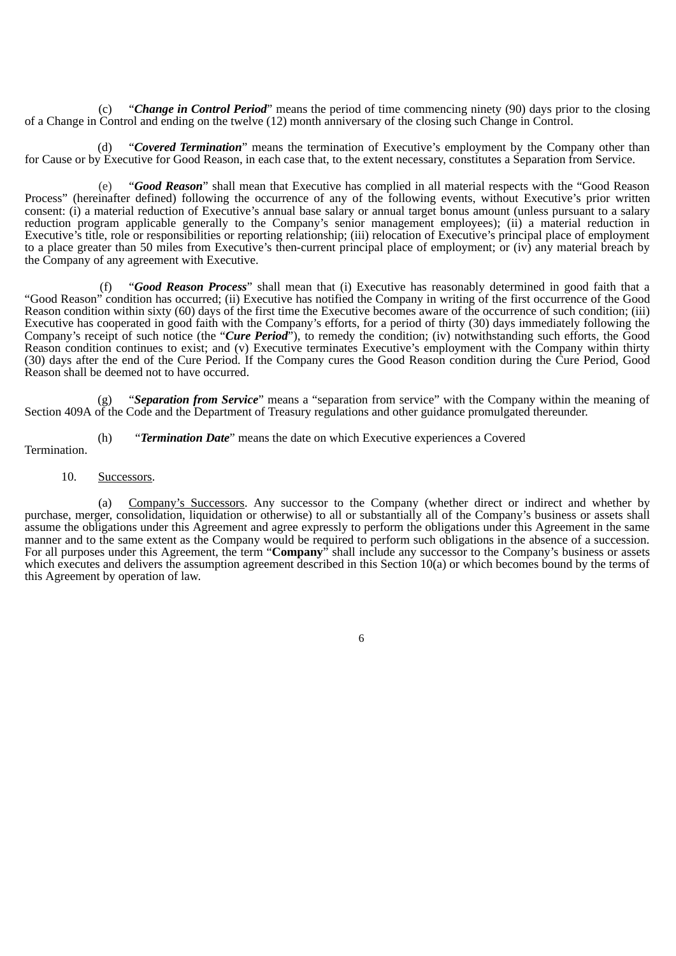(c) "*Change in Control Period*" means the period of time commencing ninety (90) days prior to the closing of a Change in Control and ending on the twelve (12) month anniversary of the closing such Change in Control.

(d) "*Covered Termination*" means the termination of Executive's employment by the Company other than for Cause or by Executive for Good Reason, in each case that, to the extent necessary, constitutes a Separation from Service.

(e) "*Good Reason*" shall mean that Executive has complied in all material respects with the "Good Reason Process" (hereinafter defined) following the occurrence of any of the following events, without Executive's prior written consent: (i) a material reduction of Executive's annual base salary or annual target bonus amount (unless pursuant to a salary reduction program applicable generally to the Company's senior management employees); (ii) a material reduction in Executive's title, role or responsibilities or reporting relationship; (iii) relocation of Executive's principal place of employment to a place greater than 50 miles from Executive's then-current principal place of employment; or (iv) any material breach by the Company of any agreement with Executive.

(f) "*Good Reason Process*" shall mean that (i) Executive has reasonably determined in good faith that a "Good Reason" condition has occurred; (ii) Executive has notified the Company in writing of the first occurrence of the Good Reason condition within sixty (60) days of the first time the Executive becomes aware of the occurrence of such condition; (iii) Executive has cooperated in good faith with the Company's efforts, for a period of thirty (30) days immediately following the Company's receipt of such notice (the "*Cure Period*"), to remedy the condition; (iv) notwithstanding such efforts, the Good Reason condition continues to exist; and (v) Executive terminates Executive's employment with the Company within thirty (30) days after the end of the Cure Period. If the Company cures the Good Reason condition during the Cure Period, Good Reason shall be deemed not to have occurred.

(g) "*Separation from Service*" means a "separation from service" with the Company within the meaning of Section 409A of the Code and the Department of Treasury regulations and other guidance promulgated thereunder.

(h) "*Termination Date*" means the date on which Executive experiences a Covered

Termination.

### 10. Successors.

(a) Company's Successors. Any successor to the Company (whether direct or indirect and whether by purchase, merger, consolidation, liquidation or otherwise) to all or substantially all of the Company's business or assets shall assume the obligations under this Agreement and agree expressly to perform the obligations under this Agreement in the same manner and to the same extent as the Company would be required to perform such obligations in the absence of a succession. For all purposes under this Agreement, the term "**Company**" shall include any successor to the Company's business or assets which executes and delivers the assumption agreement described in this Section 10(a) or which becomes bound by the terms of this Agreement by operation of law.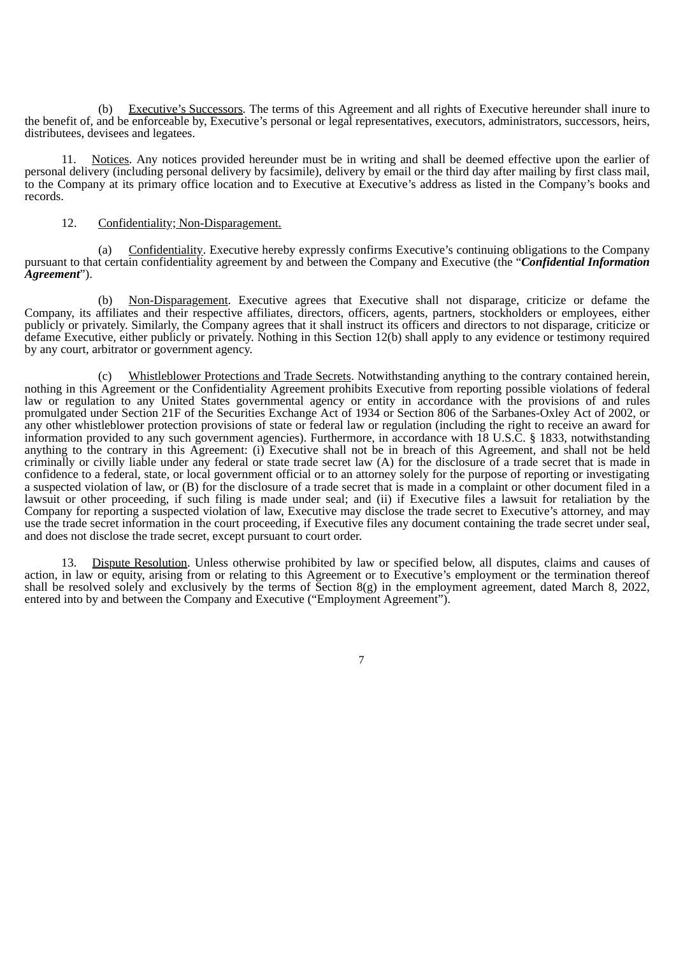(b) Executive's Successors. The terms of this Agreement and all rights of Executive hereunder shall inure to the benefit of, and be enforceable by, Executive's personal or legal representatives, executors, administrators, successors, heirs, distributees, devisees and legatees.

11. Notices. Any notices provided hereunder must be in writing and shall be deemed effective upon the earlier of personal delivery (including personal delivery by facsimile), delivery by email or the third day after mailing by first class mail, to the Company at its primary office location and to Executive at Executive's address as listed in the Company's books and records.

### 12. Confidentiality; Non-Disparagement.

(a) Confidentiality. Executive hereby expressly confirms Executive's continuing obligations to the Company pursuant to that certain confidentiality agreement by and between the Company and Executive (the "*Confidential Information Agreement*").

(b) Non-Disparagement. Executive agrees that Executive shall not disparage, criticize or defame the Company, its affiliates and their respective affiliates, directors, officers, agents, partners, stockholders or employees, either publicly or privately. Similarly, the Company agrees that it shall instruct its officers and directors to not disparage, criticize or defame Executive, either publicly or privately. Nothing in this Section 12(b) shall apply to any evidence or testimony required by any court, arbitrator or government agency.

(c) Whistleblower Protections and Trade Secrets. Notwithstanding anything to the contrary contained herein, nothing in this Agreement or the Confidentiality Agreement prohibits Executive from reporting possible violations of federal law or regulation to any United States governmental agency or entity in accordance with the provisions of and rules promulgated under Section 21F of the Securities Exchange Act of 1934 or Section 806 of the Sarbanes-Oxley Act of 2002, or any other whistleblower protection provisions of state or federal law or regulation (including the right to receive an award for information provided to any such government agencies). Furthermore, in accordance with 18 U.S.C. § 1833, notwithstanding anything to the contrary in this Agreement: (i) Executive shall not be in breach of this Agreement, and shall not be held criminally or civilly liable under any federal or state trade secret law (A) for the disclosure of a trade secret that is made in confidence to a federal, state, or local government official or to an attorney solely for the purpose of reporting or investigating a suspected violation of law, or (B) for the disclosure of a trade secret that is made in a complaint or other document filed in a lawsuit or other proceeding, if such filing is made under seal; and (ii) if Executive files a lawsuit for retaliation by the Company for reporting a suspected violation of law, Executive may disclose the trade secret to Executive's attorney, and may use the trade secret information in the court proceeding, if Executive files any document containing the trade secret under seal, and does not disclose the trade secret, except pursuant to court order.

13. Dispute Resolution. Unless otherwise prohibited by law or specified below, all disputes, claims and causes of action, in law or equity, arising from or relating to this Agreement or to Executive's employment or the termination thereof shall be resolved solely and exclusively by the terms of Section 8(g) in the employment agreement, dated March 8, 2022, entered into by and between the Company and Executive ("Employment Agreement").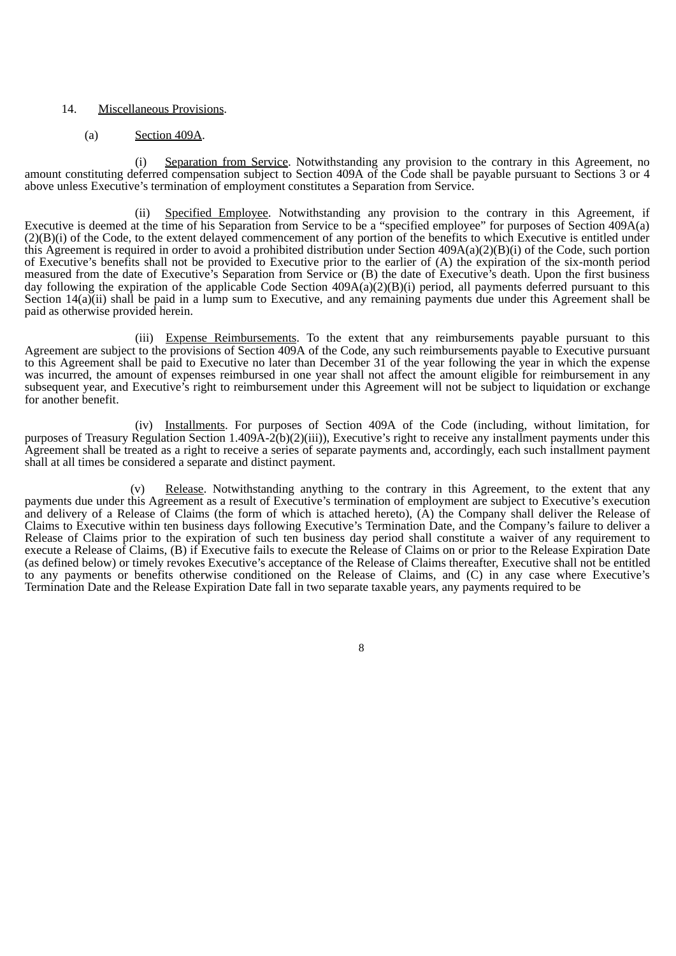### 14. Miscellaneous Provisions.

### (a) Section 409A.

(i) Separation from Service. Notwithstanding any provision to the contrary in this Agreement, no amount constituting deferred compensation subject to Section 409A of the Code shall be payable pursuant to Sections 3 or 4 above unless Executive's termination of employment constitutes a Separation from Service.

(ii) Specified Employee. Notwithstanding any provision to the contrary in this Agreement, if Executive is deemed at the time of his Separation from Service to be a "specified employee" for purposes of Section 409A(a) (2)(B)(i) of the Code, to the extent delayed commencement of any portion of the benefits to which Executive is entitled under this Agreement is required in order to avoid a prohibited distribution under Section 409A(a)(2)(B)(i) of the Code, such portion of Executive's benefits shall not be provided to Executive prior to the earlier of (A) the expiration of the six-month period measured from the date of Executive's Separation from Service or (B) the date of Executive's death. Upon the first business day following the expiration of the applicable Code Section 409A(a)(2)(B)(i) period, all payments deferred pursuant to this Section 14(a)(ii) shall be paid in a lump sum to Executive, and any remaining payments due under this Agreement shall be paid as otherwise provided herein.

(iii) Expense Reimbursements. To the extent that any reimbursements payable pursuant to this Agreement are subject to the provisions of Section 409A of the Code, any such reimbursements payable to Executive pursuant to this Agreement shall be paid to Executive no later than December 31 of the year following the year in which the expense was incurred, the amount of expenses reimbursed in one year shall not affect the amount eligible for reimbursement in any subsequent year, and Executive's right to reimbursement under this Agreement will not be subject to liquidation or exchange for another benefit.

(iv) Installments. For purposes of Section 409A of the Code (including, without limitation, for purposes of Treasury Regulation Section 1.409A-2(b)(2)(iii)), Executive's right to receive any installment payments under this Agreement shall be treated as a right to receive a series of separate payments and, accordingly, each such installment payment shall at all times be considered a separate and distinct payment.

(v) Release. Notwithstanding anything to the contrary in this Agreement, to the extent that any payments due under this Agreement as a result of Executive's termination of employment are subject to Executive's execution and delivery of a Release of Claims (the form of which is attached hereto), (A) the Company shall deliver the Release of Claims to Executive within ten business days following Executive's Termination Date, and the Company's failure to deliver a Release of Claims prior to the expiration of such ten business day period shall constitute a waiver of any requirement to execute a Release of Claims, (B) if Executive fails to execute the Release of Claims on or prior to the Release Expiration Date (as defined below) or timely revokes Executive's acceptance of the Release of Claims thereafter, Executive shall not be entitled to any payments or benefits otherwise conditioned on the Release of Claims, and (C) in any case where Executive's Termination Date and the Release Expiration Date fall in two separate taxable years, any payments required to be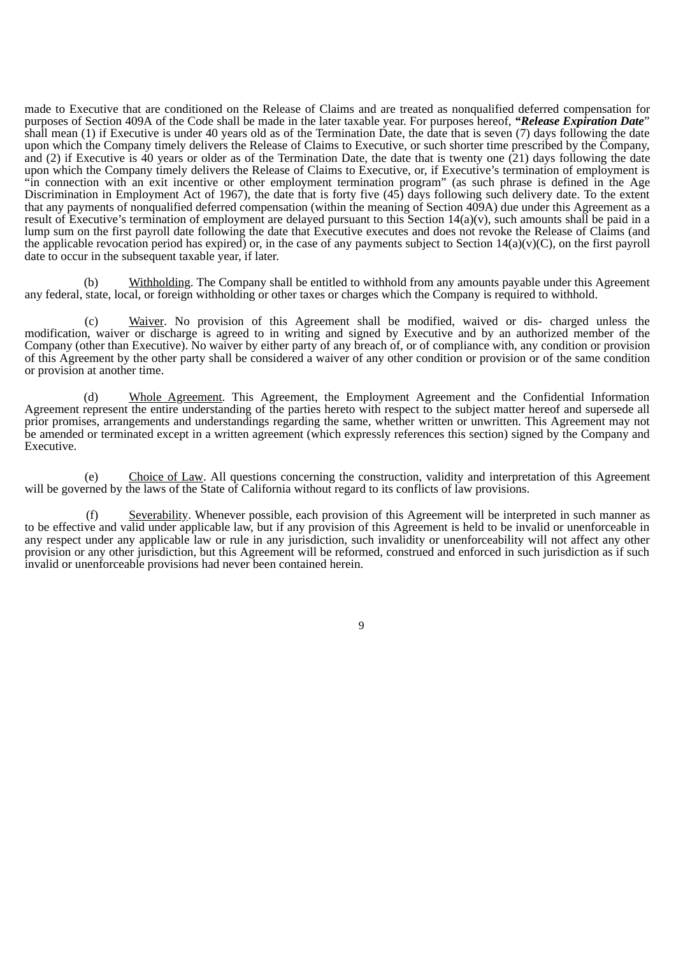made to Executive that are conditioned on the Release of Claims and are treated as nonqualified deferred compensation for purposes of Section 409A of the Code shall be made in the later taxable year. For purposes hereof, *"Release Expiration Date*" shall mean (1) if Executive is under 40 years old as of the Termination Date, the date that is seven (7) days following the date upon which the Company timely delivers the Release of Claims to Executive, or such shorter time prescribed by the Company, and (2) if Executive is 40 years or older as of the Termination Date, the date that is twenty one (21) days following the date upon which the Company timely delivers the Release of Claims to Executive, or, if Executive's termination of employment is "in connection with an exit incentive or other employment termination program" (as such phrase is defined in the Age Discrimination in Employment Act of 1967), the date that is forty five (45) days following such delivery date. To the extent that any payments of nonqualified deferred compensation (within the meaning of Section 409A) due under this Agreement as a result of Executive's termination of employment are delayed pursuant to this Section 14(a)(v), such amounts shall be paid in a lump sum on the first payroll date following the date that Executive executes and does not revoke the Release of Claims (and the applicable revocation period has expired) or, in the case of any payments subject to Section 14(a)(v)(C), on the first payroll date to occur in the subsequent taxable year, if later.

(b) Withholding. The Company shall be entitled to withhold from any amounts payable under this Agreement any federal, state, local, or foreign withholding or other taxes or charges which the Company is required to withhold.

(c) Waiver. No provision of this Agreement shall be modified, waived or dis- charged unless the modification, waiver or discharge is agreed to in writing and signed by Executive and by an authorized member of the Company (other than Executive). No waiver by either party of any breach of, or of compliance with, any condition or provision of this Agreement by the other party shall be considered a waiver of any other condition or provision or of the same condition or provision at another time.

(d) Whole Agreement. This Agreement, the Employment Agreement and the Confidential Information Agreement represent the entire understanding of the parties hereto with respect to the subject matter hereof and supersede all prior promises, arrangements and understandings regarding the same, whether written or unwritten. This Agreement may not be amended or terminated except in a written agreement (which expressly references this section) signed by the Company and Executive.

(e) Choice of Law. All questions concerning the construction, validity and interpretation of this Agreement will be governed by the laws of the State of California without regard to its conflicts of law provisions.

(f) Severability. Whenever possible, each provision of this Agreement will be interpreted in such manner as to be effective and valid under applicable law, but if any provision of this Agreement is held to be invalid or unenforceable in any respect under any applicable law or rule in any jurisdiction, such invalidity or unenforceability will not affect any other provision or any other jurisdiction, but this Agreement will be reformed, construed and enforced in such jurisdiction as if such invalid or unenforceable provisions had never been contained herein.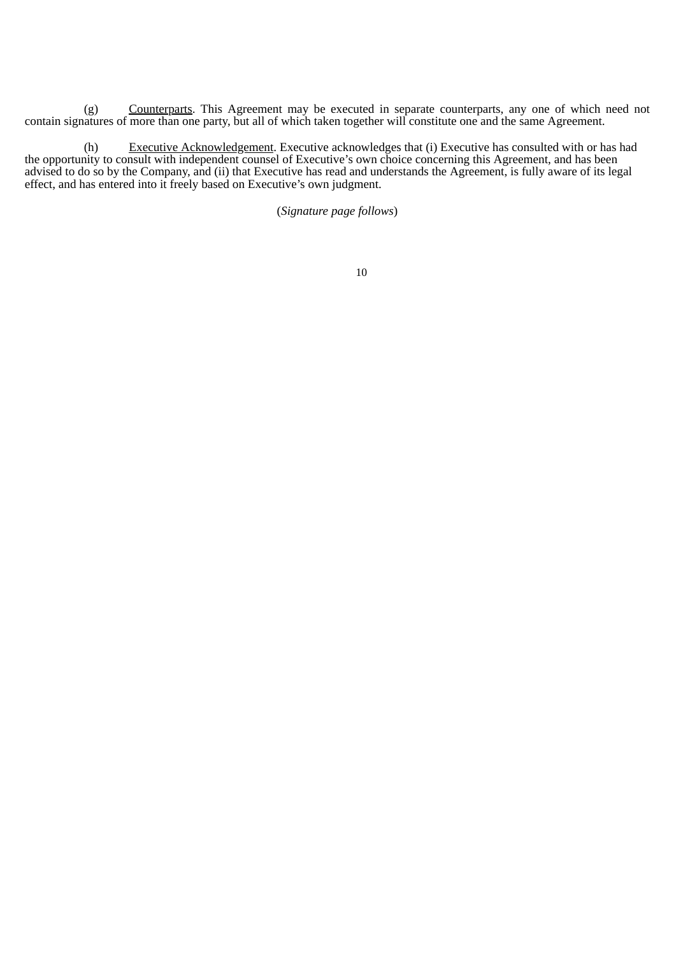(g) Counterparts. This Agreement may be executed in separate counterparts, any one of which need not contain signatures of more than one party, but all of which taken together will constitute one and the same Agreement.

(h) Executive Acknowledgement. Executive acknowledges that (i) Executive has consulted with or has had the opportunity to consult with independent counsel of Executive's own choice concerning this Agreement, and has been advised to do so by the Company, and (ii) that Executive has read and understands the Agreement, is fully aware of its legal effect, and has entered into it freely based on Executive's own judgment.

(*Signature page follows*)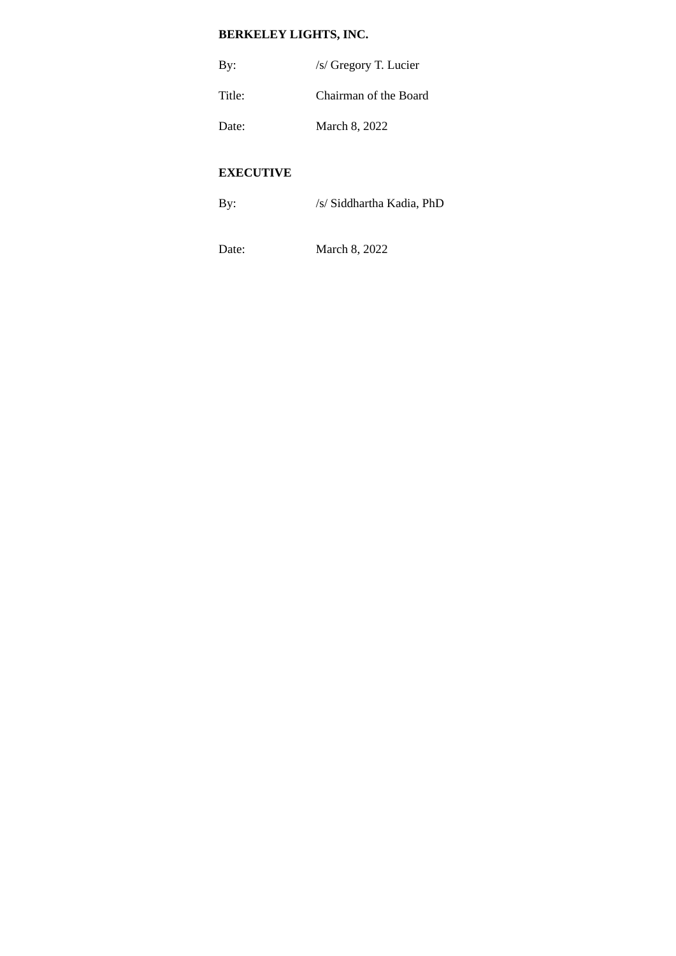# **BERKELEY LIGHTS, INC.**

| By:    | /s/ Gregory T. Lucier |
|--------|-----------------------|
| Title: | Chairman of the Board |
| Date:  | March 8, 2022         |

# **EXECUTIVE**

By: /s/ Siddhartha Kadia, PhD

Date: March 8, 2022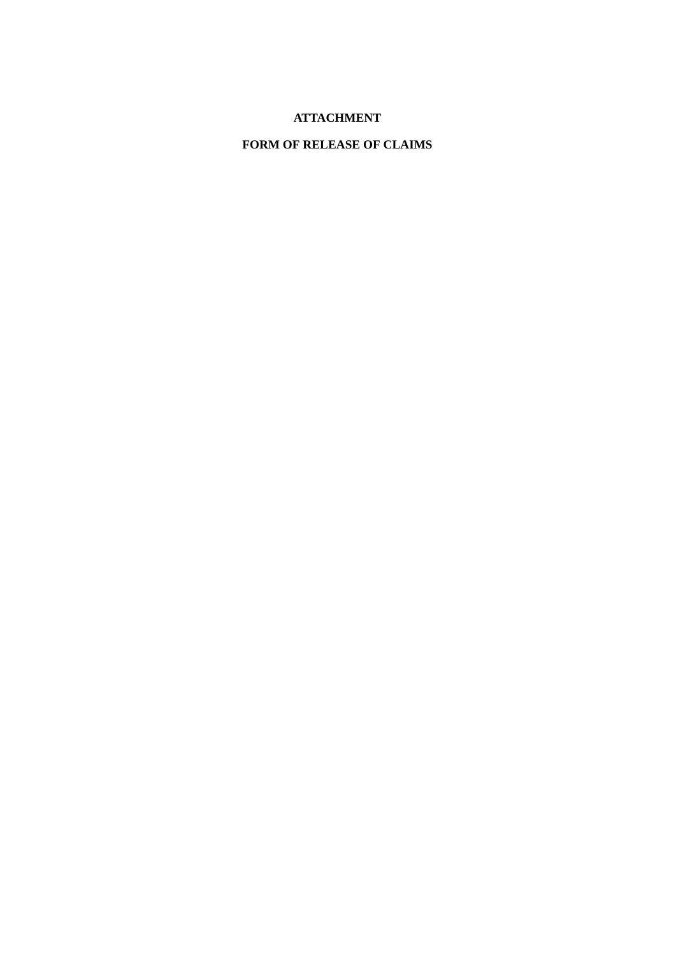## **ATTACHMENT**

## **FORM OF RELEASE OF CLAIMS**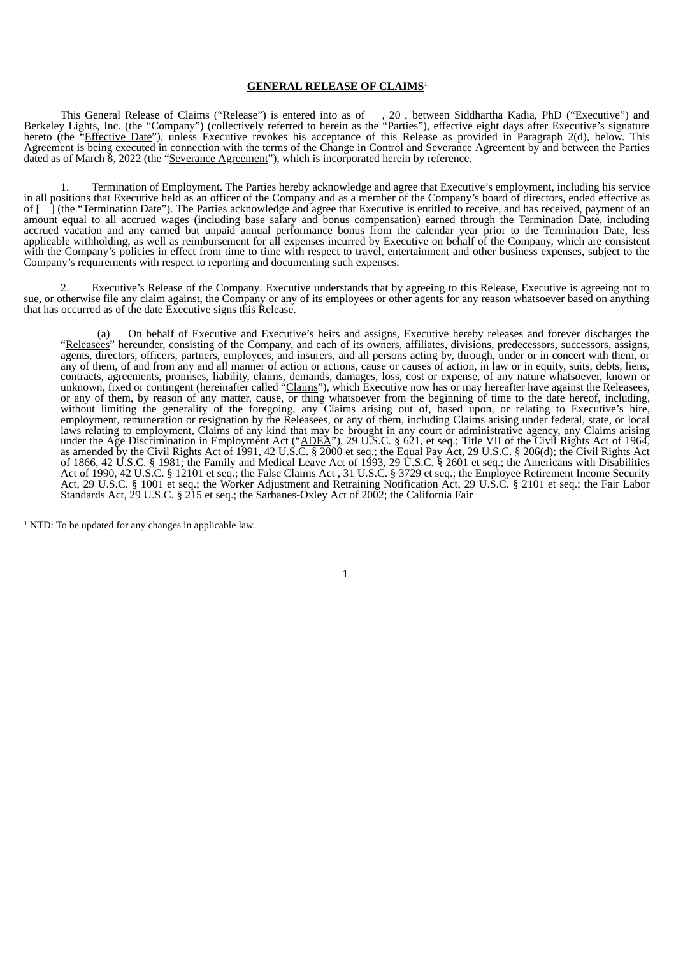#### **GENERAL RELEASE OF CLAIMS** 1

This General Release of Claims ("Release") is entered into as of , 20, between Siddhartha Kadia, PhD ("Executive") and Berkeley Lights, Inc. (the "Company") (collectively referred to herein as the "Parties"), effective eight days after Executive's signature hereto (the "Effective Date"), unless Executive revokes his acceptance of this Release as provided in Paragraph 2(d), below. This Agreement is being executed in connection with the terms of the Change in Control and Severance Agreement by and between the Parties dated as of March 8, 2022 (the "Severance Agreement"), which is incorporated herein by reference.

1. Termination of Employment. The Parties hereby acknowledge and agree that Executive's employment, including his service in all positions that Executive held as an officer of the Company and as a member of the Company's board of directors, ended effective as of [\_] (the "<u>Termination Date</u>"). The Parties acknowledge and agree that Executive is entitled to receive, and has received, payment of an amount equal to all accrued wages (including base salary and bonus compensation) earned through the Termination Date, including accrued vacation and any earned but unpaid annual performance bonus from the calendar year prior to the Termination Date, less applicable withholding, as well as reimbursement for all expenses incurred by Executive on behalf of the Company, which are consistent with the Company's policies in effect from time to time with respect to travel, entertainment and other business expenses, subject to the Company's requirements with respect to reporting and documenting such expenses.

2. Executive's Release of the Company. Executive understands that by agreeing to this Release, Executive is agreeing not to sue, or otherwise file any claim against, the Company or any of its employees or other agents for any reason whatsoever based on anything that has occurred as of the date Executive signs this Release.

(a) On behalf of Executive and Executive's heirs and assigns, Executive hereby releases and forever discharges the "Releasees" hereunder, consisting of the Company, and each of its owners, affiliates, divisions, predecessors, successors, assigns, agents, directors, officers, partners, employees, and insurers, and all persons acting by, through, under or in concert with them, or any of them, of and from any and all manner of action or actions, cause or causes of action, in law or in equity, suits, debts, liens, contracts, agreements, promises, liability, claims, demands, damages, loss, cost or expense, of any nature whatsoever, known or unknown, fixed or contingent (hereinafter called "Claims"), which Executive now has or may hereafter have against the Releasees, or any of them, by reason of any matter, cause, or thing whatsoever from the beginning of time to the date hereof, including, without limiting the generality of the foregoing, any Claims arising out of, based upon, or relating to Executive's hire, employment, remuneration or resignation by the Releasees, or any of them, including Claims arising under federal, state, or local laws relating to employment, Claims of any kind that may be brought in any court or administrative agency, any Claims arising under the Age Discrimination in Employment Act ("ADEA"), 29 U.S.C. § 621, et seq.; Title VII of the Civil Rights Act of 1964, as amended by the Civil Rights Act of 1991, 42 U.S.C. § 2000 et seq.; the Equal Pay Act, 29 U.S.C. § 206(d); the Civil Rights Act of 1866, 42 U.S.C. § 1981; the Family and Medical Leave Act of 1993, 29 U.S.C. § 2601 et seq.; the Americans with Disabilities Act of 1990, 42 U.S.C. § 12101 et seq.; the False Claims Act , 31 U.S.C. § 3729 et seq.; the Employee Retirement Income Security Act, 29 U.S.C. § 1001 et seq.; the Worker Adjustment and Retraining Notification Act, 29 U.S.C. § 2101 et seq.; the Fair Labor Standards Act, 29 U.S.C. § 215 et seq.; the Sarbanes-Oxley Act of 2002; the California Fair

 $1$  NTD: To be updated for any changes in applicable law.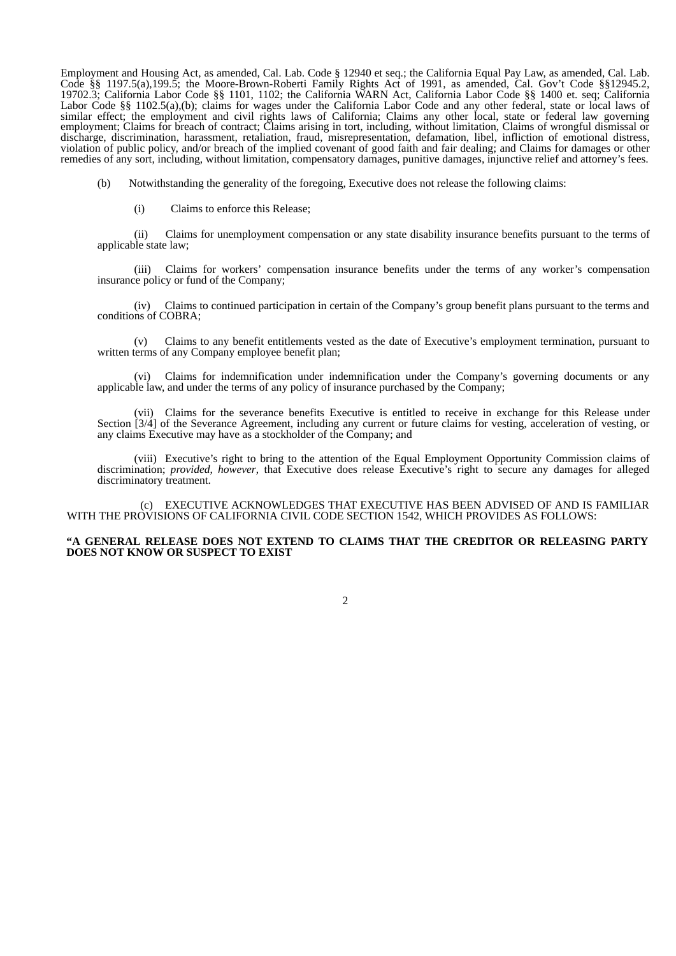Employment and Housing Act, as amended, Cal. Lab. Code § 12940 et seq.; the California Equal Pay Law, as amended, Cal. Lab. Code §§ 1197.5(a),199.5; the Moore-Brown-Roberti Family Rights Act of 1991, as amended, Cal. Gov't Code §§12945.2, 19702.3; California Labor Code §§ 1101, 1102; the California WARN Act, California Labor Code §§ 1400 et. seq; California Labor Code §§ 1102.5(a),(b); claims for wages under the California Labor Code and any other federal, state or local laws of similar effect; the employment and civil rights laws of California; Claims any other local, state or federal law governing employment; Claims for breach of contract; Claims arising in tort, including, without limitation, Claims of wrongful dismissal or discharge, discrimination, harassment, retaliation, fraud, misrepresentation, defamation, libel, infliction of emotional distress, violation of public policy, and/or breach of the implied covenant of good faith and fair dealing; and Claims for damages or other remedies of any sort, including, without limitation, compensatory damages, punitive damages, injunctive relief and attorney's fees.

(b) Notwithstanding the generality of the foregoing, Executive does not release the following claims:

(i) Claims to enforce this Release;

(ii) Claims for unemployment compensation or any state disability insurance benefits pursuant to the terms of applicable state law;

(iii) Claims for workers' compensation insurance benefits under the terms of any worker's compensation insurance policy or fund of the Company;

(iv) Claims to continued participation in certain of the Company's group benefit plans pursuant to the terms and conditions of COBRA;

(v) Claims to any benefit entitlements vested as the date of Executive's employment termination, pursuant to written terms of any Company employee benefit plan;

Claims for indemnification under indemnification under the Company's governing documents or any applicable law, and under the terms of any policy of insurance purchased by the Company;

(vii) Claims for the severance benefits Executive is entitled to receive in exchange for this Release under Section [3/4] of the Severance Agreement, including any current or future claims for vesting, acceleration of vesting, or any claims Executive may have as a stockholder of the Company; and

(viii) Executive's right to bring to the attention of the Equal Employment Opportunity Commission claims of discrimination; *provided*, *however*, that Executive does release Executive's right to secure any damages for alleged discriminatory treatment.

(c) EXECUTIVE ACKNOWLEDGES THAT EXECUTIVE HAS BEEN ADVISED OF AND IS FAMILIAR WITH THE PROVISIONS OF CALIFORNIA CIVIL CODE SECTION 1542, WHICH PROVIDES AS FOLLOWS:

#### **"A GENERAL RELEASE DOES NOT EXTEND TO CLAIMS THAT THE CREDITOR OR RELEASING PARTY DOES NOT KNOW OR SUSPECT TO EXIST**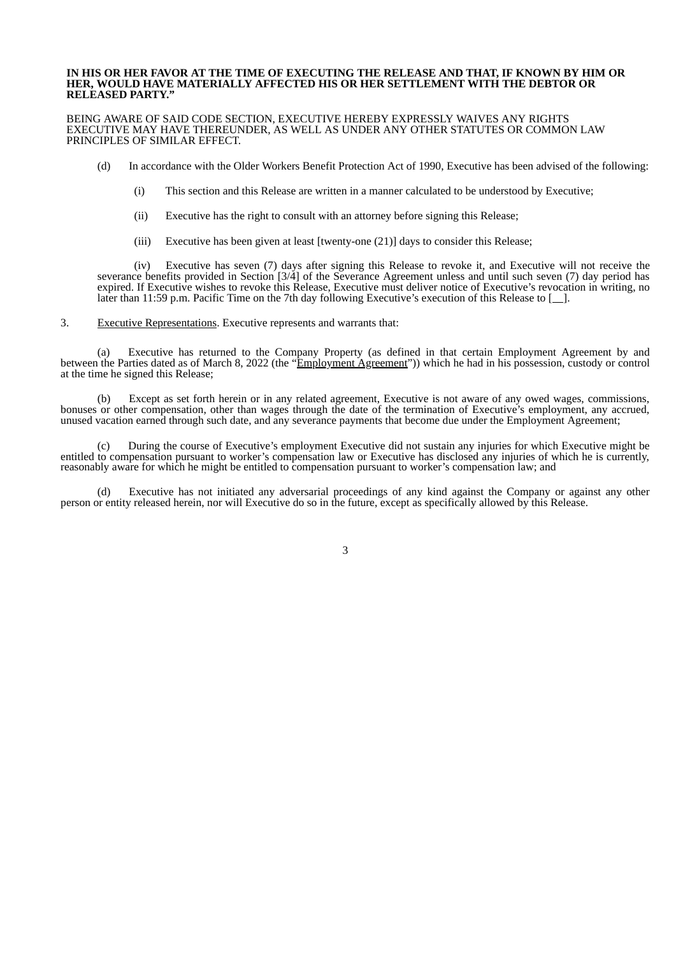#### **IN HIS OR HER FAVOR AT THE TIME OF EXECUTING THE RELEASE AND THAT, IF KNOWN BY HIM OR HER, WOULD HAVE MATERIALLY AFFECTED HIS OR HER SETTLEMENT WITH THE DEBTOR OR RELEASED PARTY."**

BEING AWARE OF SAID CODE SECTION, EXECUTIVE HEREBY EXPRESSLY WAIVES ANY RIGHTS EXECUTIVE MAY HAVE THEREUNDER, AS WELL AS UNDER ANY OTHER STATUTES OR COMMON LAW PRINCIPLES OF SIMILAR EFFECT.

- (d) In accordance with the Older Workers Benefit Protection Act of 1990, Executive has been advised of the following:
	- (i) This section and this Release are written in a manner calculated to be understood by Executive;
	- (ii) Executive has the right to consult with an attorney before signing this Release;
	- (iii) Executive has been given at least [twenty-one (21)] days to consider this Release;

(iv) Executive has seven (7) days after signing this Release to revoke it, and Executive will not receive the severance benefits provided in Section [3/4] of the Severance Agreement unless and until such seven (7) day period has expired. If Executive wishes to revoke this Release, Executive must deliver notice of Executive's revocation in writing, no later than 11:59 p.m. Pacific Time on the 7th day following Executive's execution of this Release to [10].

3. Executive Representations. Executive represents and warrants that:

(a) Executive has returned to the Company Property (as defined in that certain Employment Agreement by and between the Parties dated as of March 8, 2022 (the "*Employment Agreement*")) which he had in his possession, custody or control at the time he signed this Release;

(b) Except as set forth herein or in any related agreement, Executive is not aware of any owed wages, commissions, bonuses or other compensation, other than wages through the date of the termination of Executive's employment, any accrued, unused vacation earned through such date, and any severance payments that become due under the Employment Agreement;

(c) During the course of Executive's employment Executive did not sustain any injuries for which Executive might be entitled to compensation pursuant to worker's compensation law or Executive has disclosed any injuries of which he is currently, reasonably aware for which he might be entitled to compensation pursuant to worker's compensation law; and

(d) Executive has not initiated any adversarial proceedings of any kind against the Company or against any other person or entity released herein, nor will Executive do so in the future, except as specifically allowed by this Release.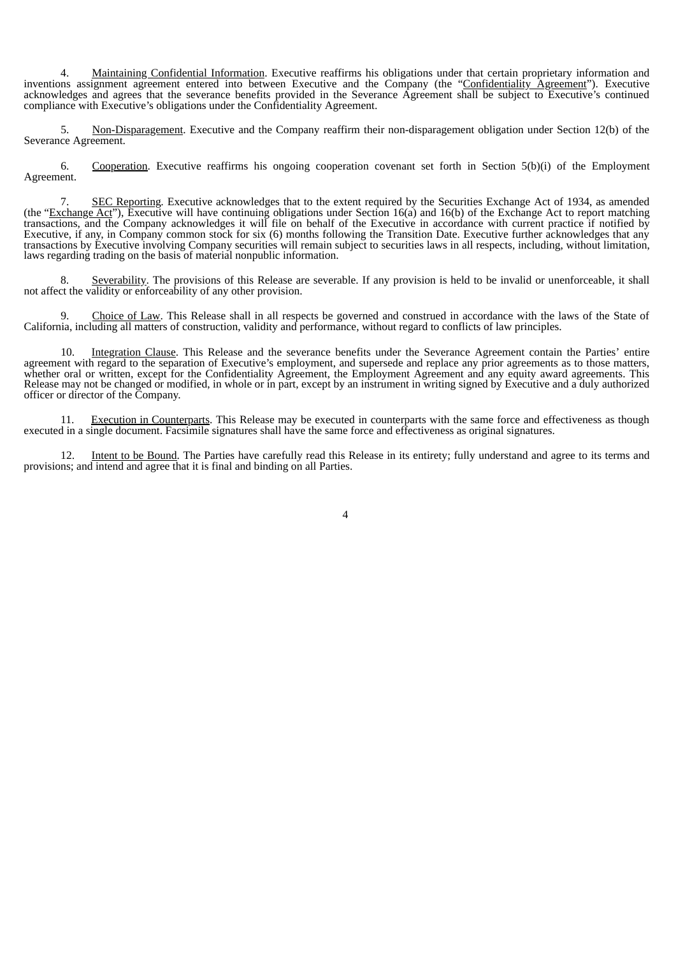4. Maintaining Confidential Information. Executive reaffirms his obligations under that certain proprietary information and inventions assignment agreement entered into between Executive and the Company (the "Confidentiality Agreement"). Executive acknowledges and agrees that the severance benefits provided in the Severance Agreement shall be subject to Executive's continued compliance with Executive's obligations under the Confidentiality Agreement.

5. Non-Disparagement. Executive and the Company reaffirm their non-disparagement obligation under Section 12(b) of the Severance Agreement.

6. Cooperation. Executive reaffirms his ongoing cooperation covenant set forth in Section 5(b)(i) of the Employment Agreement.

7. SEC Reporting*.* Executive acknowledges that to the extent required by the Securities Exchange Act of 1934, as amended (the "Exchange Act"), Executive will have continuing obligations under Section 16(a) and 16(b) of the Exchange Act to report matching transactions, and the Company acknowledges it will file on behalf of the Executive in accordance with current practice if notified by Executive, if any, in Company common stock for six (6) months following the Transition Date. Executive further acknowledges that any transactions by Executive involving Company securities will remain subject to securities laws in all respects, including, without limitation, laws regarding trading on the basis of material nonpublic information.

Severability. The provisions of this Release are severable. If any provision is held to be invalid or unenforceable, it shall not affect the validity or enforceability of any other provision.

9. Choice of Law. This Release shall in all respects be governed and construed in accordance with the laws of the State of California, including all matters of construction, validity and performance, without regard to conflicts of law principles.

10. Integration Clause. This Release and the severance benefits under the Severance Agreement contain the Parties' entire agreement with regard to the separation of Executive's employment, and supersede and replace any prior agreements as to those matters, whether oral or written, except for the Confidentiality Agreement, the Employment Agreement and any equity award agreements. This Release may not be changed or modified, in whole or in part, except by an instrument in writing signed by Executive and a duly authorized officer or director of the Company.

11. Execution in Counterparts. This Release may be executed in counterparts with the same force and effectiveness as though executed in a single document. Facsimile signatures shall have the same force and effectiveness as original signatures.

12. Intent to be Bound. The Parties have carefully read this Release in its entirety; fully understand and agree to its terms and provisions; and intend and agree that it is final and binding on all Parties.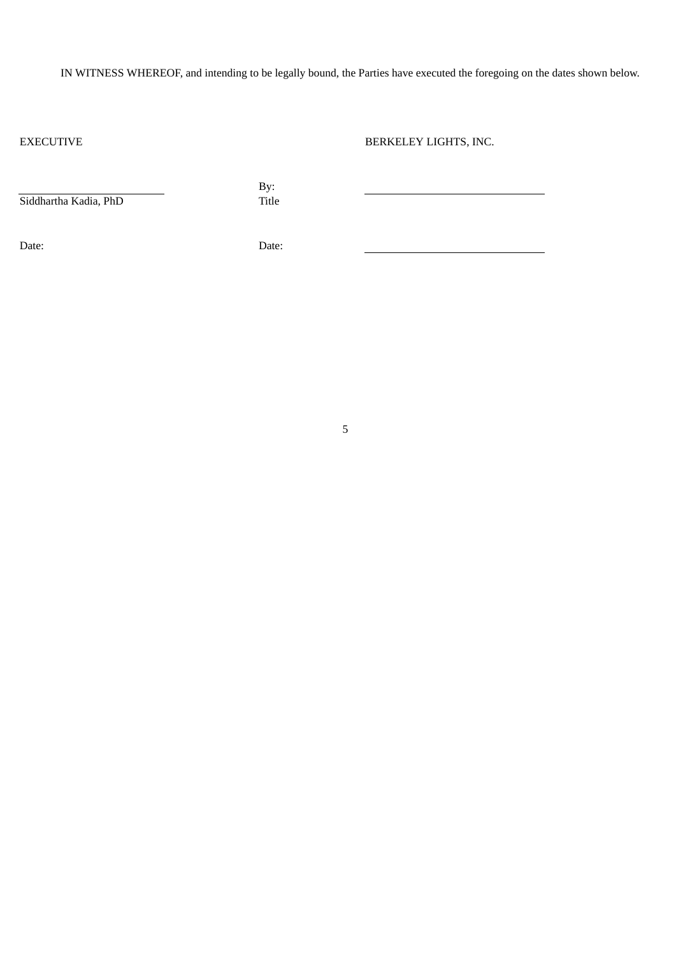IN WITNESS WHEREOF, and intending to be legally bound, the Parties have executed the foregoing on the dates shown below.

EXECUTIVE BERKELEY LIGHTS, INC.

Siddhartha Kadia, PhD Title

By:

Date: Date: Date: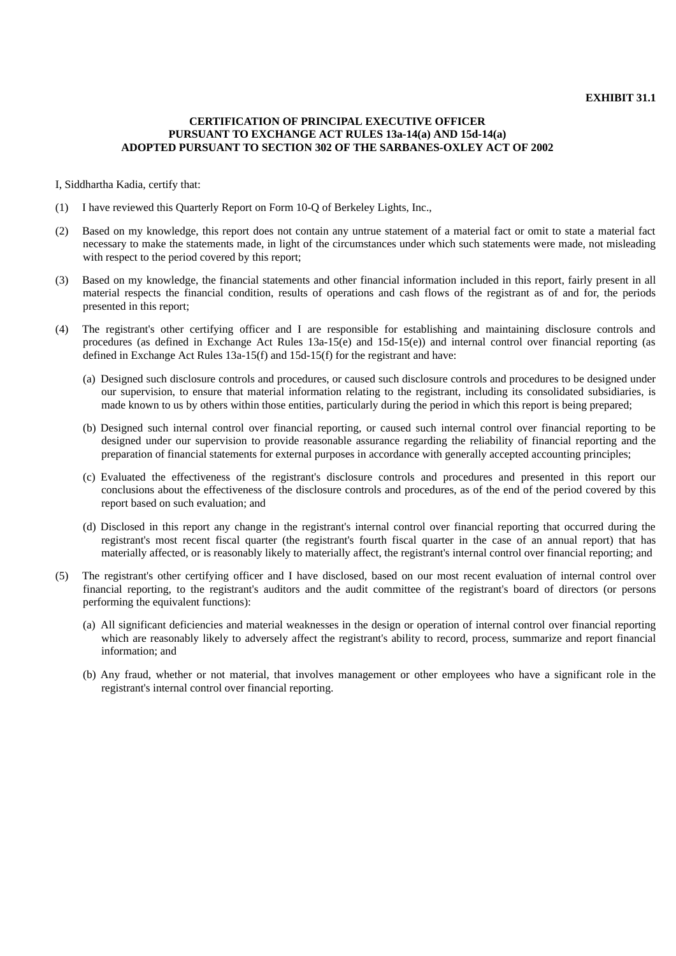# **EXHIBIT 31.1**

# **CERTIFICATION OF PRINCIPAL EXECUTIVE OFFICER PURSUANT TO EXCHANGE ACT RULES 13a-14(a) AND 15d-14(a) ADOPTED PURSUANT TO SECTION 302 OF THE SARBANES-OXLEY ACT OF 2002**

I, Siddhartha Kadia, certify that:

- (1) I have reviewed this Quarterly Report on Form 10-Q of Berkeley Lights, Inc.,
- (2) Based on my knowledge, this report does not contain any untrue statement of a material fact or omit to state a material fact necessary to make the statements made, in light of the circumstances under which such statements were made, not misleading with respect to the period covered by this report;
- (3) Based on my knowledge, the financial statements and other financial information included in this report, fairly present in all material respects the financial condition, results of operations and cash flows of the registrant as of and for, the periods presented in this report;
- (4) The registrant's other certifying officer and I are responsible for establishing and maintaining disclosure controls and procedures (as defined in Exchange Act Rules 13a-15(e) and 15d-15(e)) and internal control over financial reporting (as defined in Exchange Act Rules 13a-15(f) and 15d-15(f) for the registrant and have:
	- (a) Designed such disclosure controls and procedures, or caused such disclosure controls and procedures to be designed under our supervision, to ensure that material information relating to the registrant, including its consolidated subsidiaries, is made known to us by others within those entities, particularly during the period in which this report is being prepared;
	- (b) Designed such internal control over financial reporting, or caused such internal control over financial reporting to be designed under our supervision to provide reasonable assurance regarding the reliability of financial reporting and the preparation of financial statements for external purposes in accordance with generally accepted accounting principles;
	- (c) Evaluated the effectiveness of the registrant's disclosure controls and procedures and presented in this report our conclusions about the effectiveness of the disclosure controls and procedures, as of the end of the period covered by this report based on such evaluation; and
	- (d) Disclosed in this report any change in the registrant's internal control over financial reporting that occurred during the registrant's most recent fiscal quarter (the registrant's fourth fiscal quarter in the case of an annual report) that has materially affected, or is reasonably likely to materially affect, the registrant's internal control over financial reporting; and
- (5) The registrant's other certifying officer and I have disclosed, based on our most recent evaluation of internal control over financial reporting, to the registrant's auditors and the audit committee of the registrant's board of directors (or persons performing the equivalent functions):
	- (a) All significant deficiencies and material weaknesses in the design or operation of internal control over financial reporting which are reasonably likely to adversely affect the registrant's ability to record, process, summarize and report financial information; and
	- (b) Any fraud, whether or not material, that involves management or other employees who have a significant role in the registrant's internal control over financial reporting.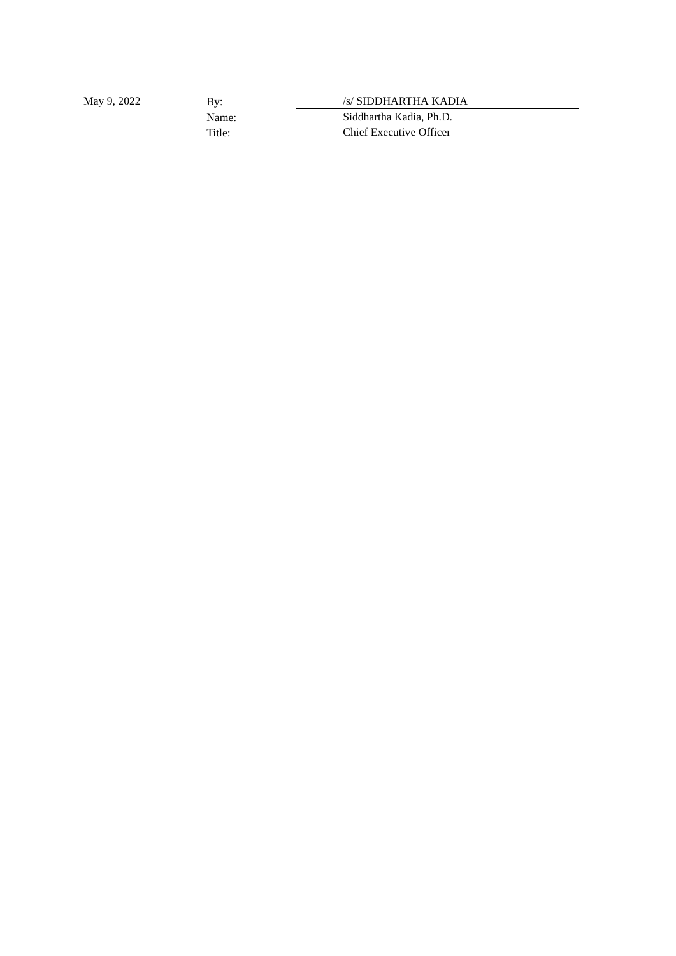May 9, 2022

By:  $y$ :  $/$ N a m e: Si

s/ SIDDHARTHA KADIA

i d d h a r t h a K a d i a , P h.D. Title: Chief Executive Officer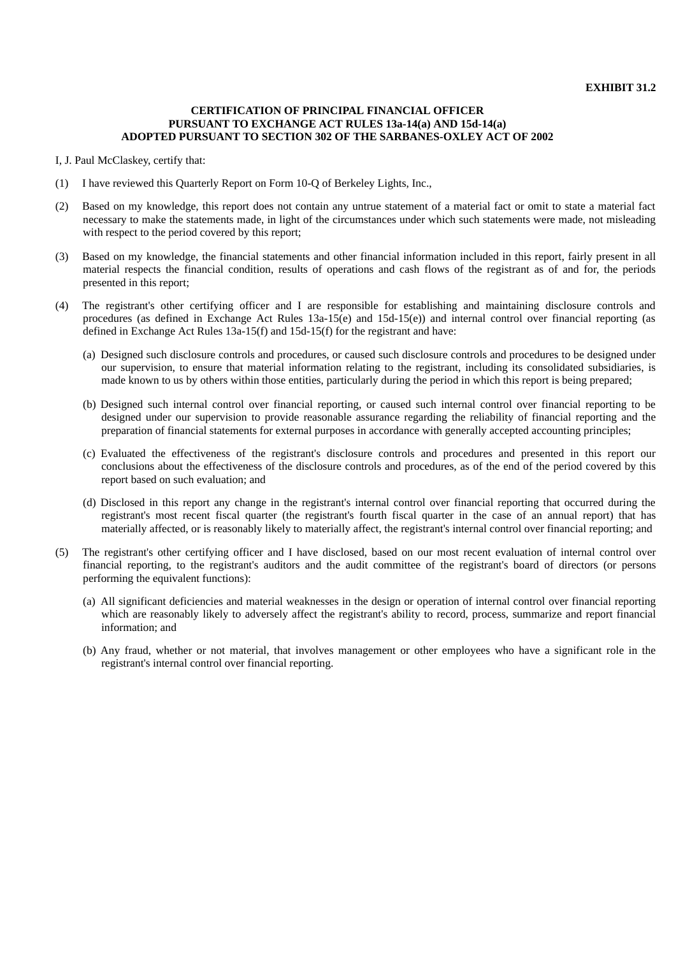#### **EXHIBIT 31.2**

### **CERTIFICATION OF PRINCIPAL FINANCIAL OFFICER PURSUANT TO EXCHANGE ACT RULES 13a-14(a) AND 15d-14(a) ADOPTED PURSUANT TO SECTION 302 OF THE SARBANES-OXLEY ACT OF 2002**

I, J. Paul McClaskey, certify that:

- (1) I have reviewed this Quarterly Report on Form 10-Q of Berkeley Lights, Inc.,
- (2) Based on my knowledge, this report does not contain any untrue statement of a material fact or omit to state a material fact necessary to make the statements made, in light of the circumstances under which such statements were made, not misleading with respect to the period covered by this report;
- (3) Based on my knowledge, the financial statements and other financial information included in this report, fairly present in all material respects the financial condition, results of operations and cash flows of the registrant as of and for, the periods presented in this report;
- (4) The registrant's other certifying officer and I are responsible for establishing and maintaining disclosure controls and procedures (as defined in Exchange Act Rules 13a-15(e) and 15d-15(e)) and internal control over financial reporting (as defined in Exchange Act Rules 13a-15(f) and 15d-15(f) for the registrant and have:
	- (a) Designed such disclosure controls and procedures, or caused such disclosure controls and procedures to be designed under our supervision, to ensure that material information relating to the registrant, including its consolidated subsidiaries, is made known to us by others within those entities, particularly during the period in which this report is being prepared;
	- (b) Designed such internal control over financial reporting, or caused such internal control over financial reporting to be designed under our supervision to provide reasonable assurance regarding the reliability of financial reporting and the preparation of financial statements for external purposes in accordance with generally accepted accounting principles;
	- (c) Evaluated the effectiveness of the registrant's disclosure controls and procedures and presented in this report our conclusions about the effectiveness of the disclosure controls and procedures, as of the end of the period covered by this report based on such evaluation; and
	- (d) Disclosed in this report any change in the registrant's internal control over financial reporting that occurred during the registrant's most recent fiscal quarter (the registrant's fourth fiscal quarter in the case of an annual report) that has materially affected, or is reasonably likely to materially affect, the registrant's internal control over financial reporting; and
- (5) The registrant's other certifying officer and I have disclosed, based on our most recent evaluation of internal control over financial reporting, to the registrant's auditors and the audit committee of the registrant's board of directors (or persons performing the equivalent functions):
	- (a) All significant deficiencies and material weaknesses in the design or operation of internal control over financial reporting which are reasonably likely to adversely affect the registrant's ability to record, process, summarize and report financial information; and
	- (b) Any fraud, whether or not material, that involves management or other employees who have a significant role in the registrant's internal control over financial reporting.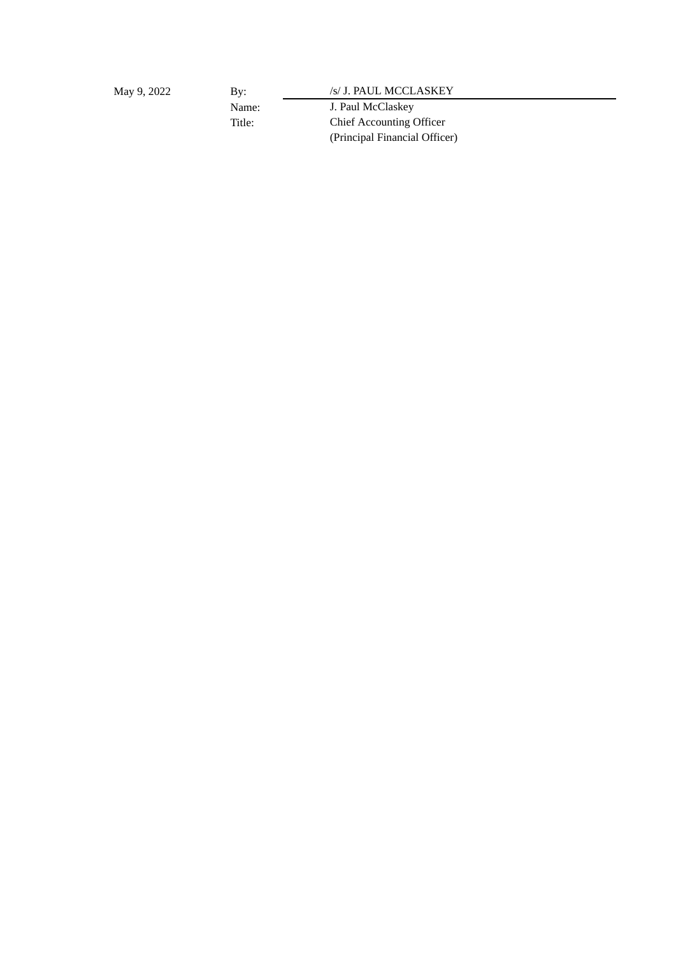May 9, 2022

By:  $/2$ N a m Titl

s/ J. PAUL MCCLASKEY

e: J. Paul McClaskey e: Chief Accounting Officer (Principal Financial Officer)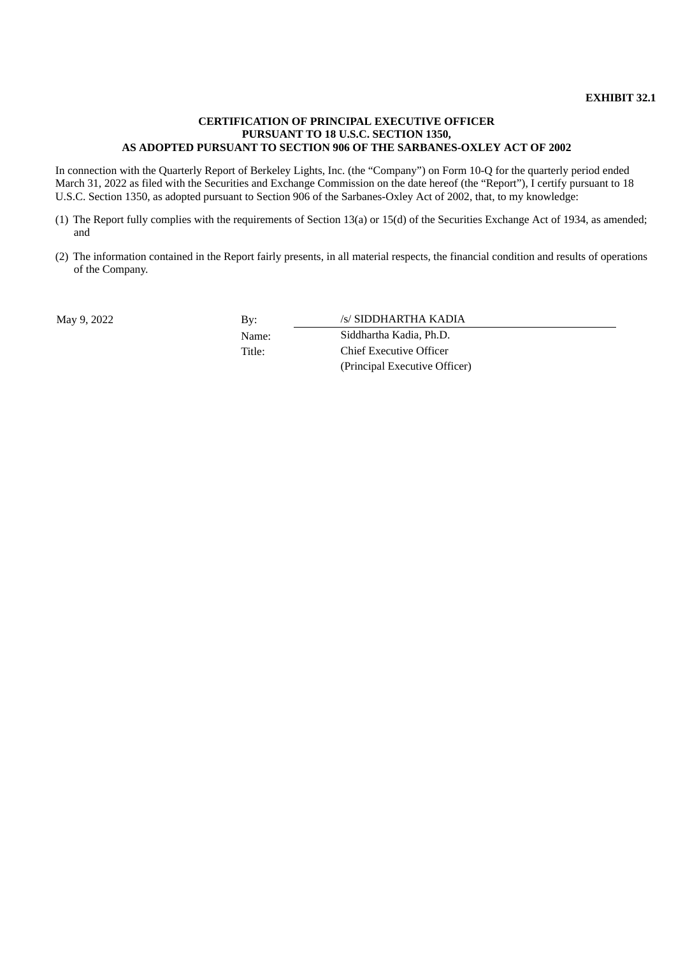# **CERTIFICATION OF PRINCIPAL EXECUTIVE OFFICER PURSUANT TO 18 U.S.C. SECTION 1350, AS ADOPTED PURSUANT TO SECTION 906 OF THE SARBANES-OXLEY ACT OF 2002**

In connection with the Quarterly Report of Berkeley Lights, Inc. (the "Company") on Form 10-Q for the quarterly period ended March 31, 2022 as filed with the Securities and Exchange Commission on the date hereof (the "Report"), I certify pursuant to 18 U.S.C. Section 1350, as adopted pursuant to Section 906 of the Sarbanes-Oxley Act of 2002, that, to my knowledge:

- (1) The Report fully complies with the requirements of Section 13(a) or 15(d) of the Securities Exchange Act of 1934, as amended; and
- (2) The information contained in the Report fairly presents, in all material respects, the financial condition and results of operations of the Company.

May 9, 2022 By: /s/ SIDDHARTHA KADIA

Name: Siddhartha Kadia, Ph.D. Title: Chief Executive Officer (Principal Executive Officer)